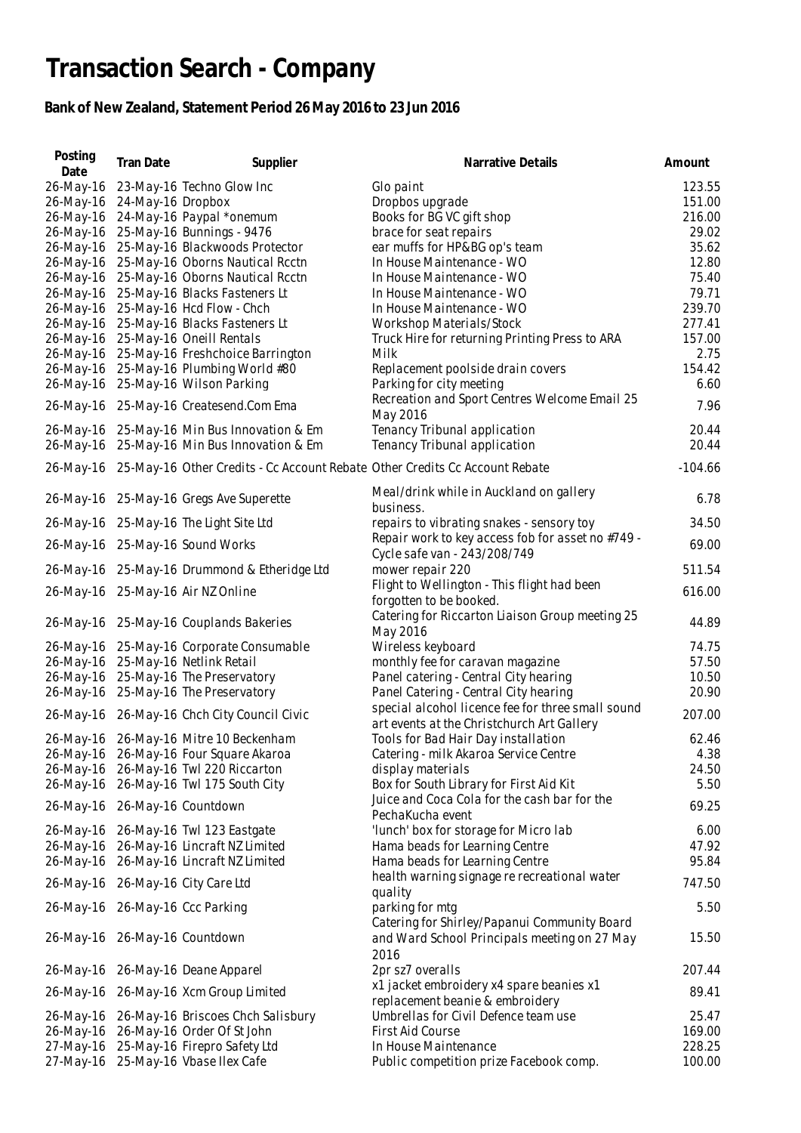## **Transaction Search - Company**

## **Bank of New Zealand, Statement Period 26 May 2016 to 23 Jun 2016**

| Posting<br>Date               | Tran Date         | Supplier                                                                              | Narrative Details                                                                 | Amount    |
|-------------------------------|-------------------|---------------------------------------------------------------------------------------|-----------------------------------------------------------------------------------|-----------|
| 26-May-16                     |                   | 23-May-16 Techno Glow Inc                                                             | Glo paint                                                                         | 123.55    |
| 26-May-16                     | 24-May-16 Dropbox |                                                                                       | Dropbos upgrade                                                                   | 151.00    |
|                               |                   |                                                                                       |                                                                                   |           |
| 26-May-16                     |                   | 24-May-16 Paypal *onemum                                                              | Books for BG VC gift shop                                                         | 216.00    |
| 26-May-16                     |                   | 25-May-16 Bunnings - 9476                                                             | brace for seat repairs                                                            | 29.02     |
| 26-May-16                     |                   | 25-May-16 Blackwoods Protector                                                        | ear muffs for HP&BG op's team                                                     | 35.62     |
| 26-May-16                     |                   | 25-May-16 Oborns Nautical Rcctn                                                       | In House Maintenance - WO                                                         | 12.80     |
|                               |                   | 26-May-16 25-May-16 Oborns Nautical Rcctn                                             | In House Maintenance - WO                                                         | 75.40     |
|                               |                   | 26-May-16 25-May-16 Blacks Fasteners Lt                                               | In House Maintenance - WO                                                         | 79.71     |
|                               |                   | 26-May-16 25-May-16 Hcd Flow - Chch                                                   | In House Maintenance - WO                                                         | 239.70    |
|                               |                   | 26-May-16 25-May-16 Blacks Fasteners Lt                                               | Workshop Materials/Stock                                                          | 277.41    |
|                               |                   | 26-May-16 25-May-16 Oneill Rentals                                                    | Truck Hire for returning Printing Press to ARA                                    | 157.00    |
|                               |                   | 26-May-16 25-May-16 Freshchoice Barrington                                            | Milk                                                                              | 2.75      |
|                               |                   | 26-May-16 25-May-16 Plumbing World #80                                                |                                                                                   | 154.42    |
|                               |                   |                                                                                       | Replacement poolside drain covers                                                 |           |
|                               |                   | 26-May-16 25-May-16 Wilson Parking                                                    | Parking for city meeting                                                          | 6.60      |
|                               |                   | 26-May-16 25-May-16 Createsend.Com Ema                                                | Recreation and Sport Centres Welcome Email 25<br>May 2016                         | 7.96      |
|                               |                   |                                                                                       |                                                                                   | 20.44     |
|                               |                   | 26-May-16 25-May-16 Min Bus Innovation & Em                                           | Tenancy Tribunal application                                                      |           |
|                               |                   | 26-May-16 25-May-16 Min Bus Innovation & Em                                           | Tenancy Tribunal application                                                      | 20.44     |
|                               |                   | 26-May-16 25-May-16 Other Credits - Cc Account Rebate Other Credits Cc Account Rebate |                                                                                   | $-104.66$ |
|                               |                   | 26-May-16 25-May-16 Gregs Ave Superette                                               | Meal/drink while in Auckland on gallery                                           | 6.78      |
|                               |                   |                                                                                       | business.                                                                         |           |
|                               |                   | 26-May-16 25-May-16 The Light Site Ltd                                                | repairs to vibrating snakes - sensory toy                                         | 34.50     |
|                               |                   | 26-May-16 25-May-16 Sound Works                                                       | Repair work to key access fob for asset no #749 -<br>Cycle safe van - 243/208/749 | 69.00     |
|                               |                   | 26-May-16 25-May-16 Drummond & Etheridge Ltd                                          | mower repair 220                                                                  | 511.54    |
|                               |                   | 26-May-16 25-May-16 Air NZ Online                                                     | Flight to Wellington - This flight had been<br>forgotten to be booked.            | 616.00    |
|                               |                   | 26-May-16 25-May-16 Couplands Bakeries                                                | Catering for Riccarton Liaison Group meeting 25                                   | 44.89     |
|                               |                   |                                                                                       | May 2016                                                                          |           |
|                               |                   | 26-May-16 25-May-16 Corporate Consumable                                              | Wireless keyboard                                                                 | 74.75     |
|                               |                   | 26-May-16 25-May-16 Netlink Retail                                                    | monthly fee for caravan magazine                                                  | 57.50     |
|                               |                   | 26-May-16 25-May-16 The Preservatory                                                  | Panel catering - Central City hearing                                             | 10.50     |
|                               |                   | 26-May-16 25-May-16 The Preservatory                                                  | Panel Catering - Central City hearing                                             | 20.90     |
|                               |                   |                                                                                       | special alcohol licence fee for three small sound                                 |           |
|                               |                   | 26-May-16 26-May-16 Chch City Council Civic                                           | art events at the Christchurch Art Gallery                                        | 207.00    |
|                               |                   | 26-May-16 26-May-16 Mitre 10 Beckenham                                                | Tools for Bad Hair Day installation                                               | 62.46     |
|                               |                   | 26-May-16 26-May-16 Four Square Akaroa                                                | Catering - milk Akaroa Service Centre                                             | 4.38      |
|                               |                   | 26-May-16 26-May-16 Twl 220 Riccarton                                                 | display materials                                                                 | 24.50     |
|                               |                   | 26-May-16 26-May-16 Twl 175 South City                                                | Box for South Library for First Aid Kit                                           | 5.50      |
|                               |                   |                                                                                       | Juice and Coca Cola for the cash bar for the                                      |           |
| 26-May-16 26-May-16 Countdown |                   |                                                                                       | PechaKucha event                                                                  | 69.25     |
|                               |                   | 26-May-16 26-May-16 Twl 123 Eastgate                                                  | 'lunch' box for storage for Micro lab                                             | 6.00      |
|                               |                   |                                                                                       |                                                                                   |           |
| 26-May-16                     |                   | 26-May-16 Lincraft NZ Limited                                                         | Hama beads for Learning Centre                                                    | 47.92     |
| 26-May-16                     |                   | 26-May-16 Lincraft NZ Limited                                                         | Hama beads for Learning Centre                                                    | 95.84     |
|                               |                   | 26-May-16 26-May-16 City Care Ltd                                                     | health warning signage re recreational water<br>quality                           | 747.50    |
|                               |                   | 26-May-16 26-May-16 Ccc Parking                                                       | parking for mtg                                                                   | 5.50      |
|                               |                   |                                                                                       | Catering for Shirley/Papanui Community Board                                      |           |
| 26-May-16 26-May-16 Countdown |                   |                                                                                       | and Ward School Principals meeting on 27 May                                      | 15.50     |
|                               |                   |                                                                                       | 2016                                                                              |           |
|                               |                   | 26-May-16 26-May-16 Deane Apparel                                                     | 2pr sz7 overalls                                                                  | 207.44    |
|                               |                   | 26-May-16 26-May-16 Xcm Group Limited                                                 | x1 jacket embroidery x4 spare beanies x1<br>replacement beanie & embroidery       | 89.41     |
|                               |                   | 26-May-16 26-May-16 Briscoes Chch Salisbury                                           | Umbrellas for Civil Defence team use                                              | 25.47     |
| 26-May-16                     |                   | 26-May-16 Order Of St John                                                            | First Aid Course                                                                  | 169.00    |
| 27-May-16                     |                   | 25-May-16 Firepro Safety Ltd                                                          | In House Maintenance                                                              | 228.25    |
|                               |                   |                                                                                       |                                                                                   |           |
|                               |                   | 27-May-16 25-May-16 Vbase Ilex Cafe                                                   | Public competition prize Facebook comp.                                           | 100.00    |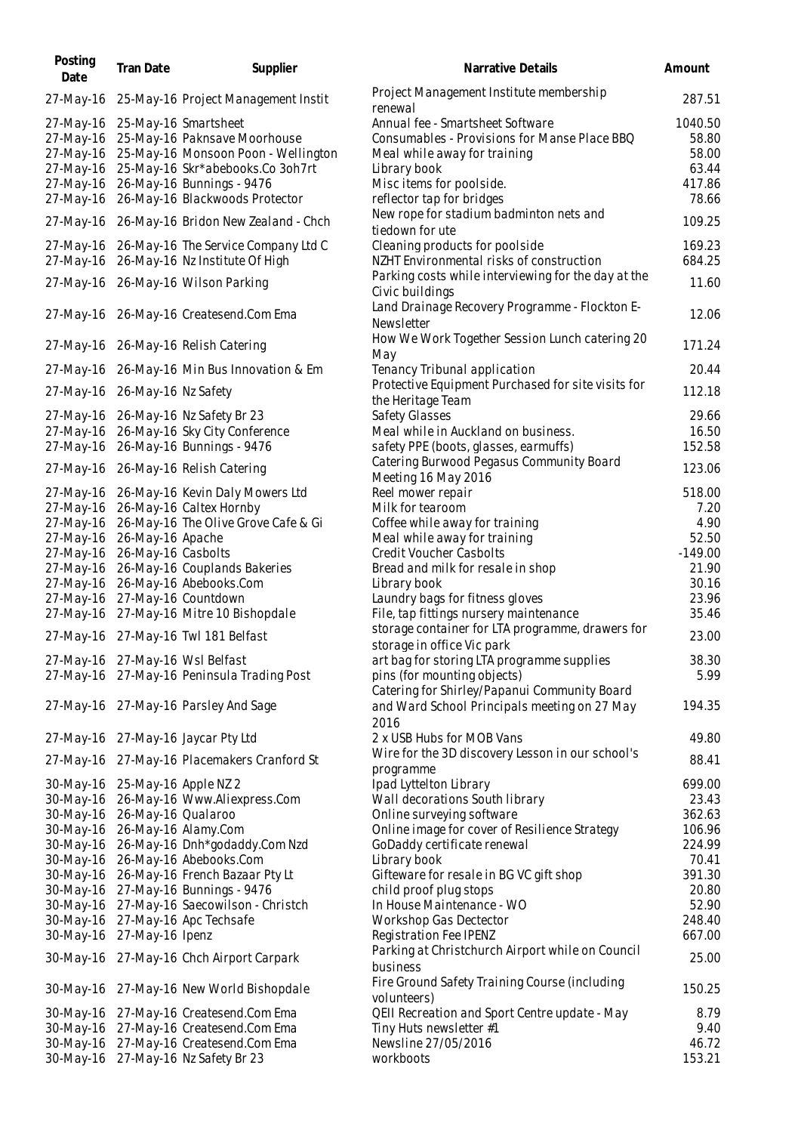| Posting<br>Date                                  | <b>Tran Date</b>                       | Supplier                                                                                                                        | Narrative Details                                                                                                                | Amount                             |
|--------------------------------------------------|----------------------------------------|---------------------------------------------------------------------------------------------------------------------------------|----------------------------------------------------------------------------------------------------------------------------------|------------------------------------|
| 27-May-16                                        |                                        | 25-May-16 Project Management Instit                                                                                             | Project Management Institute membership<br>renewal                                                                               | 287.51                             |
| 27-May-16<br>27-May-16<br>27-May-16<br>27-May-16 |                                        | 25-May-16 Smartsheet<br>25-May-16 Paknsave Moorhouse<br>25-May-16 Monsoon Poon - Wellington<br>25-May-16 Skr*abebooks.Co 3oh7rt | Annual fee - Smartsheet Software<br>Consumables - Provisions for Manse Place BBQ<br>Meal while away for training<br>Library book | 1040.50<br>58.80<br>58.00<br>63.44 |
| 27-May-16                                        |                                        | 27-May-16 26-May-16 Bunnings - 9476<br>26-May-16 Blackwoods Protector                                                           | Misc items for poolside.<br>reflector tap for bridges                                                                            | 417.86<br>78.66                    |
|                                                  |                                        | 27-May-16 26-May-16 Bridon New Zealand - Chch                                                                                   | New rope for stadium badminton nets and<br>tiedown for ute                                                                       | 109.25                             |
|                                                  |                                        | 27-May-16 26-May-16 The Service Company Ltd C<br>27-May-16 26-May-16 Nz Institute Of High                                       | Cleaning products for poolside<br>NZHT Environmental risks of construction                                                       | 169.23<br>684.25                   |
|                                                  |                                        | 27-May-16 26-May-16 Wilson Parking                                                                                              | Parking costs while interviewing for the day at the<br>Civic buildings                                                           | 11.60                              |
|                                                  |                                        | 27-May-16 26-May-16 Createsend.Com Ema                                                                                          | Land Drainage Recovery Programme - Flockton E-<br>Newsletter                                                                     | 12.06                              |
|                                                  |                                        | 27-May-16 26-May-16 Relish Catering                                                                                             | How We Work Together Session Lunch catering 20<br>May                                                                            | 171.24                             |
|                                                  |                                        | 27-May-16 26-May-16 Min Bus Innovation & Em                                                                                     | Tenancy Tribunal application<br>Protective Equipment Purchased for site visits for                                               | 20.44                              |
|                                                  | 27-May-16 26-May-16 Nz Safety          |                                                                                                                                 | the Heritage Team                                                                                                                | 112.18                             |
| 27-May-16                                        |                                        | 27-May-16 26-May-16 Nz Safety Br 23<br>26-May-16 Sky City Conference                                                            | Safety Glasses<br>Meal while in Auckland on business.                                                                            | 29.66<br>16.50                     |
| 27-May-16                                        |                                        | 26-May-16 Bunnings - 9476                                                                                                       | safety PPE (boots, glasses, earmuffs)                                                                                            | 152.58                             |
|                                                  |                                        | 27-May-16 26-May-16 Relish Catering                                                                                             | Catering Burwood Pegasus Community Board<br>Meeting 16 May 2016                                                                  | 123.06                             |
| 27-May-16                                        |                                        | 26-May-16 Kevin Daly Mowers Ltd                                                                                                 | Reel mower repair                                                                                                                | 518.00                             |
| 27-May-16                                        |                                        | 26-May-16 Caltex Hornby                                                                                                         | Milk for tearoom                                                                                                                 | 7.20                               |
| 27-May-16                                        |                                        | 26-May-16 The Olive Grove Cafe & Gi                                                                                             | Coffee while away for training                                                                                                   | 4.90                               |
| 27-May-16<br>27-May-16                           | 26-May-16 Apache<br>26-May-16 Casbolts |                                                                                                                                 | Meal while away for training<br><b>Credit Voucher Casbolts</b>                                                                   | 52.50<br>$-149.00$                 |
| 27-May-16                                        |                                        | 26-May-16 Couplands Bakeries                                                                                                    | Bread and milk for resale in shop                                                                                                | 21.90                              |
| 27-May-16                                        |                                        | 26-May-16 Abebooks.Com                                                                                                          | Library book                                                                                                                     | 30.16                              |
| 27-May-16                                        |                                        | 27-May-16 Countdown                                                                                                             | Laundry bags for fitness gloves                                                                                                  | 23.96                              |
| 27-May-16                                        |                                        | 27-May-16 Mitre 10 Bishopdale                                                                                                   | File, tap fittings nursery maintenance                                                                                           | 35.46                              |
|                                                  |                                        | 27-May-16 27-May-16 Twl 181 Belfast                                                                                             | storage container for LTA programme, drawers for<br>storage in office Vic park                                                   | 23.00                              |
|                                                  |                                        | 27-May-16 27-May-16 Wsl Belfast                                                                                                 | art bag for storing LTA programme supplies                                                                                       | 38.30                              |
|                                                  |                                        | 27-May-16 27-May-16 Peninsula Trading Post                                                                                      | pins (for mounting objects)<br>Catering for Shirley/Papanui Community Board                                                      | 5.99                               |
|                                                  |                                        | 27-May-16 27-May-16 Parsley And Sage                                                                                            | and Ward School Principals meeting on 27 May<br>2016                                                                             | 194.35                             |
|                                                  |                                        | 27-May-16 27-May-16 Jaycar Pty Ltd                                                                                              | 2 x USB Hubs for MOB Vans                                                                                                        | 49.80                              |
|                                                  |                                        | 27-May-16 27-May-16 Placemakers Cranford St                                                                                     | Wire for the 3D discovery Lesson in our school's<br>programme                                                                    | 88.41                              |
| 30-May-16                                        | 25-May-16 Apple NZ 2                   |                                                                                                                                 | Ipad Lyttelton Library                                                                                                           | 699.00                             |
| 30-May-16                                        |                                        | 26-May-16 Www.Aliexpress.Com                                                                                                    | Wall decorations South library                                                                                                   | 23.43                              |
| 30-May-16<br>30-May-16                           | 26-May-16 Qualaroo                     | 26-May-16 Alamy.Com                                                                                                             | Online surveying software<br>Online image for cover of Resilience Strategy                                                       | 362.63<br>106.96                   |
| 30-May-16                                        |                                        | 26-May-16 Dnh*godaddy.Com Nzd                                                                                                   | GoDaddy certificate renewal                                                                                                      | 224.99                             |
| 30-May-16                                        |                                        | 26-May-16 Abebooks.Com                                                                                                          | Library book                                                                                                                     | 70.41                              |
| 30-May-16                                        |                                        | 26-May-16 French Bazaar Pty Lt                                                                                                  | Gifteware for resale in BG VC gift shop                                                                                          | 391.30                             |
| 30-May-16                                        |                                        | 27-May-16 Bunnings - 9476                                                                                                       | child proof plug stops                                                                                                           | 20.80                              |
| 30-May-16                                        |                                        | 27-May-16 Saecowilson - Christch                                                                                                | In House Maintenance - WO                                                                                                        | 52.90                              |
| 30-May-16                                        |                                        | 27-May-16 Apc Techsafe                                                                                                          | Workshop Gas Dectector                                                                                                           | 248.40                             |
| 30-May-16                                        | 27-May-16 Ipenz                        |                                                                                                                                 | Registration Fee IPENZ                                                                                                           | 667.00                             |
|                                                  |                                        | 30-May-16 27-May-16 Chch Airport Carpark                                                                                        | Parking at Christchurch Airport while on Council<br>business                                                                     | 25.00                              |
|                                                  |                                        | 30-May-16 27-May-16 New World Bishopdale                                                                                        | Fire Ground Safety Training Course (including<br>volunteers)                                                                     | 150.25                             |
|                                                  |                                        | 30-May-16 27-May-16 Createsend.Com Ema                                                                                          | QEII Recreation and Sport Centre update - May                                                                                    | 8.79                               |
|                                                  |                                        | 30-May-16 27-May-16 Createsend.Com Ema                                                                                          | Tiny Huts newsletter #1                                                                                                          | 9.40                               |
|                                                  |                                        | 30-May-16 27-May-16 Createsend.Com Ema                                                                                          | Newsline 27/05/2016                                                                                                              | 46.72                              |
|                                                  |                                        | 30-May-16 27-May-16 Nz Safety Br 23                                                                                             | workboots                                                                                                                        | 153.21                             |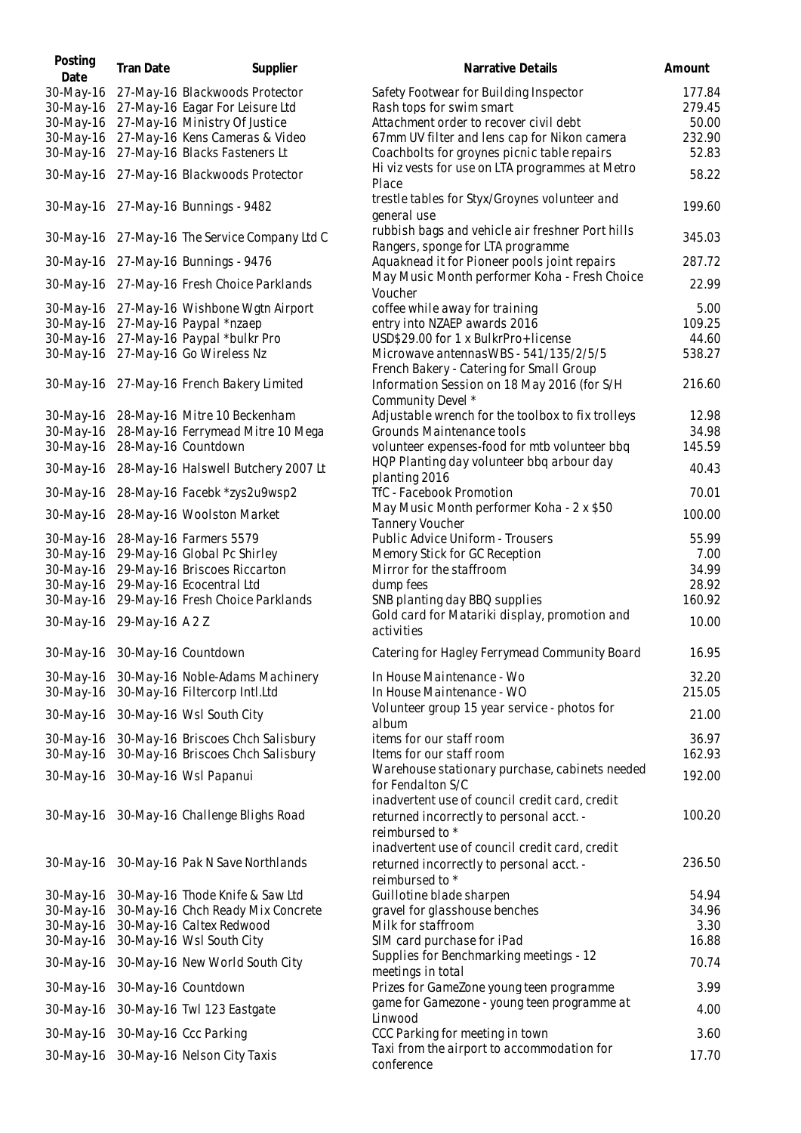| Posting<br>Date | <b>Tran Date</b>        | Supplier                                      | Narrative Details                                                                                             | Amount |
|-----------------|-------------------------|-----------------------------------------------|---------------------------------------------------------------------------------------------------------------|--------|
| 30-May-16       |                         | 27-May-16 Blackwoods Protector                | Safety Footwear for Building Inspector                                                                        | 177.84 |
| 30-May-16       |                         | 27-May-16 Eagar For Leisure Ltd               | Rash tops for swim smart                                                                                      | 279.45 |
| 30-May-16       |                         | 27-May-16 Ministry Of Justice                 | Attachment order to recover civil debt                                                                        | 50.00  |
| 30-May-16       |                         | 27-May-16 Kens Cameras & Video                | 67mm UV filter and lens cap for Nikon camera                                                                  | 232.90 |
| 30-May-16       |                         | 27-May-16 Blacks Fasteners Lt                 | Coachbolts for groynes picnic table repairs                                                                   | 52.83  |
|                 |                         | 30-May-16 27-May-16 Blackwoods Protector      | Hi viz vests for use on LTA programmes at Metro<br>Place                                                      | 58.22  |
|                 |                         | 30-May-16 27-May-16 Bunnings - 9482           | trestle tables for Styx/Groynes volunteer and<br>general use                                                  | 199.60 |
|                 |                         | 30-May-16 27-May-16 The Service Company Ltd C | rubbish bags and vehicle air freshner Port hills<br>Rangers, sponge for LTA programme                         | 345.03 |
|                 |                         | 30-May-16 27-May-16 Bunnings - 9476           | Aquaknead it for Pioneer pools joint repairs                                                                  | 287.72 |
|                 |                         | 30-May-16 27-May-16 Fresh Choice Parklands    | May Music Month performer Koha - Fresh Choice<br>Voucher                                                      | 22.99  |
| 30-May-16       |                         | 27-May-16 Wishbone Wgtn Airport               | coffee while away for training                                                                                | 5.00   |
| 30-May-16       |                         | 27-May-16 Paypal *nzaep                       | entry into NZAEP awards 2016                                                                                  | 109.25 |
| 30-May-16       |                         | 27-May-16 Paypal *bulkr Pro                   | USD\$29.00 for 1 x BulkrPro+ license                                                                          | 44.60  |
| 30-May-16       |                         | 27-May-16 Go Wireless Nz                      | Microwave antennasWBS - 541/135/2/5/5<br>French Bakery - Catering for Small Group                             | 538.27 |
|                 |                         | 30-May-16 27-May-16 French Bakery Limited     | Information Session on 18 May 2016 (for S/H<br>Community Devel *                                              | 216.60 |
| 30-May-16       |                         | 28-May-16 Mitre 10 Beckenham                  | Adjustable wrench for the toolbox to fix trolleys                                                             | 12.98  |
| 30-May-16       |                         | 28-May-16 Ferrymead Mitre 10 Mega             | Grounds Maintenance tools                                                                                     | 34.98  |
| 30-May-16       |                         | 28-May-16 Countdown                           | volunteer expenses-food for mtb volunteer bbq                                                                 | 145.59 |
|                 |                         | 30-May-16 28-May-16 Halswell Butchery 2007 Lt | HQP Planting day volunteer bbq arbour day<br>planting 2016                                                    | 40.43  |
| 30-May-16       |                         | 28-May-16 Facebk *zys2u9wsp2                  | TfC - Facebook Promotion                                                                                      | 70.01  |
| 30-May-16       |                         | 28-May-16 Woolston Market                     | May Music Month performer Koha - 2 x \$50<br><b>Tannery Voucher</b>                                           | 100.00 |
| 30-May-16       |                         | 28-May-16 Farmers 5579                        | Public Advice Uniform - Trousers                                                                              | 55.99  |
| 30-May-16       |                         | 29-May-16 Global Pc Shirley                   | Memory Stick for GC Reception                                                                                 | 7.00   |
| 30-May-16       |                         | 29-May-16 Briscoes Riccarton                  | Mirror for the staffroom                                                                                      | 34.99  |
| 30-May-16       |                         | 29-May-16 Ecocentral Ltd                      | dump fees                                                                                                     | 28.92  |
| 30-May-16       |                         | 29-May-16 Fresh Choice Parklands              | SNB planting day BBQ supplies                                                                                 | 160.92 |
|                 | 30-May-16 29-May-16 A2Z |                                               | Gold card for Matariki display, promotion and<br>activities                                                   | 10.00  |
|                 |                         | 30-May-16 30-May-16 Countdown                 | Catering for Hagley Ferrymead Community Board                                                                 | 16.95  |
|                 |                         | 30-May-16 30-May-16 Noble-Adams Machinery     | In House Maintenance - Wo                                                                                     | 32.20  |
|                 |                         | 30-May-16 30-May-16 Filtercorp Intl.Ltd       | In House Maintenance - WO<br>Volunteer group 15 year service - photos for                                     | 215.05 |
|                 |                         | 30-May-16 30-May-16 Wsl South City            | album                                                                                                         | 21.00  |
|                 |                         | 30-May-16 30-May-16 Briscoes Chch Salisbury   | items for our staff room                                                                                      | 36.97  |
|                 |                         | 30-May-16 30-May-16 Briscoes Chch Salisbury   | Items for our staff room                                                                                      | 162.93 |
|                 |                         | 30-May-16 30-May-16 Wsl Papanui               | Warehouse stationary purchase, cabinets needed<br>for Fendalton S/C                                           | 192.00 |
|                 |                         | 30-May-16 30-May-16 Challenge Blighs Road     | inadvertent use of council credit card, credit<br>returned incorrectly to personal acct. -<br>reimbursed to * | 100.20 |
|                 |                         | 30-May-16 30-May-16 Pak N Save Northlands     | inadvertent use of council credit card, credit<br>returned incorrectly to personal acct. -<br>reimbursed to * | 236.50 |
| 30-May-16       |                         | 30-May-16 Thode Knife & Saw Ltd               | Guillotine blade sharpen                                                                                      | 54.94  |
| 30-May-16       |                         | 30-May-16 Chch Ready Mix Concrete             | gravel for glasshouse benches                                                                                 | 34.96  |
| 30-May-16       |                         | 30-May-16 Caltex Redwood                      | Milk for staffroom                                                                                            | 3.30   |
| 30-May-16       |                         | 30-May-16 Wsl South City                      | SIM card purchase for iPad                                                                                    | 16.88  |
|                 |                         | 30-May-16 30-May-16 New World South City      | Supplies for Benchmarking meetings - 12<br>meetings in total                                                  | 70.74  |
|                 |                         | 30-May-16 30-May-16 Countdown                 | Prizes for GameZone young teen programme                                                                      | 3.99   |
|                 |                         | 30-May-16 30-May-16 Twl 123 Eastgate          | game for Gamezone - young teen programme at<br>Linwood                                                        | 4.00   |
|                 |                         | 30-May-16 30-May-16 Ccc Parking               | CCC Parking for meeting in town                                                                               | 3.60   |
|                 |                         | 30-May-16 30-May-16 Nelson City Taxis         | Taxi from the airport to accommodation for<br>conference                                                      | 17.70  |
|                 |                         |                                               |                                                                                                               |        |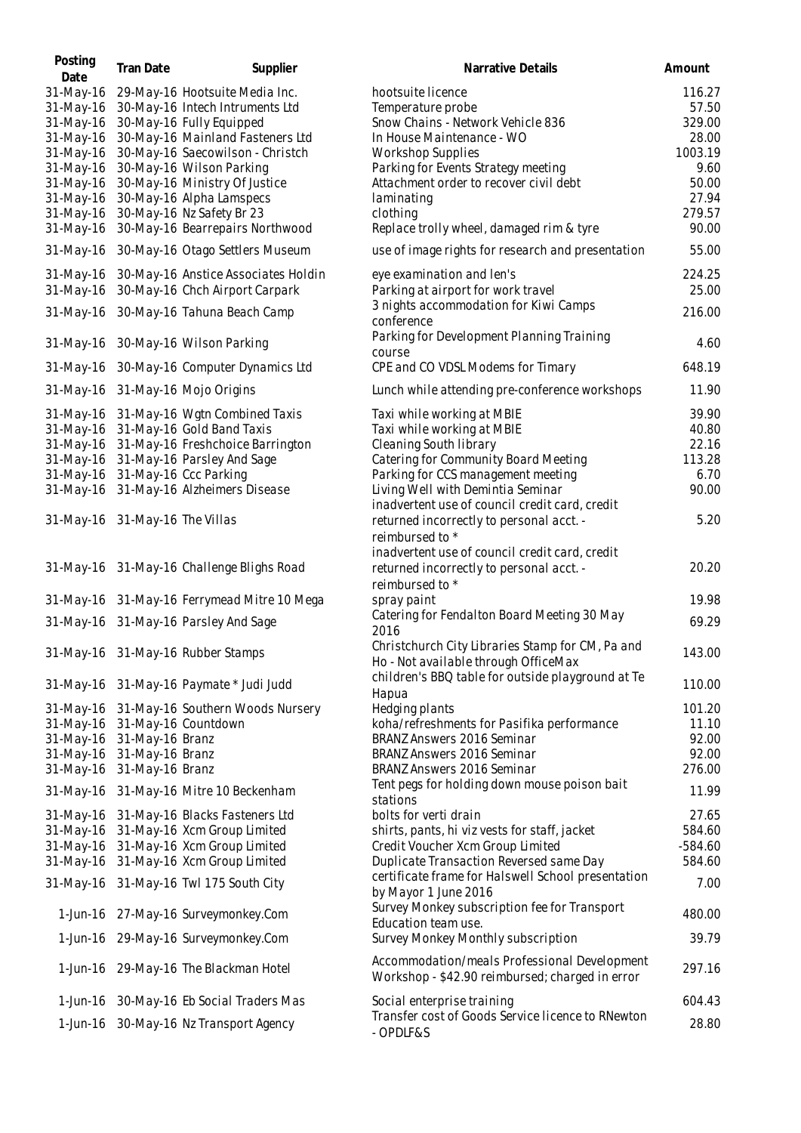| Posting<br>Date                | Tran Date       | Supplier                                                          | Narrative Details                                                               | Amount          |
|--------------------------------|-----------------|-------------------------------------------------------------------|---------------------------------------------------------------------------------|-----------------|
| 31-May-16<br>31-May-16         |                 | 29-May-16 Hootsuite Media Inc.<br>30-May-16 Intech Intruments Ltd | hootsuite licence<br>Temperature probe                                          | 116.27<br>57.50 |
| 31-May-16                      |                 | 30-May-16 Fully Equipped                                          | Snow Chains - Network Vehicle 836                                               | 329.00          |
| 31-May-16                      |                 | 30-May-16 Mainland Fasteners Ltd                                  | In House Maintenance - WO                                                       | 28.00           |
| 31-May-16                      |                 | 30-May-16 Saecowilson - Christch                                  | <b>Workshop Supplies</b>                                                        | 1003.19         |
| 31-May-16                      |                 | 30-May-16 Wilson Parking                                          | Parking for Events Strategy meeting                                             | 9.60            |
| 31-May-16                      |                 | 30-May-16 Ministry Of Justice                                     | Attachment order to recover civil debt                                          | 50.00           |
| 31-May-16                      |                 | 30-May-16 Alpha Lamspecs                                          | laminating                                                                      | 27.94           |
| 31-May-16                      |                 | 30-May-16 Nz Safety Br 23                                         | clothing                                                                        | 279.57          |
| 31-May-16                      |                 | 30-May-16 Bearrepairs Northwood                                   | Replace trolly wheel, damaged rim & tyre                                        | 90.00           |
|                                |                 | 31-May-16 30-May-16 Otago Settlers Museum                         | use of image rights for research and presentation                               | 55.00           |
|                                |                 | 31-May-16 30-May-16 Anstice Associates Holdin                     | eye examination and len's                                                       | 224.25          |
|                                |                 | 31-May-16 30-May-16 Chch Airport Carpark                          | Parking at airport for work travel                                              | 25.00           |
|                                |                 | 31-May-16 30-May-16 Tahuna Beach Camp                             | 3 nights accommodation for Kiwi Camps                                           | 216.00          |
|                                |                 |                                                                   | conference                                                                      |                 |
|                                |                 | 31-May-16 30-May-16 Wilson Parking                                | Parking for Development Planning Training<br>course                             | 4.60            |
|                                |                 | 31-May-16 30-May-16 Computer Dynamics Ltd                         | CPE and CO VDSL Modems for Timary                                               | 648.19          |
|                                |                 | 31-May-16 31-May-16 Mojo Origins                                  | Lunch while attending pre-conference workshops                                  | 11.90           |
| 31-May-16                      |                 | 31-May-16 Wgtn Combined Taxis                                     | Taxi while working at MBIE                                                      | 39.90           |
| 31-May-16                      |                 | 31-May-16 Gold Band Taxis                                         | Taxi while working at MBIE                                                      | 40.80           |
| 31-May-16                      |                 | 31-May-16 Freshchoice Barrington                                  | Cleaning South library                                                          | 22.16           |
| 31-May-16                      |                 | 31-May-16 Parsley And Sage                                        | Catering for Community Board Meeting                                            | 113.28          |
| 31-May-16                      |                 | 31-May-16 Ccc Parking                                             | Parking for CCS management meeting                                              | 6.70            |
| 31-May-16                      |                 | 31-May-16 Alzheimers Disease                                      | Living Well with Demintia Seminar                                               | 90.00           |
|                                |                 |                                                                   | inadvertent use of council credit card, credit                                  |                 |
| 31-May-16 31-May-16 The Villas |                 |                                                                   | returned incorrectly to personal acct. -                                        | 5.20            |
|                                |                 |                                                                   | reimbursed to *                                                                 |                 |
|                                |                 |                                                                   | inadvertent use of council credit card, credit                                  |                 |
|                                |                 | 31-May-16 31-May-16 Challenge Blighs Road                         | returned incorrectly to personal acct. -                                        | 20.20           |
|                                |                 |                                                                   | reimbursed to *                                                                 |                 |
|                                |                 | 31-May-16 31-May-16 Ferrymead Mitre 10 Mega                       | spray paint                                                                     | 19.98           |
|                                |                 | 31-May-16 31-May-16 Parsley And Sage                              | Catering for Fendalton Board Meeting 30 May                                     | 69.29           |
|                                |                 |                                                                   | 2016                                                                            |                 |
|                                |                 | 31-May-16 31-May-16 Rubber Stamps                                 | Christchurch City Libraries Stamp for CM, Pa and                                | 143.00          |
|                                |                 |                                                                   | Ho - Not available through OfficeMax                                            |                 |
|                                |                 | 31-May-16 31-May-16 Paymate * Judi Judd                           | children's BBQ table for outside playground at Te                               | 110.00          |
|                                |                 |                                                                   | Hapua                                                                           |                 |
| 31-May-16                      |                 | 31-May-16 Southern Woods Nursery                                  | Hedging plants                                                                  | 101.20          |
| 31-May-16<br>$31-May-16$       | 31-May-16 Branz | 31-May-16 Countdown                                               | koha/refreshments for Pasifika performance<br>BRANZ Answers 2016 Seminar        | 11.10<br>92.00  |
| $31-May-16$                    | 31-May-16 Branz |                                                                   | BRANZ Answers 2016 Seminar                                                      | 92.00           |
| 31-May-16                      | 31-May-16 Branz |                                                                   | BRANZ Answers 2016 Seminar                                                      | 276.00          |
|                                |                 |                                                                   | Tent pegs for holding down mouse poison bait                                    |                 |
|                                |                 | 31-May-16 31-May-16 Mitre 10 Beckenham                            | stations                                                                        | 11.99           |
| 31-May-16                      |                 | 31-May-16 Blacks Fasteners Ltd                                    | bolts for verti drain                                                           | 27.65           |
| 31-May-16                      |                 | 31-May-16 Xcm Group Limited                                       | shirts, pants, hi viz vests for staff, jacket                                   | 584.60          |
| 31-May-16                      |                 | 31-May-16 Xcm Group Limited                                       | Credit Voucher Xcm Group Limited                                                | $-584.60$       |
| 31-May-16                      |                 | 31-May-16 Xcm Group Limited                                       | Duplicate Transaction Reversed same Day                                         | 584.60          |
|                                |                 | 31-May-16 31-May-16 Twl 175 South City                            | certificate frame for Halswell School presentation                              | 7.00            |
|                                |                 |                                                                   | by Mayor 1 June 2016                                                            |                 |
|                                |                 | 1-Jun-16 27-May-16 Surveymonkey.Com                               | Survey Monkey subscription fee for Transport                                    | 480.00          |
|                                |                 |                                                                   | Education team use.                                                             |                 |
|                                |                 | 1-Jun-16 29-May-16 Surveymonkey.Com                               | Survey Monkey Monthly subscription                                              | 39.79           |
|                                |                 |                                                                   | Accommodation/meals Professional Development                                    |                 |
|                                |                 | 1-Jun-16 29-May-16 The Blackman Hotel                             | Workshop - \$42.90 reimbursed; charged in error                                 | 297.16          |
|                                |                 |                                                                   |                                                                                 |                 |
|                                |                 | 1-Jun-16 30-May-16 Eb Social Traders Mas                          | Social enterprise training<br>Transfer cost of Goods Service licence to RNewton | 604.43          |
|                                |                 | 1-Jun-16 30-May-16 Nz Transport Agency                            | - OPDLF&S                                                                       | 28.80           |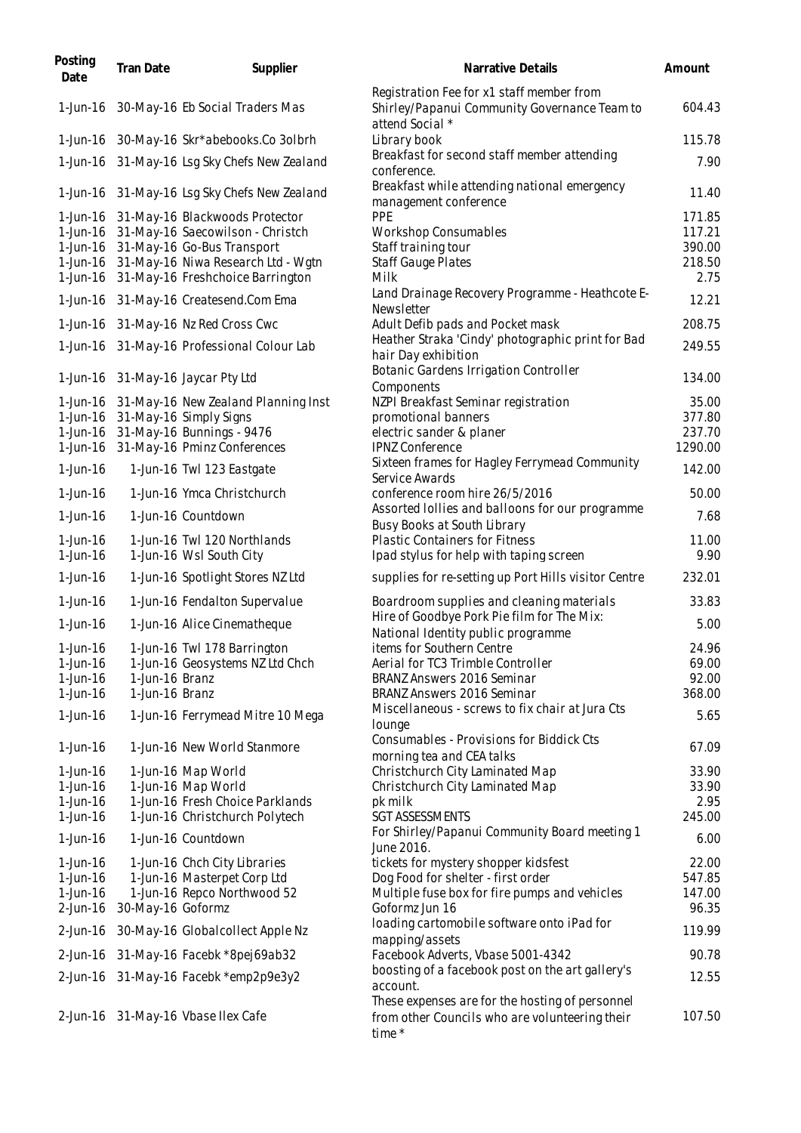| Posting<br>Date            | Tran Date         | Supplier                                             | Narrative Details                                                                                            | Amount         |
|----------------------------|-------------------|------------------------------------------------------|--------------------------------------------------------------------------------------------------------------|----------------|
| $1$ -Jun- $16$             |                   | 30-May-16 Eb Social Traders Mas                      | Registration Fee for x1 staff member from<br>Shirley/Papanui Community Governance Team to<br>attend Social * | 604.43         |
|                            |                   | 1-Jun-16 30-May-16 Skr*abebooks.Co 3olbrh            | Library book                                                                                                 | 115.78         |
| $1$ -Jun- $16$             |                   | 31-May-16 Lsg Sky Chefs New Zealand                  | Breakfast for second staff member attending<br>conference.                                                   | 7.90           |
|                            |                   | 1-Jun-16 31-May-16 Lsg Sky Chefs New Zealand         | Breakfast while attending national emergency<br>management conference                                        | 11.40          |
|                            |                   | 1-Jun-16 31-May-16 Blackwoods Protector              | PPE                                                                                                          | 171.85         |
|                            |                   | 1-Jun-16 31-May-16 Saecowilson - Christch            | <b>Workshop Consumables</b>                                                                                  | 117.21         |
|                            |                   | 1-Jun-16 31-May-16 Go-Bus Transport                  | Staff training tour                                                                                          | 390.00         |
|                            |                   | 1-Jun-16 31-May-16 Niwa Research Ltd - Wgtn          | <b>Staff Gauge Plates</b>                                                                                    | 218.50         |
|                            |                   | 1-Jun-16 31-May-16 Freshchoice Barrington            | Milk                                                                                                         | 2.75           |
| $1$ -Jun- $16$             |                   | 31-May-16 Createsend.Com Ema                         | Land Drainage Recovery Programme - Heathcote E-<br>Newsletter                                                | 12.21          |
| $1$ -Jun- $16$             |                   | 31-May-16 Nz Red Cross Cwc                           | Adult Defib pads and Pocket mask                                                                             | 208.75         |
| $1$ -Jun- $16$             |                   | 31-May-16 Professional Colour Lab                    | Heather Straka 'Cindy' photographic print for Bad<br>hair Day exhibition                                     | 249.55         |
| $1$ -Jun- $16$             |                   | 31-May-16 Jaycar Pty Ltd                             | Botanic Gardens Irrigation Controller<br>Components                                                          | 134.00         |
| $1$ -Jun- $16$             |                   | 31-May-16 New Zealand Planning Inst                  | NZPI Breakfast Seminar registration                                                                          | 35.00          |
|                            |                   | 1-Jun-16 31-May-16 Simply Signs                      | promotional banners                                                                                          | 377.80         |
|                            |                   | 1-Jun-16 31-May-16 Bunnings - 9476                   | electric sander & planer                                                                                     | 237.70         |
| $1$ -Jun- $16$             |                   | 31-May-16 Pminz Conferences                          | <b>IPNZ Conference</b>                                                                                       | 1290.00        |
| $1$ -Jun- $16$             |                   | 1-Jun-16 Twl 123 Eastgate                            | Sixteen frames for Hagley Ferrymead Community<br>Service Awards                                              | 142.00         |
| $1$ -Jun- $16$             |                   | 1-Jun-16 Ymca Christchurch                           | conference room hire 26/5/2016                                                                               | 50.00          |
| $1$ -Jun- $16$             |                   | 1-Jun-16 Countdown                                   | Assorted Iollies and balloons for our programme<br>Busy Books at South Library                               | 7.68           |
| 1-Jun-16                   |                   | 1-Jun-16 Twl 120 Northlands                          | <b>Plastic Containers for Fitness</b>                                                                        | 11.00          |
| 1-Jun-16                   |                   | 1-Jun-16 Wsl South City                              | Ipad stylus for help with taping screen                                                                      | 9.90           |
| $1$ -Jun- $16$             |                   | 1-Jun-16 Spotlight Stores NZ Ltd                     | supplies for re-setting up Port Hills visitor Centre                                                         | 232.01         |
| $1$ -Jun- $16$             |                   | 1-Jun-16 Fendalton Supervalue                        | Boardroom supplies and cleaning materials<br>Hire of Goodbye Pork Pie film for The Mix:                      | 33.83          |
| 1-Jun-16                   |                   | 1-Jun-16 Alice Cinematheque                          | National Identity public programme                                                                           | 5.00           |
| 1-Jun-16                   |                   | 1-Jun-16 Twl 178 Barrington                          | items for Southern Centre                                                                                    | 24.96          |
| 1-Jun-16                   |                   | 1-Jun-16 Geosystems NZ Ltd Chch                      | Aerial for TC3 Trimble Controller                                                                            | 69.00          |
| 1-Jun-16                   | 1-Jun-16 Branz    |                                                      | BRANZ Answers 2016 Seminar                                                                                   | 92.00          |
| $1$ -Jun- $16$             | 1-Jun-16 Branz    |                                                      | BRANZ Answers 2016 Seminar                                                                                   | 368.00         |
| 1-Jun-16                   |                   | 1-Jun-16 Ferrymead Mitre 10 Mega                     | Miscellaneous - screws to fix chair at Jura Cts                                                              | 5.65           |
|                            |                   |                                                      | lounge                                                                                                       |                |
| $1$ -Jun- $16$             |                   | 1-Jun-16 New World Stanmore                          | Consumables - Provisions for Biddick Cts<br>morning tea and CEA talks                                        | 67.09          |
| 1-Jun-16                   |                   | 1-Jun-16 Map World                                   | Christchurch City Laminated Map                                                                              | 33.90          |
| 1-Jun-16                   |                   | 1-Jun-16 Map World                                   | Christchurch City Laminated Map                                                                              | 33.90          |
| $1$ -Jun- $16$             |                   | 1-Jun-16 Fresh Choice Parklands                      | pk milk                                                                                                      | 2.95           |
| 1-Jun-16<br>$1$ -Jun- $16$ |                   | 1-Jun-16 Christchurch Polytech<br>1-Jun-16 Countdown | <b>SGT ASSESSMENTS</b><br>For Shirley/Papanui Community Board meeting 1                                      | 245.00<br>6.00 |
|                            |                   |                                                      | June 2016.                                                                                                   |                |
| 1-Jun-16                   |                   | 1-Jun-16 Chch City Libraries                         | tickets for mystery shopper kidsfest                                                                         | 22.00          |
| 1-Jun-16                   |                   | 1-Jun-16 Masterpet Corp Ltd                          | Dog Food for shelter - first order                                                                           | 547.85         |
| 1-Jun-16                   |                   | 1-Jun-16 Repco Northwood 52                          | Multiple fuse box for fire pumps and vehicles                                                                | 147.00         |
| $2$ -Jun-16                | 30-May-16 Goformz |                                                      | Goformz Jun 16                                                                                               | 96.35          |
| $2$ -Jun-16                |                   | 30-May-16 Globalcollect Apple Nz                     | loading cartomobile software onto iPad for<br>mapping/assets                                                 | 119.99         |
| $2$ -Jun-16                |                   | 31-May-16 Facebk *8pej69ab32                         | Facebook Adverts, Vbase 5001-4342                                                                            | 90.78          |
|                            |                   | 2-Jun-16 31-May-16 Facebk *emp2p9e3y2                | boosting of a facebook post on the art gallery's<br>account.                                                 | 12.55          |
|                            |                   | 2-Jun-16 31-May-16 Vbase Ilex Cafe                   | These expenses are for the hosting of personnel<br>from other Councils who are volunteering their<br>time *  | 107.50         |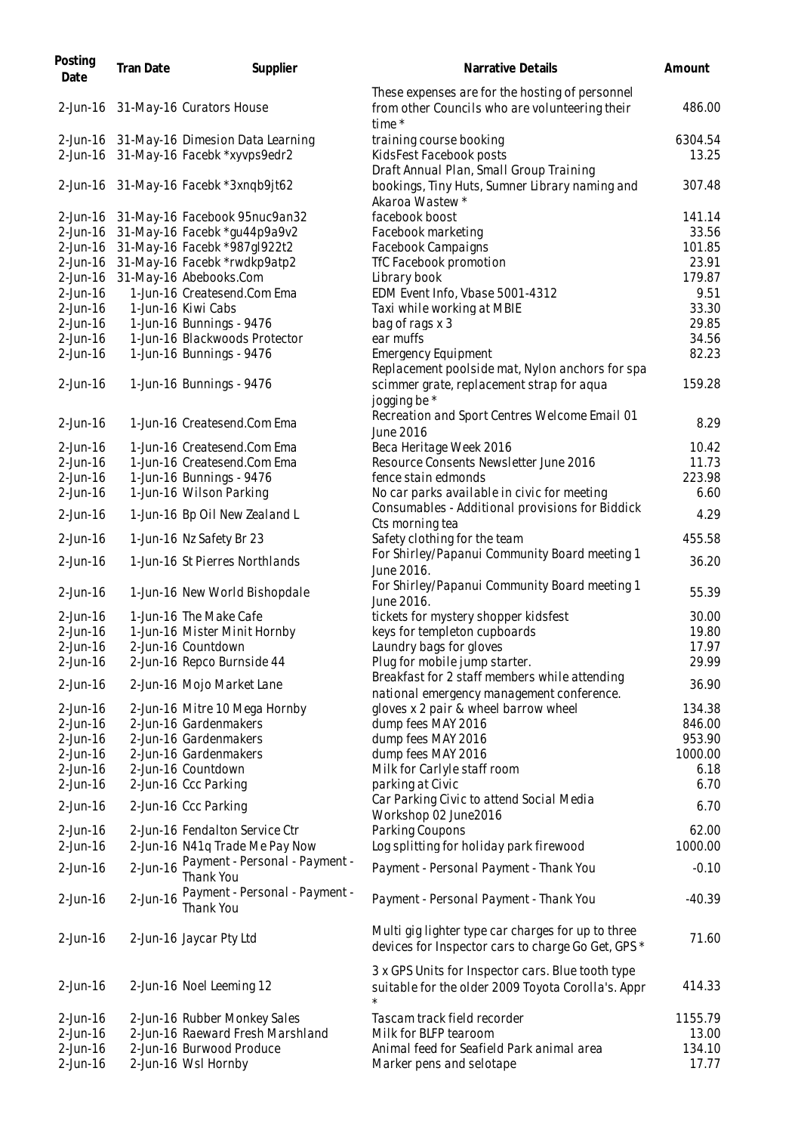| Posting<br>Date | <b>Tran Date</b> | Supplier                                    | Narrative Details                                                                                             | Amount   |
|-----------------|------------------|---------------------------------------------|---------------------------------------------------------------------------------------------------------------|----------|
|                 |                  | 2-Jun-16 31-May-16 Curators House           | These expenses are for the hosting of personnel<br>from other Councils who are volunteering their<br>time $*$ | 486.00   |
|                 |                  | 2-Jun-16 31-May-16 Dimesion Data Learning   | training course booking                                                                                       | 6304.54  |
|                 |                  | 2-Jun-16 31-May-16 Facebk *xyvps9edr2       | KidsFest Facebook posts<br>Draft Annual Plan, Small Group Training                                            | 13.25    |
|                 |                  | 2-Jun-16 31-May-16 Facebk *3xnqb9jt62       | bookings, Tiny Huts, Sumner Library naming and<br>Akaroa Wastew *                                             | 307.48   |
|                 |                  | 2-Jun-16 31-May-16 Facebook 95nuc9an32      | facebook boost                                                                                                | 141.14   |
|                 |                  | 2-Jun-16 31-May-16 Facebk *gu44p9a9v2       | Facebook marketing                                                                                            | 33.56    |
|                 |                  | 2-Jun-16 31-May-16 Facebk *987gl922t2       | Facebook Campaigns                                                                                            | 101.85   |
|                 |                  | 2-Jun-16 31-May-16 Facebk *rwdkp9atp2       | TfC Facebook promotion                                                                                        | 23.91    |
| $2$ -Jun-16     |                  | 31-May-16 Abebooks.Com                      | Library book                                                                                                  | 179.87   |
| $2$ -Jun-16     |                  | 1-Jun-16 Createsend.Com Ema                 | EDM Event Info, Vbase 5001-4312                                                                               | 9.51     |
| $2$ -Jun-16     |                  | 1-Jun-16 Kiwi Cabs                          | Taxi while working at MBIE                                                                                    | 33.30    |
| $2$ -Jun-16     |                  | 1-Jun-16 Bunnings - 9476                    | bag of rags x 3                                                                                               | 29.85    |
| $2$ -Jun-16     |                  | 1-Jun-16 Blackwoods Protector               | ear muffs                                                                                                     | 34.56    |
| $2$ -Jun-16     |                  | 1-Jun-16 Bunnings - 9476                    | <b>Emergency Equipment</b>                                                                                    | 82.23    |
|                 |                  |                                             | Replacement poolside mat, Nylon anchors for spa                                                               |          |
| $2$ -Jun-16     |                  | 1-Jun-16 Bunnings - 9476                    | scimmer grate, replacement strap for aqua                                                                     | 159.28   |
|                 |                  |                                             | jogging be *                                                                                                  |          |
|                 |                  |                                             | Recreation and Sport Centres Welcome Email 01                                                                 |          |
| $2$ -Jun-16     |                  | 1-Jun-16 Createsend.Com Ema                 | June 2016                                                                                                     | 8.29     |
| $2$ -Jun-16     |                  | 1-Jun-16 Createsend.Com Ema                 | Beca Heritage Week 2016                                                                                       | 10.42    |
| $2$ -Jun-16     |                  | 1-Jun-16 Createsend.Com Ema                 | Resource Consents Newsletter June 2016                                                                        | 11.73    |
| $2$ -Jun-16     |                  | 1-Jun-16 Bunnings - 9476                    | fence stain edmonds                                                                                           | 223.98   |
| $2$ -Jun-16     |                  | 1-Jun-16 Wilson Parking                     | No car parks available in civic for meeting                                                                   | 6.60     |
|                 |                  |                                             | Consumables - Additional provisions for Biddick                                                               |          |
| $2$ -Jun-16     |                  | 1-Jun-16 Bp Oil New Zealand L               | Cts morning tea                                                                                               | 4.29     |
| $2$ -Jun-16     |                  | 1-Jun-16 Nz Safety Br 23                    | Safety clothing for the team                                                                                  | 455.58   |
| $2$ -Jun-16     |                  | 1-Jun-16 St Pierres Northlands              | For Shirley/Papanui Community Board meeting 1                                                                 | 36.20    |
| $2$ -Jun-16     |                  | 1-Jun-16 New World Bishopdale               | June 2016.<br>For Shirley/Papanui Community Board meeting 1<br>June 2016.                                     | 55.39    |
| $2$ -Jun-16     |                  | 1-Jun-16 The Make Cafe                      | tickets for mystery shopper kidsfest                                                                          | 30.00    |
| $2$ -Jun-16     |                  | 1-Jun-16 Mister Minit Hornby                | keys for templeton cupboards                                                                                  | 19.80    |
| 2-Jun-16        |                  | 2-Jun-16 Countdown                          | Laundry bags for gloves                                                                                       | 17.97    |
| 2-Jun-16        |                  | 2-Jun-16 Repco Burnside 44                  | Plug for mobile jump starter.                                                                                 | 29.99    |
|                 |                  |                                             | Breakfast for 2 staff members while attending                                                                 |          |
| $2$ -Jun-16     |                  | 2-Jun-16 Mojo Market Lane                   | national emergency management conference.                                                                     | 36.90    |
| $2$ -Jun-16     |                  | 2-Jun-16 Mitre 10 Mega Hornby               | gloves x 2 pair & wheel barrow wheel                                                                          | 134.38   |
| $2$ -Jun-16     |                  | 2-Jun-16 Gardenmakers                       | dump fees MAY 2016                                                                                            | 846.00   |
| $2$ -Jun-16     |                  | 2-Jun-16 Gardenmakers                       | dump fees MAY 2016                                                                                            | 953.90   |
| $2$ -Jun-16     |                  | 2-Jun-16 Gardenmakers                       | dump fees MAY 2016                                                                                            | 1000.00  |
| $2$ -Jun-16     |                  | 2-Jun-16 Countdown                          | Milk for Carlyle staff room                                                                                   | 6.18     |
| $2$ -Jun-16     |                  | 2-Jun-16 Ccc Parking                        | parking at Civic                                                                                              | 6.70     |
| $2$ -Jun-16     |                  | 2-Jun-16 Ccc Parking                        | Car Parking Civic to attend Social Media<br>Workshop 02 June2016                                              | 6.70     |
| $2$ -Jun-16     |                  | 2-Jun-16 Fendalton Service Ctr              | Parking Coupons                                                                                               | 62.00    |
| $2$ -Jun-16     |                  | 2-Jun-16 N41q Trade Me Pay Now              | Log splitting for holiday park firewood                                                                       | 1000.00  |
|                 |                  | Payment - Personal - Payment -              |                                                                                                               |          |
| $2$ -Jun-16     | $2$ -Jun-16      | Thank You                                   | Payment - Personal Payment - Thank You                                                                        | $-0.10$  |
| 2-Jun-16        | $2$ -Jun-16      | Payment - Personal - Payment -<br>Thank You | Payment - Personal Payment - Thank You                                                                        | $-40.39$ |
| $2$ -Jun-16     |                  | 2-Jun-16 Jaycar Pty Ltd                     | Multi gig lighter type car charges for up to three<br>devices for Inspector cars to charge Go Get, GPS *      | 71.60    |
| $2$ -Jun-16     |                  | 2-Jun-16 Noel Leeming 12                    | 3 x GPS Units for Inspector cars. Blue tooth type<br>suitable for the older 2009 Toyota Corolla's. Appr       | 414.33   |
| $2$ -Jun-16     |                  | 2-Jun-16 Rubber Monkey Sales                | Tascam track field recorder                                                                                   | 1155.79  |
| $2$ -Jun-16     |                  | 2-Jun-16 Raeward Fresh Marshland            | Milk for BLFP tearoom                                                                                         | 13.00    |
| $2$ -Jun-16     |                  | 2-Jun-16 Burwood Produce                    | Animal feed for Seafield Park animal area                                                                     | 134.10   |
| 2-Jun-16        |                  | 2-Jun-16 Wsl Hornby                         | Marker pens and selotape                                                                                      | 17.77    |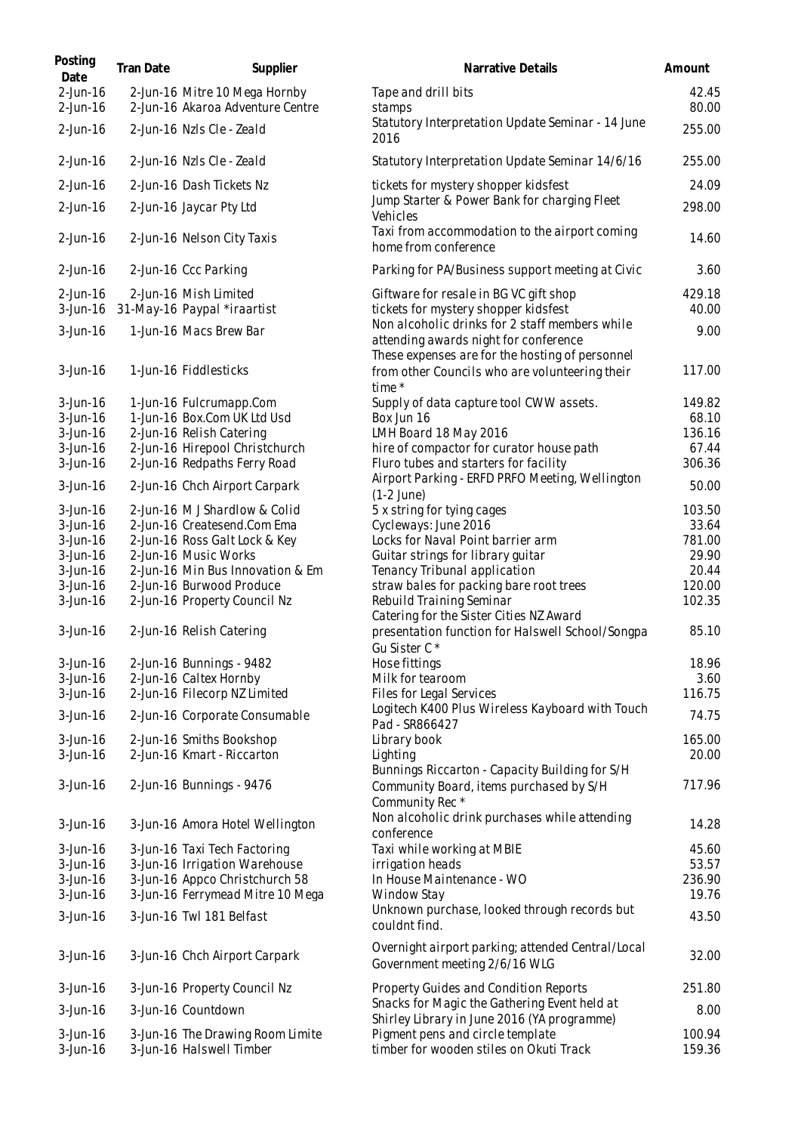| Posting<br>Date            | <b>Tran Date</b> | Supplier                                                          | Narrative Details                                                                                            | Amount          |
|----------------------------|------------------|-------------------------------------------------------------------|--------------------------------------------------------------------------------------------------------------|-----------------|
| $2$ -Jun-16<br>$2$ -Jun-16 |                  | 2-Jun-16 Mitre 10 Mega Hornby<br>2-Jun-16 Akaroa Adventure Centre | Tape and drill bits<br>stamps                                                                                | 42.45<br>80.00  |
| $2$ -Jun-16                |                  | 2-Jun-16 Nzls Cle - Zeald                                         | Statutory Interpretation Update Seminar - 14 June<br>2016                                                    | 255.00          |
| $2$ -Jun-16                |                  | 2-Jun-16 Nzls Cle - Zeald                                         | Statutory Interpretation Update Seminar 14/6/16                                                              | 255.00          |
| $2$ -Jun-16                |                  | 2-Jun-16 Dash Tickets Nz                                          | tickets for mystery shopper kidsfest                                                                         | 24.09           |
| $2$ -Jun-16                |                  | 2-Jun-16 Jaycar Pty Ltd                                           | Jump Starter & Power Bank for charging Fleet<br>Vehicles                                                     | 298.00          |
| $2$ -Jun-16                |                  | 2-Jun-16 Nelson City Taxis                                        | Taxi from accommodation to the airport coming<br>home from conference                                        | 14.60           |
| $2$ -Jun-16                |                  | 2-Jun-16 Ccc Parking                                              | Parking for PA/Business support meeting at Civic                                                             | 3.60            |
| $2$ -Jun-16                |                  | 2-Jun-16 Mish Limited                                             | Giftware for resale in BG VC gift shop                                                                       | 429.18          |
| $3$ -Jun-16                |                  | 31-May-16 Paypal *iraartist                                       | tickets for mystery shopper kidsfest<br>Non alcoholic drinks for 2 staff members while                       | 40.00           |
| $3$ -Jun-16                |                  | 1-Jun-16 Macs Brew Bar                                            | attending awards night for conference<br>These expenses are for the hosting of personnel                     | 9.00            |
| $3$ -Jun-16                |                  | 1-Jun-16 Fiddlesticks                                             | from other Councils who are volunteering their<br>time *                                                     | 117.00          |
| $3$ -Jun-16                |                  | 1-Jun-16 Fulcrumapp.Com                                           | Supply of data capture tool CWW assets.                                                                      | 149.82          |
| $3$ -Jun-16                |                  | 1-Jun-16 Box.Com UK Ltd Usd                                       | Box Jun 16                                                                                                   | 68.10           |
| $3$ -Jun-16                |                  | 2-Jun-16 Relish Catering                                          | LMH Board 18 May 2016                                                                                        | 136.16          |
| $3$ -Jun-16<br>$3$ -Jun-16 |                  | 2-Jun-16 Hirepool Christchurch<br>2-Jun-16 Redpaths Ferry Road    | hire of compactor for curator house path<br>Fluro tubes and starters for facility                            | 67.44<br>306.36 |
| $3$ -Jun-16                |                  | 2-Jun-16 Chch Airport Carpark                                     | Airport Parking - ERFD PRFO Meeting, Wellington                                                              | 50.00           |
|                            |                  | 2-Jun-16 M J Shardlow & Colid                                     | $(1-2$ June)                                                                                                 | 103.50          |
| $3$ -Jun-16<br>$3$ -Jun-16 |                  | 2-Jun-16 Createsend.Com Ema                                       | 5 x string for tying cages<br>Cycleways: June 2016                                                           | 33.64           |
| $3$ -Jun-16                |                  | 2-Jun-16 Ross Galt Lock & Key                                     | Locks for Naval Point barrier arm                                                                            | 781.00          |
| $3$ -Jun-16                |                  | 2-Jun-16 Music Works                                              | Guitar strings for library guitar                                                                            | 29.90           |
| $3$ -Jun-16                |                  | 2-Jun-16 Min Bus Innovation & Em                                  | Tenancy Tribunal application                                                                                 | 20.44           |
| $3$ -Jun-16                |                  | 2-Jun-16 Burwood Produce                                          | straw bales for packing bare root trees                                                                      | 120.00          |
| $3$ -Jun-16                |                  | 2-Jun-16 Property Council Nz                                      | Rebuild Training Seminar                                                                                     | 102.35          |
| 3-Jun-16                   |                  | 2-Jun-16 Relish Catering                                          | Catering for the Sister Cities NZ Award<br>presentation function for Halswell School/Songpa<br>Gu Sister C * | 85.10           |
| $3$ -Jun-16                |                  | 2-Jun-16 Bunnings - 9482                                          | Hose fittings                                                                                                | 18.96           |
| $3$ -Jun-16                |                  | 2-Jun-16 Caltex Hornby                                            | Milk for tearoom                                                                                             | 3.60            |
| $3$ -Jun-16                |                  | 2-Jun-16 Filecorp NZ Limited                                      | Files for Legal Services                                                                                     | 116.75          |
| $3$ -Jun-16                |                  | 2-Jun-16 Corporate Consumable                                     | Logitech K400 Plus Wireless Kayboard with Touch<br>Pad - SR866427                                            | 74.75           |
| $3$ -Jun-16                |                  | 2-Jun-16 Smiths Bookshop                                          | Library book                                                                                                 | 165.00          |
| $3$ -Jun-16                |                  | 2-Jun-16 Kmart - Riccarton                                        | Lighting                                                                                                     | 20.00           |
| $3$ -Jun-16                |                  | 2-Jun-16 Bunnings - 9476                                          | Bunnings Riccarton - Capacity Building for S/H<br>Community Board, items purchased by S/H<br>Community Rec * | 717.96          |
| $3$ -Jun-16                |                  | 3-Jun-16 Amora Hotel Wellington                                   | Non alcoholic drink purchases while attending<br>conference                                                  | 14.28           |
| $3$ -Jun-16                |                  | 3-Jun-16 Taxi Tech Factoring                                      | Taxi while working at MBIE                                                                                   | 45.60           |
| $3$ -Jun-16                |                  | 3-Jun-16 Irrigation Warehouse                                     | irrigation heads                                                                                             | 53.57           |
| $3$ -Jun-16                |                  | 3-Jun-16 Appco Christchurch 58                                    | In House Maintenance - WO                                                                                    | 236.90          |
| $3$ -Jun-16                |                  | 3-Jun-16 Ferrymead Mitre 10 Mega                                  | Window Stay                                                                                                  | 19.76           |
| $3$ -Jun-16                |                  | 3-Jun-16 Twl 181 Belfast                                          | Unknown purchase, looked through records but<br>couldnt find.                                                | 43.50           |
| $3$ -Jun-16                |                  | 3-Jun-16 Chch Airport Carpark                                     | Overnight airport parking; attended Central/Local<br>Government meeting 2/6/16 WLG                           | 32.00           |
| $3$ -Jun-16                |                  | 3-Jun-16 Property Council Nz                                      | Property Guides and Condition Reports                                                                        | 251.80          |
| $3$ -Jun-16                |                  | 3-Jun-16 Countdown                                                | Snacks for Magic the Gathering Event held at<br>Shirley Library in June 2016 (YA programme)                  | 8.00            |
| $3$ -Jun-16                |                  | 3-Jun-16 The Drawing Room Limite                                  | Pigment pens and circle template                                                                             | 100.94          |
| $3$ -Jun-16                |                  | 3-Jun-16 Halswell Timber                                          | timber for wooden stiles on Okuti Track                                                                      | 159.36          |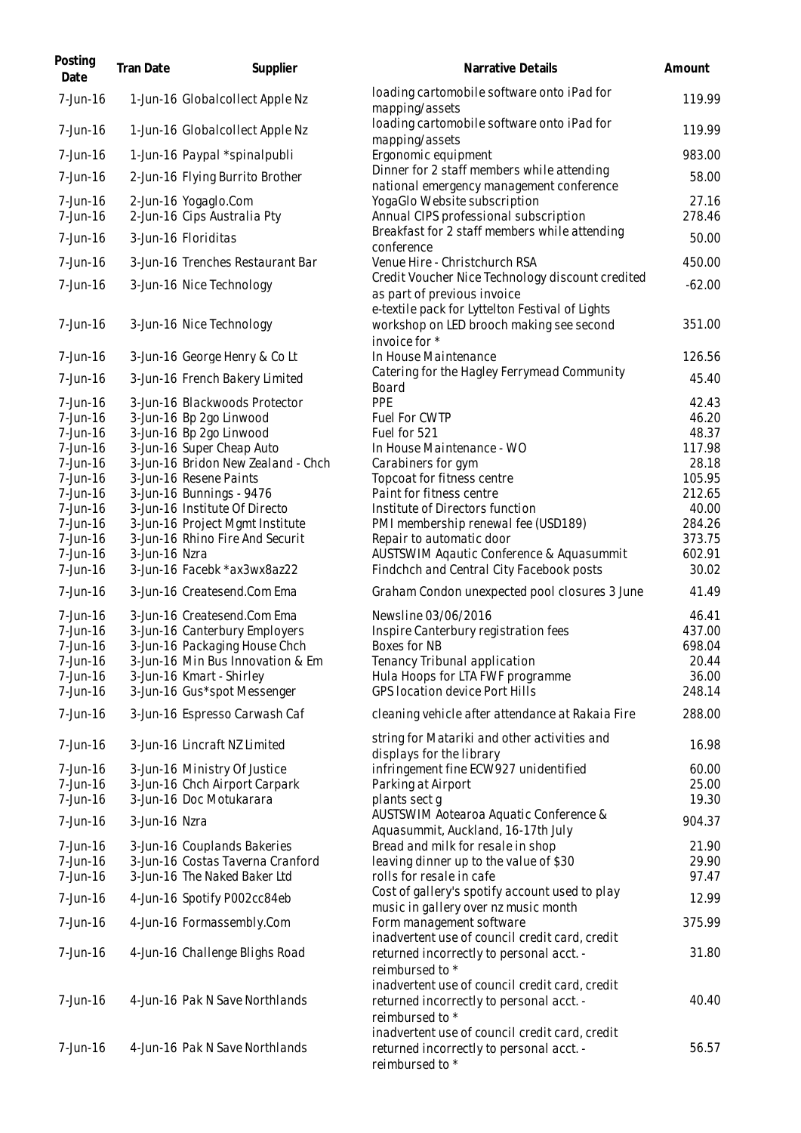| Posting<br>Date      | <b>Tran Date</b> | Supplier                                             | Narrative Details                                                                                             | Amount          |
|----------------------|------------------|------------------------------------------------------|---------------------------------------------------------------------------------------------------------------|-----------------|
| 7-Jun-16             |                  | 1-Jun-16 Globalcollect Apple Nz                      | loading cartomobile software onto iPad for<br>mapping/assets                                                  | 119.99          |
| 7-Jun-16             |                  | 1-Jun-16 Globalcollect Apple Nz                      | loading cartomobile software onto iPad for<br>mapping/assets                                                  | 119.99          |
| 7-Jun-16             |                  | 1-Jun-16 Paypal *spinalpubli                         | Ergonomic equipment                                                                                           | 983.00          |
| 7-Jun-16             |                  | 2-Jun-16 Flying Burrito Brother                      | Dinner for 2 staff members while attending<br>national emergency management conference                        | 58.00           |
| 7-Jun-16<br>7-Jun-16 |                  | 2-Jun-16 Yogaglo.Com<br>2-Jun-16 Cips Australia Pty  | YogaGlo Website subscription<br>Annual CIPS professional subscription                                         | 27.16<br>278.46 |
| 7-Jun-16             |                  | 3-Jun-16 Floriditas                                  | Breakfast for 2 staff members while attending<br>conference                                                   | 50.00           |
| 7-Jun-16             |                  | 3-Jun-16 Trenches Restaurant Bar                     | Venue Hire - Christchurch RSA                                                                                 | 450.00          |
| 7-Jun-16             |                  | 3-Jun-16 Nice Technology                             | Credit Voucher Nice Technology discount credited<br>as part of previous invoice                               | $-62.00$        |
| 7-Jun-16             |                  | 3-Jun-16 Nice Technology                             | e-textile pack for Lyttelton Festival of Lights<br>workshop on LED brooch making see second<br>invoice for *  | 351.00          |
| $7$ -Jun-16          |                  | 3-Jun-16 George Henry & Co Lt                        | In House Maintenance                                                                                          | 126.56          |
| 7-Jun-16             |                  | 3-Jun-16 French Bakery Limited                       | Catering for the Hagley Ferrymead Community<br>Board                                                          | 45.40           |
| 7-Jun-16             |                  | 3-Jun-16 Blackwoods Protector                        | PPE                                                                                                           | 42.43           |
| 7-Jun-16             |                  | 3-Jun-16 Bp 2go Linwood                              | Fuel For CWTP                                                                                                 | 46.20           |
| 7-Jun-16<br>7-Jun-16 |                  | 3-Jun-16 Bp 2go Linwood<br>3-Jun-16 Super Cheap Auto | Fuel for 521<br>In House Maintenance - WO                                                                     | 48.37<br>117.98 |
| 7-Jun-16             |                  | 3-Jun-16 Bridon New Zealand - Chch                   | Carabiners for gym                                                                                            | 28.18           |
| 7-Jun-16             |                  | 3-Jun-16 Resene Paints                               | Topcoat for fitness centre                                                                                    | 105.95          |
| 7-Jun-16             |                  | 3-Jun-16 Bunnings - 9476                             | Paint for fitness centre                                                                                      | 212.65          |
| 7-Jun-16             |                  | 3-Jun-16 Institute Of Directo                        | Institute of Directors function                                                                               | 40.00           |
| 7-Jun-16             |                  | 3-Jun-16 Project Mgmt Institute                      | PMI membership renewal fee (USD189)                                                                           | 284.26          |
| 7-Jun-16             |                  | 3-Jun-16 Rhino Fire And Securit                      | Repair to automatic door                                                                                      | 373.75          |
| 7-Jun-16             | 3-Jun-16 Nzra    |                                                      | AUSTSWIM Agautic Conference & Aquasummit                                                                      | 602.91          |
| 7-Jun-16             |                  | 3-Jun-16 Facebk *ax3wx8az22                          | Findchch and Central City Facebook posts                                                                      | 30.02           |
| 7-Jun-16             |                  | 3-Jun-16 Createsend.Com Ema                          | Graham Condon unexpected pool closures 3 June                                                                 | 41.49           |
| 7-Jun-16             |                  | 3-Jun-16 Createsend.Com Ema                          | Newsline 03/06/2016                                                                                           | 46.41           |
| 7-Jun-16             |                  | 3-Jun-16 Canterbury Employers                        | Inspire Canterbury registration fees                                                                          | 437.00          |
| 7-Jun-16             |                  | 3-Jun-16 Packaging House Chch                        | Boxes for NB                                                                                                  | 698.04          |
| 7-Jun-16             |                  | 3-Jun-16 Min Bus Innovation & Em                     | Tenancy Tribunal application                                                                                  | 20.44           |
| 7-Jun-16             |                  | 3-Jun-16 Kmart - Shirley                             | Hula Hoops for LTA FWF programme                                                                              | 36.00           |
| 7-Jun-16             |                  | 3-Jun-16 Gus*spot Messenger                          | <b>GPS location device Port Hills</b>                                                                         | 248.14          |
| 7-Jun-16             |                  | 3-Jun-16 Espresso Carwash Caf                        | cleaning vehicle after attendance at Rakaia Fire                                                              | 288.00          |
| 7-Jun-16             |                  | 3-Jun-16 Lincraft NZ Limited                         | string for Matariki and other activities and<br>displays for the library                                      | 16.98           |
| 7-Jun-16             |                  | 3-Jun-16 Ministry Of Justice                         | infringement fine ECW927 unidentified                                                                         | 60.00           |
| 7-Jun-16             |                  | 3-Jun-16 Chch Airport Carpark                        | Parking at Airport                                                                                            | 25.00           |
| 7-Jun-16             |                  | 3-Jun-16 Doc Motukarara                              | plants sect g                                                                                                 | 19.30           |
| 7-Jun-16             | 3-Jun-16 Nzra    |                                                      | AUSTSWIM Aotearoa Aquatic Conference &<br>Aquasummit, Auckland, 16-17th July                                  | 904.37          |
| 7-Jun-16             |                  | 3-Jun-16 Couplands Bakeries                          | Bread and milk for resale in shop                                                                             | 21.90           |
| 7-Jun-16             |                  | 3-Jun-16 Costas Taverna Cranford                     | leaving dinner up to the value of \$30                                                                        | 29.90           |
| 7-Jun-16             |                  | 3-Jun-16 The Naked Baker Ltd                         | rolls for resale in cafe                                                                                      | 97.47           |
| 7-Jun-16             |                  | 4-Jun-16 Spotify P002cc84eb                          | Cost of gallery's spotify account used to play<br>music in gallery over nz music month                        | 12.99           |
| 7-Jun-16             |                  | 4-Jun-16 Formassembly.Com                            | Form management software<br>inadvertent use of council credit card, credit                                    | 375.99          |
| 7-Jun-16             |                  | 4-Jun-16 Challenge Blighs Road                       | returned incorrectly to personal acct. -<br>reimbursed to *                                                   | 31.80           |
| $7$ -Jun-16          |                  | 4-Jun-16 Pak N Save Northlands                       | inadvertent use of council credit card, credit<br>returned incorrectly to personal acct. -                    | 40.40           |
|                      |                  |                                                      | reimbursed to *                                                                                               |                 |
| 7-Jun-16             |                  | 4-Jun-16 Pak N Save Northlands                       | inadvertent use of council credit card, credit<br>returned incorrectly to personal acct. -<br>reimbursed to * | 56.57           |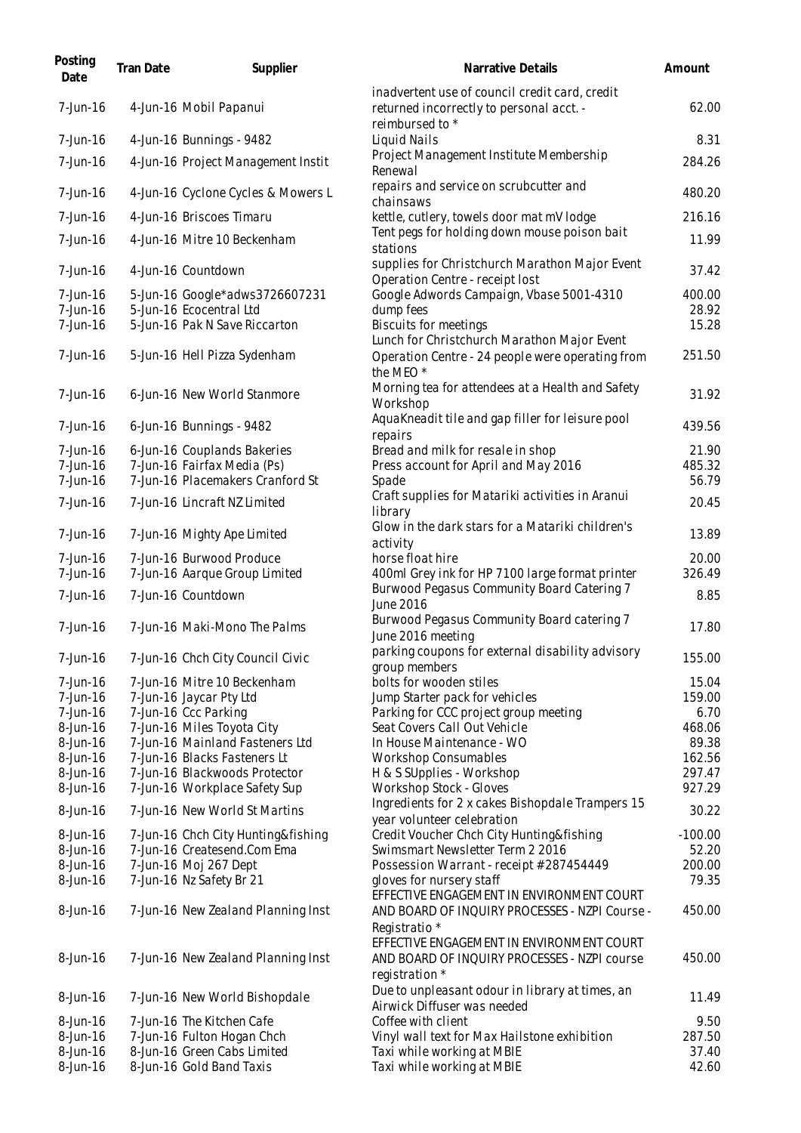| Posting<br>Date         | <b>Tran Date</b> | Supplier                                                      | <b>Narrative Details</b>                                                                                                | Amount          |
|-------------------------|------------------|---------------------------------------------------------------|-------------------------------------------------------------------------------------------------------------------------|-----------------|
| 7-Jun-16                |                  | 4-Jun-16 Mobil Papanui                                        | inadvertent use of council credit card, credit<br>returned incorrectly to personal acct. -                              | 62.00           |
| 7-Jun-16                |                  | 4-Jun-16 Bunnings - 9482                                      | reimbursed to *<br>Liquid Nails                                                                                         | 8.31            |
| 7-Jun-16                |                  | 4-Jun-16 Project Management Instit                            | Project Management Institute Membership<br>Renewal                                                                      | 284.26          |
| $7$ -Jun-16             |                  | 4-Jun-16 Cyclone Cycles & Mowers L                            | repairs and service on scrubcutter and<br>chainsaws                                                                     | 480.20          |
| 7-Jun-16                |                  | 4-Jun-16 Briscoes Timaru                                      | kettle, cutlery, towels door mat mV lodge                                                                               | 216.16          |
| 7-Jun-16                |                  | 4-Jun-16 Mitre 10 Beckenham                                   | Tent pegs for holding down mouse poison bait<br>stations                                                                | 11.99           |
| 7-Jun-16                |                  | 4-Jun-16 Countdown                                            | supplies for Christchurch Marathon Major Event<br>Operation Centre - receipt lost                                       | 37.42           |
| 7-Jun-16                |                  | 5-Jun-16 Google*adws3726607231                                | Google Adwords Campaign, Vbase 5001-4310                                                                                | 400.00          |
| 7-Jun-16                |                  | 5-Jun-16 Ecocentral Ltd                                       | dump fees                                                                                                               | 28.92           |
| 7-Jun-16                |                  | 5-Jun-16 Pak N Save Riccarton                                 | <b>Biscuits for meetings</b>                                                                                            | 15.28           |
|                         |                  |                                                               | Lunch for Christchurch Marathon Major Event                                                                             |                 |
| 7-Jun-16                |                  | 5-Jun-16 Hell Pizza Sydenham                                  | Operation Centre - 24 people were operating from<br>the MEO <sup>*</sup>                                                | 251.50          |
| 7-Jun-16                |                  | 6-Jun-16 New World Stanmore                                   | Morning tea for attendees at a Health and Safety<br>Workshop                                                            | 31.92           |
| 7-Jun-16                |                  | 6-Jun-16 Bunnings - 9482                                      | AquaKneadit tile and gap filler for leisure pool<br>repairs                                                             | 439.56          |
| 7-Jun-16                |                  | 6-Jun-16 Couplands Bakeries                                   | Bread and milk for resale in shop                                                                                       | 21.90           |
| 7-Jun-16                |                  | 7-Jun-16 Fairfax Media (Ps)                                   | Press account for April and May 2016                                                                                    | 485.32          |
| 7-Jun-16                |                  | 7-Jun-16 Placemakers Cranford St                              | Spade                                                                                                                   | 56.79           |
| 7-Jun-16                |                  | 7-Jun-16 Lincraft NZ Limited                                  | Craft supplies for Matariki activities in Aranui<br>library                                                             | 20.45           |
| $7$ -Jun-16             |                  | 7-Jun-16 Mighty Ape Limited                                   | Glow in the dark stars for a Matariki children's<br>activity                                                            | 13.89           |
| $7$ -Jun-16             |                  | 7-Jun-16 Burwood Produce                                      | horse float hire                                                                                                        | 20.00           |
| 7-Jun-16                |                  | 7-Jun-16 Aarque Group Limited                                 | 400ml Grey ink for HP 7100 large format printer                                                                         | 326.49          |
| 7-Jun-16                |                  | 7-Jun-16 Countdown                                            | Burwood Pegasus Community Board Catering 7<br>June 2016                                                                 | 8.85            |
| 7-Jun-16                |                  | 7-Jun-16 Maki-Mono The Palms                                  | Burwood Pegasus Community Board catering 7<br>June 2016 meeting                                                         | 17.80           |
| 7-Jun-16                |                  | 7-Jun-16 Chch City Council Civic                              | parking coupons for external disability advisory<br>group members                                                       | 155.00          |
| 7-Jun-16                |                  | 7-Jun-16 Mitre 10 Beckenham                                   | bolts for wooden stiles                                                                                                 | 15.04           |
| 7-Jun-16                |                  | 7-Jun-16 Jaycar Pty Ltd                                       | Jump Starter pack for vehicles                                                                                          | 159.00          |
| 7-Jun-16                |                  | 7-Jun-16 Ccc Parking                                          | Parking for CCC project group meeting                                                                                   | 6.70            |
| $8$ -Jun-16             |                  | 7-Jun-16 Miles Toyota City<br>7-Jun-16 Mainland Fasteners Ltd | Seat Covers Call Out Vehicle<br>In House Maintenance - WO                                                               | 468.06          |
| 8-Jun-16<br>$8$ -Jun-16 |                  | 7-Jun-16 Blacks Fasteners Lt                                  | <b>Workshop Consumables</b>                                                                                             | 89.38<br>162.56 |
| 8-Jun-16                |                  | 7-Jun-16 Blackwoods Protector                                 | H & S SUpplies - Workshop                                                                                               | 297.47          |
| 8-Jun-16                |                  | 7-Jun-16 Workplace Safety Sup                                 | Workshop Stock - Gloves                                                                                                 | 927.29          |
| 8-Jun-16                |                  | 7-Jun-16 New World St Martins                                 | Ingredients for 2 x cakes Bishopdale Trampers 15<br>year volunteer celebration                                          | 30.22           |
| 8-Jun-16                |                  | 7-Jun-16 Chch City Hunting&fishing                            | Credit Voucher Chch City Hunting&fishing                                                                                | $-100.00$       |
| $8$ -Jun-16             |                  | 7-Jun-16 Createsend.Com Ema                                   | Swimsmart Newsletter Term 2 2016                                                                                        | 52.20           |
| $8$ -Jun-16             |                  | 7-Jun-16 Moj 267 Dept                                         | Possession Warrant - receipt #287454449                                                                                 | 200.00          |
| 8-Jun-16                |                  | 7-Jun-16 Nz Safety Br 21                                      | gloves for nursery staff<br>EFFECTIVE ENGAGEMENT IN ENVIRONMENT COURT                                                   | 79.35           |
| 8-Jun-16                |                  | 7-Jun-16 New Zealand Planning Inst                            | AND BOARD OF INQUIRY PROCESSES - NZPI Course -<br>Registratio <sup>*</sup><br>EFFECTIVE ENGAGEMENT IN ENVIRONMENT COURT | 450.00          |
| 8-Jun-16                |                  | 7-Jun-16 New Zealand Planning Inst                            | AND BOARD OF INQUIRY PROCESSES - NZPI course<br>registration *                                                          | 450.00          |
| 8-Jun-16                |                  | 7-Jun-16 New World Bishopdale                                 | Due to unpleasant odour in library at times, an<br>Airwick Diffuser was needed                                          | 11.49           |
| 8-Jun-16                |                  | 7-Jun-16 The Kitchen Cafe                                     | Coffee with client                                                                                                      | 9.50            |
| 8-Jun-16                |                  | 7-Jun-16 Fulton Hogan Chch                                    | Vinyl wall text for Max Hailstone exhibition                                                                            | 287.50          |
| 8-Jun-16                |                  | 8-Jun-16 Green Cabs Limited                                   | Taxi while working at MBIE                                                                                              | 37.40           |
| 8-Jun-16                |                  | 8-Jun-16 Gold Band Taxis                                      | Taxi while working at MBIE                                                                                              | 42.60           |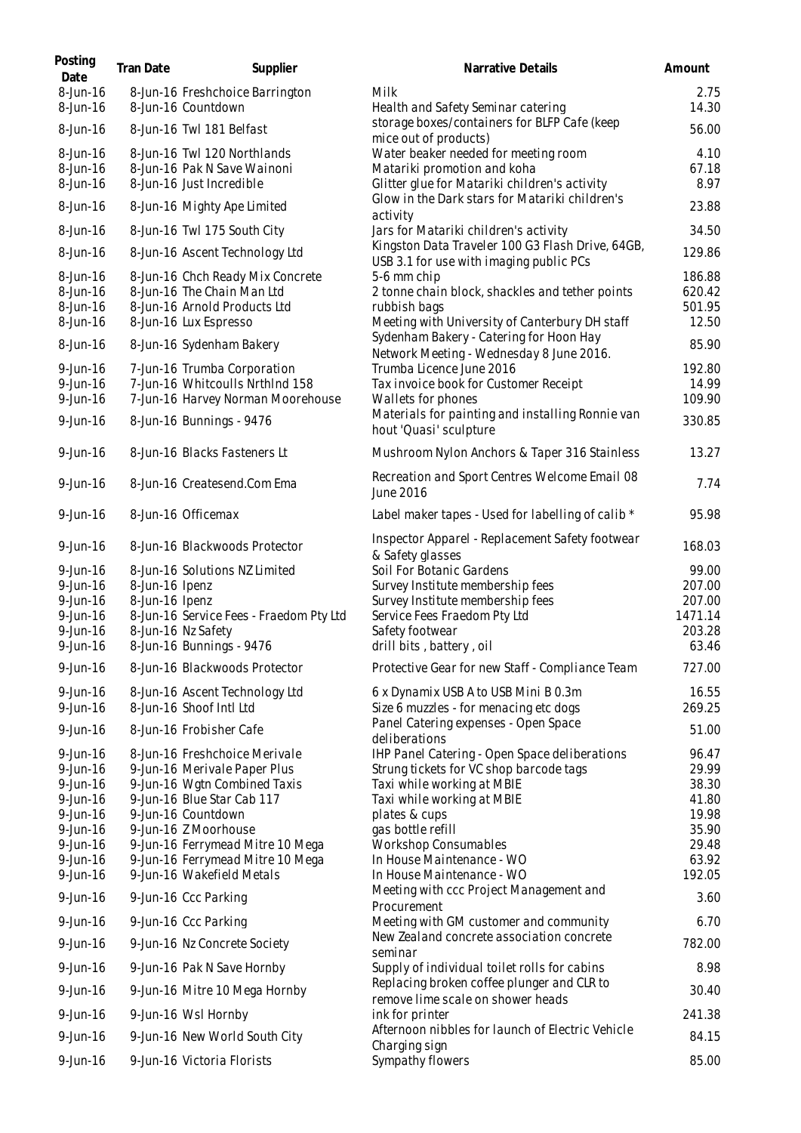| Posting<br>Date            | Tran Date      | Supplier                                                             | Narrative Details                                                                           | Amount            |
|----------------------------|----------------|----------------------------------------------------------------------|---------------------------------------------------------------------------------------------|-------------------|
| 8-Jun-16<br>8-Jun-16       |                | 8-Jun-16 Freshchoice Barrington<br>8-Jun-16 Countdown                | Milk<br>Health and Safety Seminar catering                                                  | 2.75<br>14.30     |
| 8-Jun-16                   |                | 8-Jun-16 Twl 181 Belfast                                             | storage boxes/containers for BLFP Cafe (keep<br>mice out of products)                       | 56.00             |
| 8-Jun-16                   |                | 8-Jun-16 Twl 120 Northlands                                          | Water beaker needed for meeting room                                                        | 4.10              |
| 8-Jun-16                   |                | 8-Jun-16 Pak N Save Wainoni                                          | Matariki promotion and koha                                                                 | 67.18             |
| 8-Jun-16                   |                | 8-Jun-16 Just Incredible                                             | Glitter glue for Matariki children's activity                                               | 8.97              |
| 8-Jun-16                   |                | 8-Jun-16 Mighty Ape Limited                                          | Glow in the Dark stars for Matariki children's<br>activity                                  | 23.88             |
| 8-Jun-16                   |                | 8-Jun-16 Twl 175 South City                                          | Jars for Matariki children's activity                                                       | 34.50             |
| 8-Jun-16                   |                | 8-Jun-16 Ascent Technology Ltd                                       | Kingston Data Traveler 100 G3 Flash Drive, 64GB,<br>USB 3.1 for use with imaging public PCs | 129.86            |
| $8$ -Jun-16                |                | 8-Jun-16 Chch Ready Mix Concrete                                     | 5-6 mm chip                                                                                 | 186.88            |
| 8-Jun-16                   |                | 8-Jun-16 The Chain Man Ltd                                           | 2 tonne chain block, shackles and tether points                                             | 620.42            |
| 8-Jun-16<br>8-Jun-16       |                | 8-Jun-16 Arnold Products Ltd                                         | rubbish bags<br>Meeting with University of Canterbury DH staff                              | 501.95<br>12.50   |
|                            |                | 8-Jun-16 Lux Espresso                                                | Sydenham Bakery - Catering for Hoon Hay                                                     |                   |
| 8-Jun-16                   |                | 8-Jun-16 Sydenham Bakery                                             | Network Meeting - Wednesday 8 June 2016.                                                    | 85.90             |
| $9$ -Jun-16<br>$9$ -Jun-16 |                | 7-Jun-16 Trumba Corporation<br>7-Jun-16 Whitcoulls NrthInd 158       | Trumba Licence June 2016                                                                    | 192.80<br>14.99   |
| 9-Jun-16                   |                | 7-Jun-16 Harvey Norman Moorehouse                                    | Tax invoice book for Customer Receipt<br>Wallets for phones                                 | 109.90            |
|                            |                |                                                                      | Materials for painting and installing Ronnie van                                            |                   |
| $9$ -Jun-16                |                | 8-Jun-16 Bunnings - 9476                                             | hout 'Quasi' sculpture                                                                      | 330.85            |
| $9$ -Jun-16                |                | 8-Jun-16 Blacks Fasteners Lt                                         | Mushroom Nylon Anchors & Taper 316 Stainless                                                | 13.27             |
| $9$ -Jun-16                |                | 8-Jun-16 Createsend.Com Ema                                          | Recreation and Sport Centres Welcome Email 08<br>June 2016                                  | 7.74              |
| $9$ -Jun-16                |                | 8-Jun-16 Officemax                                                   | Label maker tapes - Used for labelling of calib *                                           | 95.98             |
| $9$ -Jun-16                |                | 8-Jun-16 Blackwoods Protector                                        | Inspector Apparel - Replacement Safety footwear<br>& Safety glasses                         | 168.03            |
| $9$ -Jun-16                |                | 8-Jun-16 Solutions NZ Limited                                        | Soil For Botanic Gardens                                                                    | 99.00             |
| $9$ -Jun-16                | 8-Jun-16 Ipenz |                                                                      | Survey Institute membership fees                                                            | 207.00            |
| $9$ -Jun-16                | 8-Jun-16 Ipenz |                                                                      | Survey Institute membership fees                                                            | 207.00            |
| $9$ -Jun-16                |                | 8-Jun-16 Service Fees - Fraedom Pty Ltd                              | Service Fees Fraedom Pty Ltd                                                                | 1471.14<br>203.28 |
| $9$ -Jun-16<br>9-Jun-16    |                | 8-Jun-16 Nz Safety<br>8-Jun-16 Bunnings - 9476                       | Safety footwear<br>drill bits, battery, oil                                                 | 63.46             |
| $9$ -Jun-16                |                | 8-Jun-16 Blackwoods Protector                                        | Protective Gear for new Staff - Compliance Team                                             | 727.00            |
| $9$ -Jun-16                |                | 8-Jun-16 Ascent Technology Ltd                                       | 6 x Dynamix USB A to USB Mini B 0.3m                                                        | 16.55             |
| 9-Jun-16                   |                | 8-Jun-16 Shoof Intl Ltd                                              | Size 6 muzzles - for menacing etc dogs                                                      | 269.25            |
|                            |                |                                                                      | Panel Catering expenses - Open Space                                                        |                   |
| $9$ -Jun-16                |                | 8-Jun-16 Frobisher Cafe                                              | deliberations                                                                               | 51.00             |
| $9$ -Jun-16                |                | 8-Jun-16 Freshchoice Merivale                                        | IHP Panel Catering - Open Space deliberations                                               | 96.47             |
| $9$ -Jun-16                |                | 9-Jun-16 Merivale Paper Plus                                         | Strung tickets for VC shop barcode tags                                                     | 29.99             |
| 9-Jun-16                   |                | 9-Jun-16 Wgtn Combined Taxis                                         | Taxi while working at MBIE                                                                  | 38.30             |
| $9$ -Jun-16                |                | 9-Jun-16 Blue Star Cab 117                                           | Taxi while working at MBIE                                                                  | 41.80             |
| $9$ -Jun-16                |                | 9-Jun-16 Countdown                                                   | plates & cups                                                                               | 19.98             |
| $9$ -Jun-16                |                | 9-Jun-16 Z Moorhouse                                                 | gas bottle refill                                                                           | 35.90<br>29.48    |
| $9$ -Jun-16<br>$9$ -Jun-16 |                | 9-Jun-16 Ferrymead Mitre 10 Mega<br>9-Jun-16 Ferrymead Mitre 10 Mega | <b>Workshop Consumables</b><br>In House Maintenance - WO                                    | 63.92             |
| $9$ -Jun-16                |                | 9-Jun-16 Wakefield Metals                                            | In House Maintenance - WO                                                                   | 192.05            |
| $9$ -Jun-16                |                | 9-Jun-16 Ccc Parking                                                 | Meeting with ccc Project Management and                                                     | 3.60              |
| $9$ -Jun-16                |                | 9-Jun-16 Ccc Parking                                                 | Procurement<br>Meeting with GM customer and community                                       | 6.70              |
| $9$ -Jun-16                |                | 9-Jun-16 Nz Concrete Society                                         | New Zealand concrete association concrete<br>seminar                                        | 782.00            |
| $9$ -Jun-16                |                | 9-Jun-16 Pak N Save Hornby                                           | Supply of individual toilet rolls for cabins                                                | 8.98              |
| $9$ -Jun-16                |                | 9-Jun-16 Mitre 10 Mega Hornby                                        | Replacing broken coffee plunger and CLR to<br>remove lime scale on shower heads             | 30.40             |
| $9$ -Jun-16                |                | 9-Jun-16 Wsl Hornby                                                  | ink for printer                                                                             | 241.38            |
| $9$ -Jun-16                |                | 9-Jun-16 New World South City                                        | Afternoon nibbles for launch of Electric Vehicle                                            | 84.15             |
| 9-Jun-16                   |                | 9-Jun-16 Victoria Florists                                           | Charging sign<br>Sympathy flowers                                                           | 85.00             |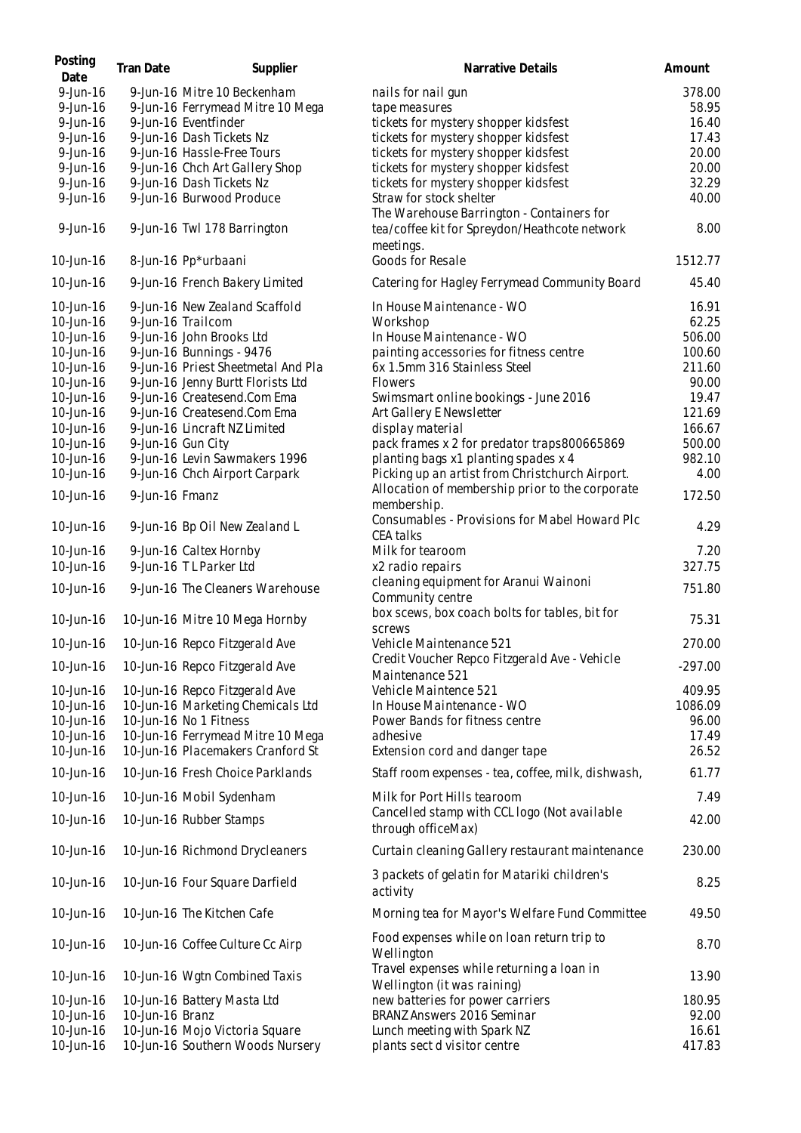| Posting<br>Date        | Tran Date       | Supplier                           | Narrative Details                                                                                       | Amount    |
|------------------------|-----------------|------------------------------------|---------------------------------------------------------------------------------------------------------|-----------|
| 9-Jun-16               |                 | 9-Jun-16 Mitre 10 Beckenham        | nails for nail gun                                                                                      | 378.00    |
| 9-Jun-16               |                 | 9-Jun-16 Ferrymead Mitre 10 Mega   | tape measures                                                                                           | 58.95     |
| 9-Jun-16               |                 | 9-Jun-16 Eventfinder               | tickets for mystery shopper kidsfest                                                                    | 16.40     |
| 9-Jun-16               |                 | 9-Jun-16 Dash Tickets Nz           | tickets for mystery shopper kidsfest                                                                    | 17.43     |
| 9-Jun-16               |                 | 9-Jun-16 Hassle-Free Tours         | tickets for mystery shopper kidsfest                                                                    | 20.00     |
| 9-Jun-16               |                 | 9-Jun-16 Chch Art Gallery Shop     | tickets for mystery shopper kidsfest                                                                    | 20.00     |
| 9-Jun-16               |                 | 9-Jun-16 Dash Tickets Nz           | tickets for mystery shopper kidsfest                                                                    | 32.29     |
| 9-Jun-16               |                 | 9-Jun-16 Burwood Produce           | Straw for stock shelter                                                                                 | 40.00     |
| $9$ -Jun-16            |                 | 9-Jun-16 Twl 178 Barrington        | The Warehouse Barrington - Containers for<br>tea/coffee kit for Spreydon/Heathcote network<br>meetings. | 8.00      |
| 10-Jun-16              |                 | 8-Jun-16 Pp*urbaani                | Goods for Resale                                                                                        | 1512.77   |
| 10-Jun-16              |                 | 9-Jun-16 French Bakery Limited     | Catering for Hagley Ferrymead Community Board                                                           | 45.40     |
| 10-Jun-16              |                 | 9-Jun-16 New Zealand Scaffold      | In House Maintenance - WO                                                                               | 16.91     |
| 10-Jun-16              |                 | 9-Jun-16 Trailcom                  | Workshop                                                                                                | 62.25     |
| 10-Jun-16              |                 | 9-Jun-16 John Brooks Ltd           | In House Maintenance - WO                                                                               | 506.00    |
| 10-Jun-16              |                 | 9-Jun-16 Bunnings - 9476           | painting accessories for fitness centre                                                                 | 100.60    |
| 10-Jun-16              |                 | 9-Jun-16 Priest Sheetmetal And Pla | 6x 1.5mm 316 Stainless Steel                                                                            | 211.60    |
| 10-Jun-16              |                 | 9-Jun-16 Jenny Burtt Florists Ltd  | <b>Flowers</b>                                                                                          | 90.00     |
| 10-Jun-16              |                 | 9-Jun-16 Createsend.Com Ema        | Swimsmart online bookings - June 2016                                                                   | 19.47     |
| 10-Jun-16              |                 | 9-Jun-16 Createsend.Com Ema        | Art Gallery E Newsletter                                                                                | 121.69    |
| 10-Jun-16              |                 | 9-Jun-16 Lincraft NZ Limited       | display material                                                                                        | 166.67    |
| 10-Jun-16              |                 | 9-Jun-16 Gun City                  | pack frames x 2 for predator traps800665869                                                             | 500.00    |
| 10-Jun-16              |                 | 9-Jun-16 Levin Sawmakers 1996      | planting bags x1 planting spades x 4                                                                    | 982.10    |
| 10-Jun-16              |                 | 9-Jun-16 Chch Airport Carpark      | Picking up an artist from Christchurch Airport.                                                         | 4.00      |
| 10-Jun-16              | 9-Jun-16 Fmanz  |                                    | Allocation of membership prior to the corporate<br>membership.                                          | 172.50    |
| 10-Jun-16              |                 | 9-Jun-16 Bp Oil New Zealand L      | Consumables - Provisions for Mabel Howard Plc<br><b>CEA</b> talks                                       | 4.29      |
| 10-Jun-16              |                 | 9-Jun-16 Caltex Hornby             | Milk for tearoom                                                                                        | 7.20      |
| 10-Jun-16              |                 | 9-Jun-16 TL Parker Ltd             | x2 radio repairs                                                                                        | 327.75    |
| 10-Jun-16              |                 | 9-Jun-16 The Cleaners Warehouse    | cleaning equipment for Aranui Wainoni<br>Community centre                                               | 751.80    |
| 10-Jun-16              |                 | 10-Jun-16 Mitre 10 Mega Hornby     | box scews, box coach bolts for tables, bit for                                                          | 75.31     |
| 10-Jun-16              |                 | 10-Jun-16 Repco Fitzgerald Ave     | screws<br>Vehicle Maintenance 521                                                                       | 270.00    |
| 10-Jun-16              |                 | 10-Jun-16 Repco Fitzgerald Ave     | Credit Voucher Repco Fitzgerald Ave - Vehicle                                                           | $-297.00$ |
|                        |                 | 10-Jun-16 Repco Fitzgerald Ave     | Maintenance 521                                                                                         | 409.95    |
| 10-Jun-16              |                 | 10-Jun-16 Marketing Chemicals Ltd  | Vehicle Maintence 521                                                                                   | 1086.09   |
| 10-Jun-16<br>10-Jun-16 |                 | 10-Jun-16 No 1 Fitness             | In House Maintenance - WO<br>Power Bands for fitness centre                                             | 96.00     |
| 10-Jun-16              |                 | 10-Jun-16 Ferrymead Mitre 10 Mega  | adhesive                                                                                                | 17.49     |
| 10-Jun-16              |                 | 10-Jun-16 Placemakers Cranford St  | Extension cord and danger tape                                                                          | 26.52     |
| 10-Jun-16              |                 | 10-Jun-16 Fresh Choice Parklands   | Staff room expenses - tea, coffee, milk, dishwash,                                                      | 61.77     |
| 10-Jun-16              |                 | 10-Jun-16 Mobil Sydenham           | Milk for Port Hills tearoom                                                                             | 7.49      |
| 10-Jun-16              |                 | 10-Jun-16 Rubber Stamps            | Cancelled stamp with CCL logo (Not available<br>through officeMax)                                      | 42.00     |
| 10-Jun-16              |                 | 10-Jun-16 Richmond Drycleaners     | Curtain cleaning Gallery restaurant maintenance                                                         | 230.00    |
| 10-Jun-16              |                 | 10-Jun-16 Four Square Darfield     | 3 packets of gelatin for Matariki children's<br>activity                                                | 8.25      |
| 10-Jun-16              |                 | 10-Jun-16 The Kitchen Cafe         | Morning tea for Mayor's Welfare Fund Committee                                                          | 49.50     |
| 10-Jun-16              |                 | 10-Jun-16 Coffee Culture Cc Airp   | Food expenses while on loan return trip to<br>Wellington                                                | 8.70      |
| 10-Jun-16              |                 | 10-Jun-16 Wgtn Combined Taxis      | Travel expenses while returning a loan in<br>Wellington (it was raining)                                | 13.90     |
| 10-Jun-16              |                 | 10-Jun-16 Battery Masta Ltd        | new batteries for power carriers                                                                        | 180.95    |
| 10-Jun-16              | 10-Jun-16 Branz |                                    | BRANZ Answers 2016 Seminar                                                                              | 92.00     |
| 10-Jun-16              |                 | 10-Jun-16 Mojo Victoria Square     | Lunch meeting with Spark NZ                                                                             | 16.61     |
| 10-Jun-16              |                 | 10-Jun-16 Southern Woods Nursery   | plants sect d visitor centre                                                                            | 417.83    |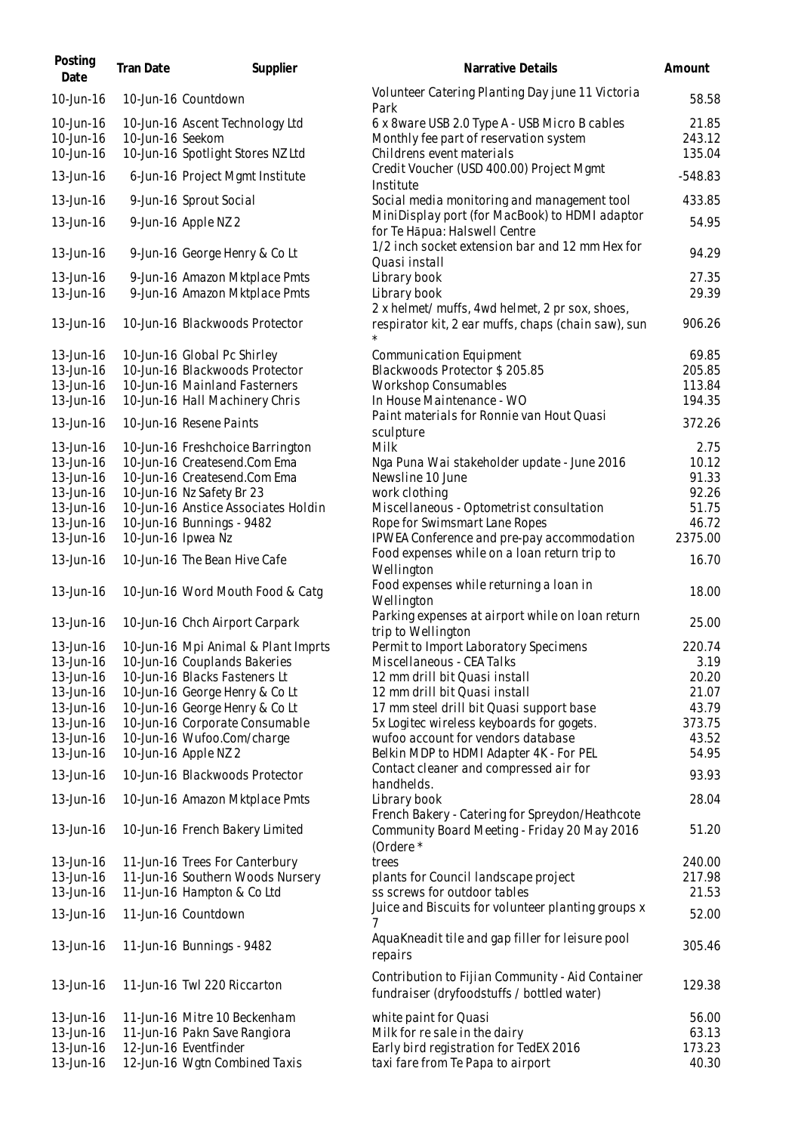| Posting<br>Date                                  | <b>Tran Date</b>   | Supplier                                                                                                                         | Narrative Details                                                                                                     | Amount                              |
|--------------------------------------------------|--------------------|----------------------------------------------------------------------------------------------------------------------------------|-----------------------------------------------------------------------------------------------------------------------|-------------------------------------|
| 10-Jun-16                                        |                    | 10-Jun-16 Countdown                                                                                                              | Volunteer Catering Planting Day june 11 Victoria<br>Park                                                              | 58.58                               |
| 10-Jun-16<br>10-Jun-16<br>10-Jun-16              | 10-Jun-16 Seekom   | 10-Jun-16 Ascent Technology Ltd<br>10-Jun-16 Spotlight Stores NZ Ltd                                                             | 6 x 8 ware USB 2.0 Type A - USB Micro B cables<br>Monthly fee part of reservation system<br>Childrens event materials | 21.85<br>243.12<br>135.04           |
| 13-Jun-16                                        |                    | 6-Jun-16 Project Mgmt Institute                                                                                                  | Credit Voucher (USD 400.00) Project Mgmt<br>Institute                                                                 | $-548.83$                           |
| 13-Jun-16                                        |                    | 9-Jun-16 Sprout Social                                                                                                           | Social media monitoring and management tool                                                                           | 433.85                              |
| 13-Jun-16                                        |                    | 9-Jun-16 Apple NZ 2                                                                                                              | MiniDisplay port (for MacBook) to HDMI adaptor<br>for Te Hāpua: Halswell Centre                                       | 54.95                               |
| 13-Jun-16                                        |                    | 9-Jun-16 George Henry & Co Lt                                                                                                    | 1/2 inch socket extension bar and 12 mm Hex for<br>Quasi install                                                      | 94.29                               |
| 13-Jun-16<br>13-Jun-16                           |                    | 9-Jun-16 Amazon Mktplace Pmts<br>9-Jun-16 Amazon Mktplace Pmts                                                                   | Library book<br>Library book                                                                                          | 27.35<br>29.39                      |
| 13-Jun-16                                        |                    | 10-Jun-16 Blackwoods Protector                                                                                                   | 2 x helmet/ muffs, 4wd helmet, 2 pr sox, shoes,<br>respirator kit, 2 ear muffs, chaps (chain saw), sun<br>$\star$     | 906.26                              |
| 13-Jun-16<br>13-Jun-16<br>13-Jun-16<br>13-Jun-16 |                    | 10-Jun-16 Global Pc Shirley<br>10-Jun-16 Blackwoods Protector<br>10-Jun-16 Mainland Fasterners<br>10-Jun-16 Hall Machinery Chris | Communication Equipment<br>Blackwoods Protector \$ 205.85<br><b>Workshop Consumables</b><br>In House Maintenance - WO | 69.85<br>205.85<br>113.84<br>194.35 |
| 13-Jun-16                                        |                    | 10-Jun-16 Resene Paints                                                                                                          | Paint materials for Ronnie van Hout Quasi<br>sculpture                                                                | 372.26                              |
| 13-Jun-16<br>13-Jun-16<br>13-Jun-16<br>13-Jun-16 |                    | 10-Jun-16 Freshchoice Barrington<br>10-Jun-16 Createsend.Com Ema<br>10-Jun-16 Createsend.Com Ema<br>10-Jun-16 Nz Safety Br 23    | Milk<br>Nga Puna Wai stakeholder update - June 2016<br>Newsline 10 June<br>work clothing                              | 2.75<br>10.12<br>91.33<br>92.26     |
| 13-Jun-16                                        |                    | 10-Jun-16 Anstice Associates Holdin                                                                                              | Miscellaneous - Optometrist consultation                                                                              | 51.75                               |
| 13-Jun-16<br>13-Jun-16                           | 10-Jun-16 Ipwea Nz | 10-Jun-16 Bunnings - 9482                                                                                                        | Rope for Swimsmart Lane Ropes<br>IPWEA Conference and pre-pay accommodation                                           | 46.72<br>2375.00                    |
| 13-Jun-16                                        |                    | 10-Jun-16 The Bean Hive Cafe                                                                                                     | Food expenses while on a loan return trip to<br>Wellington                                                            | 16.70                               |
| 13-Jun-16                                        |                    | 10-Jun-16 Word Mouth Food & Catg                                                                                                 | Food expenses while returning a loan in<br>Wellington                                                                 | 18.00                               |
| 13-Jun-16                                        |                    | 10-Jun-16 Chch Airport Carpark                                                                                                   | Parking expenses at airport while on loan return<br>trip to Wellington                                                | 25.00                               |
|                                                  |                    | 13-Jun-16 10-Jun-16 Mpi Animal & Plant Imprts                                                                                    | Permit to Import Laboratory Specimens                                                                                 | 220.74                              |
| 13-Jun-16<br>13-Jun-16                           |                    | 10-Jun-16 Couplands Bakeries<br>10-Jun-16 Blacks Fasteners Lt                                                                    | Miscellaneous - CEA Talks<br>12 mm drill bit Quasi install                                                            | 3.19<br>20.20                       |
| 13-Jun-16                                        |                    | 10-Jun-16 George Henry & Co Lt                                                                                                   | 12 mm drill bit Quasi install                                                                                         | 21.07                               |
| 13-Jun-16                                        |                    | 10-Jun-16 George Henry & Co Lt                                                                                                   | 17 mm steel drill bit Quasi support base                                                                              | 43.79                               |
| 13-Jun-16                                        |                    | 10-Jun-16 Corporate Consumable                                                                                                   | 5x Logitec wireless keyboards for gogets.                                                                             | 373.75                              |
|                                                  |                    |                                                                                                                                  | wufoo account for vendors database                                                                                    |                                     |
| 13-Jun-16<br>13-Jun-16                           |                    | 10-Jun-16 Wufoo.Com/charge<br>10-Jun-16 Apple NZ 2                                                                               | Belkin MDP to HDMI Adapter 4K - For PEL                                                                               | 43.52<br>54.95                      |
| 13-Jun-16                                        |                    | 10-Jun-16 Blackwoods Protector                                                                                                   | Contact cleaner and compressed air for<br>handhelds.                                                                  | 93.93                               |
| 13-Jun-16                                        |                    | 10-Jun-16 Amazon Mktplace Pmts                                                                                                   | Library book<br>French Bakery - Catering for Spreydon/Heathcote                                                       | 28.04                               |
| 13-Jun-16                                        |                    | 10-Jun-16 French Bakery Limited                                                                                                  | Community Board Meeting - Friday 20 May 2016<br>(Ordere *                                                             | 51.20                               |
| 13-Jun-16                                        |                    | 11-Jun-16 Trees For Canterbury                                                                                                   | trees                                                                                                                 | 240.00                              |
| 13-Jun-16                                        |                    | 11-Jun-16 Southern Woods Nursery                                                                                                 | plants for Council landscape project                                                                                  | 217.98                              |
| 13-Jun-16                                        |                    | 11-Jun-16 Hampton & Co Ltd                                                                                                       | ss screws for outdoor tables                                                                                          | 21.53                               |
| 13-Jun-16                                        |                    | 11-Jun-16 Countdown                                                                                                              | Juice and Biscuits for volunteer planting groups x<br>7                                                               | 52.00                               |
| 13-Jun-16                                        |                    | 11-Jun-16 Bunnings - 9482                                                                                                        | AquaKneadit tile and gap filler for leisure pool<br>repairs                                                           | 305.46                              |
| 13-Jun-16                                        |                    | 11-Jun-16 Twl 220 Riccarton                                                                                                      | Contribution to Fijian Community - Aid Container<br>fundraiser (dryfoodstuffs / bottled water)                        | 129.38                              |
| 13-Jun-16                                        |                    | 11-Jun-16 Mitre 10 Beckenham                                                                                                     | white paint for Quasi                                                                                                 | 56.00                               |
| 13-Jun-16                                        |                    | 11-Jun-16 Pakn Save Rangiora                                                                                                     | Milk for re sale in the dairy                                                                                         | 63.13                               |
| 13-Jun-16                                        |                    | 12-Jun-16 Eventfinder                                                                                                            | Early bird registration for TedEX 2016                                                                                | 173.23                              |
| 13-Jun-16                                        |                    | 12-Jun-16 Wgtn Combined Taxis                                                                                                    | taxi fare from Te Papa to airport                                                                                     | 40.30                               |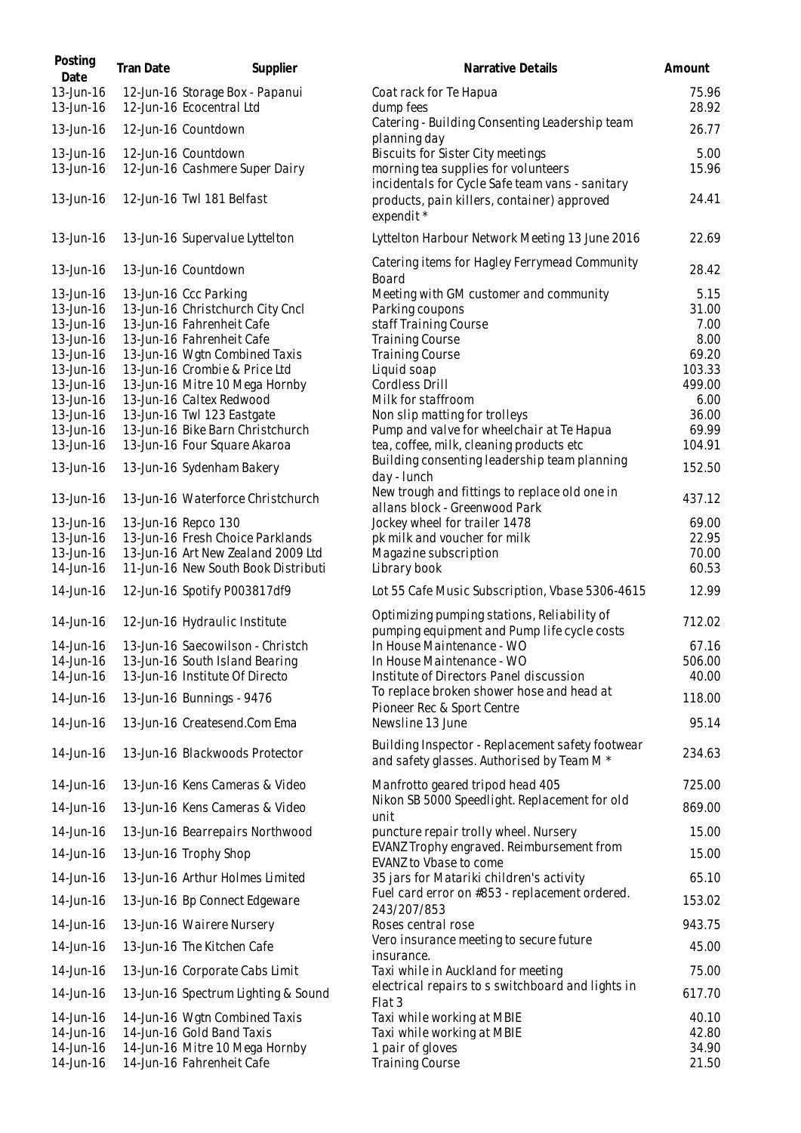| Posting<br>Date        | <b>Tran Date</b> | Supplier                                                            | Narrative Details                                                                                                       | Amount          |
|------------------------|------------------|---------------------------------------------------------------------|-------------------------------------------------------------------------------------------------------------------------|-----------------|
| 13-Jun-16<br>13-Jun-16 |                  | 12-Jun-16 Storage Box - Papanui<br>12-Jun-16 Ecocentral Ltd         | Coat rack for Te Hapua<br>dump fees                                                                                     | 75.96<br>28.92  |
| 13-Jun-16              |                  | 12-Jun-16 Countdown                                                 | Catering - Building Consenting Leadership team<br>planning day                                                          | 26.77           |
| 13-Jun-16<br>13-Jun-16 |                  | 12-Jun-16 Countdown<br>12-Jun-16 Cashmere Super Dairy               | Biscuits for Sister City meetings<br>morning tea supplies for volunteers                                                | 5.00<br>15.96   |
| 13-Jun-16              |                  | 12-Jun-16 Twl 181 Belfast                                           | incidentals for Cycle Safe team vans - sanitary<br>products, pain killers, container) approved<br>expendit <sup>*</sup> | 24.41           |
| 13-Jun-16              |                  | 13-Jun-16 Supervalue Lyttelton                                      | Lyttelton Harbour Network Meeting 13 June 2016                                                                          | 22.69           |
| 13-Jun-16              |                  | 13-Jun-16 Countdown                                                 | Catering items for Hagley Ferrymead Community<br>Board                                                                  | 28.42           |
| 13-Jun-16              |                  | 13-Jun-16 Ccc Parking                                               | Meeting with GM customer and community                                                                                  | 5.15            |
| 13-Jun-16              |                  | 13-Jun-16 Christchurch City Cncl                                    | Parking coupons                                                                                                         | 31.00           |
| 13-Jun-16              |                  | 13-Jun-16 Fahrenheit Cafe                                           | staff Training Course                                                                                                   | 7.00            |
| 13-Jun-16              |                  | 13-Jun-16 Fahrenheit Cafe                                           | <b>Training Course</b>                                                                                                  | 8.00            |
| 13-Jun-16              |                  | 13-Jun-16 Wgtn Combined Taxis                                       | <b>Training Course</b>                                                                                                  | 69.20           |
| 13-Jun-16              |                  | 13-Jun-16 Crombie & Price Ltd                                       | Liquid soap                                                                                                             | 103.33          |
| 13-Jun-16              |                  | 13-Jun-16 Mitre 10 Mega Hornby                                      | Cordless Drill                                                                                                          | 499.00          |
| 13-Jun-16              |                  | 13-Jun-16 Caltex Redwood                                            | Milk for staffroom                                                                                                      | 6.00            |
| 13-Jun-16              |                  | 13-Jun-16 Twl 123 Eastgate                                          | Non slip matting for trolleys                                                                                           | 36.00           |
| 13-Jun-16              |                  | 13-Jun-16 Bike Barn Christchurch                                    | Pump and valve for wheelchair at Te Hapua                                                                               | 69.99           |
| 13-Jun-16              |                  | 13-Jun-16 Four Square Akaroa                                        | tea, coffee, milk, cleaning products etc                                                                                | 104.91          |
| 13-Jun-16              |                  | 13-Jun-16 Sydenham Bakery                                           | Building consenting leadership team planning<br>day - lunch                                                             | 152.50          |
| 13-Jun-16              |                  | 13-Jun-16 Waterforce Christchurch                                   | New trough and fittings to replace old one in<br>allans block - Greenwood Park                                          | 437.12          |
| 13-Jun-16              |                  | 13-Jun-16 Repco 130                                                 | Jockey wheel for trailer 1478                                                                                           | 69.00           |
| 13-Jun-16              |                  | 13-Jun-16 Fresh Choice Parklands                                    | pk milk and voucher for milk                                                                                            | 22.95           |
| 13-Jun-16              |                  | 13-Jun-16 Art New Zealand 2009 Ltd                                  | Magazine subscription                                                                                                   | 70.00           |
| 14-Jun-16<br>14-Jun-16 |                  | 11-Jun-16 New South Book Distributi<br>12-Jun-16 Spotify P003817df9 | Library book<br>Lot 55 Cafe Music Subscription, Vbase 5306-4615                                                         | 60.53<br>12.99  |
|                        |                  |                                                                     | Optimizing pumping stations, Reliability of                                                                             |                 |
| 14-Jun-16              |                  | 12-Jun-16 Hydraulic Institute                                       | pumping equipment and Pump life cycle costs                                                                             | 712.02          |
| 14-Jun-16<br>14-Jun-16 |                  | 13-Jun-16 Saecowilson - Christch                                    | In House Maintenance - WO                                                                                               | 67.16           |
| 14-Jun-16              |                  | 13-Jun-16 South Island Bearing<br>13-Jun-16 Institute Of Directo    | In House Maintenance - WO<br>Institute of Directors Panel discussion                                                    | 506.00<br>40.00 |
|                        |                  |                                                                     | To replace broken shower hose and head at                                                                               |                 |
| 14-Jun-16              |                  | 13-Jun-16 Bunnings - 9476                                           | Pioneer Rec & Sport Centre                                                                                              | 118.00          |
| 14-Jun-16              |                  | 13-Jun-16 Createsend.Com Ema                                        | Newsline 13 June                                                                                                        | 95.14           |
| 14-Jun-16              |                  | 13-Jun-16 Blackwoods Protector                                      | Building Inspector - Replacement safety footwear<br>and safety glasses. Authorised by Team M *                          | 234.63          |
| 14-Jun-16              |                  | 13-Jun-16 Kens Cameras & Video                                      | Manfrotto geared tripod head 405                                                                                        | 725.00          |
| 14-Jun-16              |                  | 13-Jun-16 Kens Cameras & Video                                      | Nikon SB 5000 Speedlight. Replacement for old<br>unit                                                                   | 869.00          |
| 14-Jun-16              |                  | 13-Jun-16 Bearrepairs Northwood                                     | puncture repair trolly wheel. Nursery                                                                                   | 15.00           |
| 14-Jun-16              |                  | 13-Jun-16 Trophy Shop                                               | EVANZ Trophy engraved. Reimbursement from<br>EVANZ to Vbase to come                                                     | 15.00           |
| 14-Jun-16              |                  | 13-Jun-16 Arthur Holmes Limited                                     | 35 jars for Matariki children's activity<br>Fuel card error on #853 - replacement ordered.                              | 65.10           |
| 14-Jun-16              |                  | 13-Jun-16 Bp Connect Edgeware                                       | 243/207/853                                                                                                             | 153.02          |
| 14-Jun-16              |                  | 13-Jun-16 Wairere Nursery                                           | Roses central rose<br>Vero insurance meeting to secure future                                                           | 943.75          |
| 14-Jun-16              |                  | 13-Jun-16 The Kitchen Cafe                                          | insurance.                                                                                                              | 45.00           |
| 14-Jun-16              |                  | 13-Jun-16 Corporate Cabs Limit                                      | Taxi while in Auckland for meeting                                                                                      | 75.00           |
| 14-Jun-16              |                  | 13-Jun-16 Spectrum Lighting & Sound                                 | electrical repairs to s switchboard and lights in<br>Flat <sub>3</sub>                                                  | 617.70          |
| 14-Jun-16              |                  | 14-Jun-16 Wgtn Combined Taxis                                       | Taxi while working at MBIE                                                                                              | 40.10           |
| 14-Jun-16              |                  | 14-Jun-16 Gold Band Taxis                                           | Taxi while working at MBIE                                                                                              | 42.80           |
| 14-Jun-16              |                  | 14-Jun-16 Mitre 10 Mega Hornby                                      | 1 pair of gloves                                                                                                        | 34.90           |
| 14-Jun-16              |                  | 14-Jun-16 Fahrenheit Cafe                                           | <b>Training Course</b>                                                                                                  | 21.50           |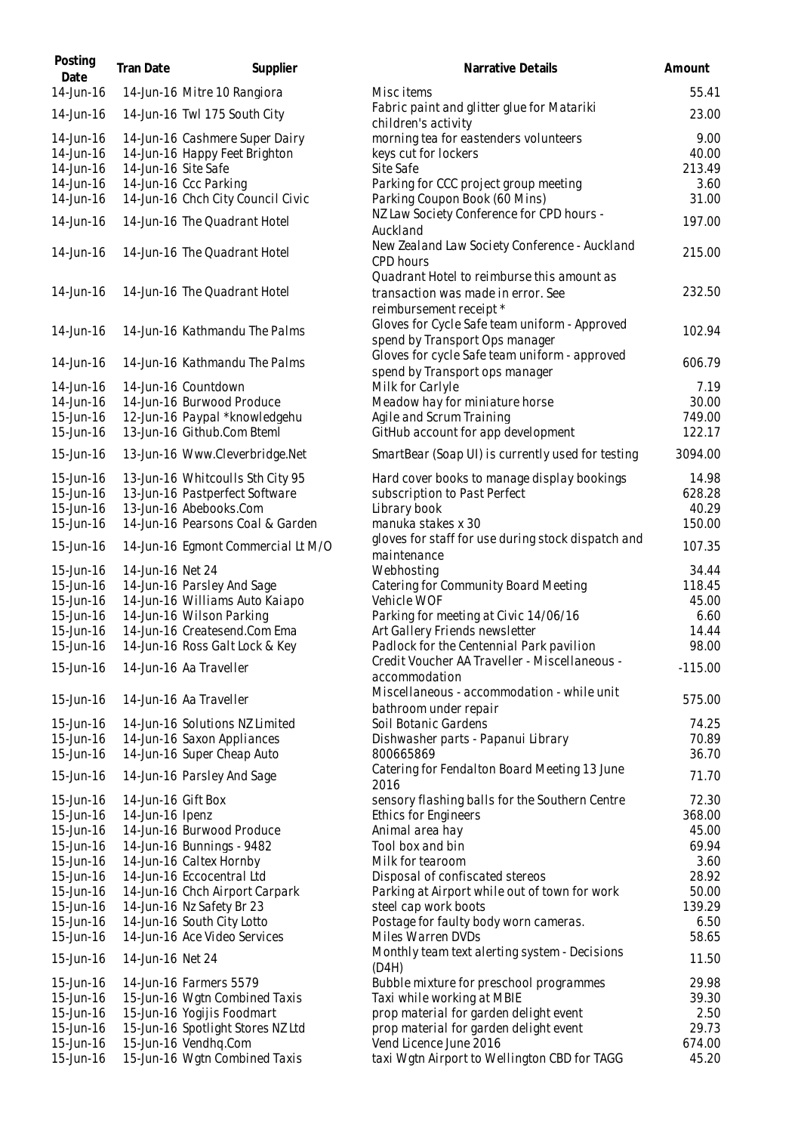| Posting<br>Date | <b>Tran Date</b>    | Supplier                           | Narrative Details                                                                                           | Amount    |
|-----------------|---------------------|------------------------------------|-------------------------------------------------------------------------------------------------------------|-----------|
| 14-Jun-16       |                     | 14-Jun-16 Mitre 10 Rangiora        | Misc items                                                                                                  | 55.41     |
| 14-Jun-16       |                     | 14-Jun-16 Twl 175 South City       | Fabric paint and glitter glue for Matariki<br>children's activity                                           | 23.00     |
| 14-Jun-16       |                     | 14-Jun-16 Cashmere Super Dairy     | morning tea for eastenders volunteers                                                                       | 9.00      |
| 14-Jun-16       |                     | 14-Jun-16 Happy Feet Brighton      | keys cut for lockers                                                                                        | 40.00     |
| 14-Jun-16       | 14-Jun-16 Site Safe |                                    | Site Safe                                                                                                   | 213.49    |
| 14-Jun-16       |                     | 14-Jun-16 Ccc Parking              | Parking for CCC project group meeting                                                                       | 3.60      |
| 14-Jun-16       |                     | 14-Jun-16 Chch City Council Civic  | Parking Coupon Book (60 Mins)                                                                               | 31.00     |
| 14-Jun-16       |                     | 14-Jun-16 The Quadrant Hotel       | NZ Law Society Conference for CPD hours -                                                                   | 197.00    |
|                 |                     |                                    | Auckland                                                                                                    |           |
| 14-Jun-16       |                     | 14-Jun-16 The Quadrant Hotel       | New Zealand Law Society Conference - Auckland<br><b>CPD hours</b>                                           | 215.00    |
| 14-Jun-16       |                     | 14-Jun-16 The Quadrant Hotel       | Quadrant Hotel to reimburse this amount as<br>transaction was made in error. See<br>reimbursement receipt * | 232.50    |
| 14-Jun-16       |                     | 14-Jun-16 Kathmandu The Palms      | Gloves for Cycle Safe team uniform - Approved                                                               | 102.94    |
|                 |                     |                                    | spend by Transport Ops manager                                                                              |           |
| 14-Jun-16       |                     | 14-Jun-16 Kathmandu The Palms      | Gloves for cycle Safe team uniform - approved<br>spend by Transport ops manager                             | 606.79    |
| 14-Jun-16       |                     | 14-Jun-16 Countdown                | Milk for Carlyle                                                                                            | 7.19      |
| 14-Jun-16       |                     | 14-Jun-16 Burwood Produce          | Meadow hay for miniature horse                                                                              | 30.00     |
| 15-Jun-16       |                     | 12-Jun-16 Paypal *knowledgehu      | Agile and Scrum Training                                                                                    | 749.00    |
| 15-Jun-16       |                     | 13-Jun-16 Github.Com Bteml         | GitHub account for app development                                                                          | 122.17    |
| 15-Jun-16       |                     | 13-Jun-16 Www.Cleverbridge.Net     | SmartBear (Soap UI) is currently used for testing                                                           | 3094.00   |
| 15-Jun-16       |                     | 13-Jun-16 Whitcoulls Sth City 95   | Hard cover books to manage display bookings                                                                 | 14.98     |
| 15-Jun-16       |                     | 13-Jun-16 Pastperfect Software     | subscription to Past Perfect                                                                                | 628.28    |
| 15-Jun-16       |                     | 13-Jun-16 Abebooks.Com             | Library book                                                                                                | 40.29     |
| 15-Jun-16       |                     | 14-Jun-16 Pearsons Coal & Garden   | manuka stakes x 30                                                                                          | 150.00    |
| 15-Jun-16       |                     | 14-Jun-16 Egmont Commercial Lt M/O | gloves for staff for use during stock dispatch and<br>maintenance                                           | 107.35    |
| 15-Jun-16       | 14-Jun-16 Net 24    |                                    | Webhosting                                                                                                  | 34.44     |
| 15-Jun-16       |                     | 14-Jun-16 Parsley And Sage         | Catering for Community Board Meeting                                                                        | 118.45    |
| 15-Jun-16       |                     | 14-Jun-16 Williams Auto Kaiapo     | Vehicle WOF                                                                                                 | 45.00     |
| 15-Jun-16       |                     | 14-Jun-16 Wilson Parking           | Parking for meeting at Civic 14/06/16                                                                       | 6.60      |
| 15-Jun-16       |                     | 14-Jun-16 Createsend.Com Ema       | Art Gallery Friends newsletter                                                                              | 14.44     |
| 15-Jun-16       |                     | 14-Jun-16 Ross Galt Lock & Key     | Padlock for the Centennial Park pavilion                                                                    | 98.00     |
| 15-Jun-16       |                     | 14-Jun-16 Aa Traveller             | Credit Voucher AA Traveller - Miscellaneous -<br>accommodation                                              | $-115.00$ |
| 15-Jun-16       |                     | 14-Jun-16 Aa Traveller             | Miscellaneous - accommodation - while unit                                                                  | 575.00    |
|                 |                     |                                    | bathroom under repair                                                                                       |           |
| 15-Jun-16       |                     | 14-Jun-16 Solutions NZ Limited     | Soil Botanic Gardens                                                                                        | 74.25     |
| 15-Jun-16       |                     | 14-Jun-16 Saxon Appliances         | Dishwasher parts - Papanui Library                                                                          | 70.89     |
| 15-Jun-16       |                     | 14-Jun-16 Super Cheap Auto         | 800665869                                                                                                   | 36.70     |
| 15-Jun-16       |                     | 14-Jun-16 Parsley And Sage         | Catering for Fendalton Board Meeting 13 June                                                                | 71.70     |
|                 |                     |                                    | 2016                                                                                                        |           |
| 15-Jun-16       | 14-Jun-16 Gift Box  |                                    | sensory flashing balls for the Southern Centre                                                              | 72.30     |
| 15-Jun-16       | 14-Jun-16 Ipenz     |                                    | <b>Ethics for Engineers</b>                                                                                 | 368.00    |
| 15-Jun-16       |                     | 14-Jun-16 Burwood Produce          | Animal area hay                                                                                             | 45.00     |
| 15-Jun-16       |                     | 14-Jun-16 Bunnings - 9482          | Tool box and bin                                                                                            | 69.94     |
| 15-Jun-16       |                     | 14-Jun-16 Caltex Hornby            | Milk for tearoom                                                                                            | 3.60      |
| 15-Jun-16       |                     | 14-Jun-16 Eccocentral Ltd          | Disposal of confiscated stereos                                                                             | 28.92     |
| 15-Jun-16       |                     | 14-Jun-16 Chch Airport Carpark     | Parking at Airport while out of town for work                                                               | 50.00     |
| 15-Jun-16       |                     | 14-Jun-16 Nz Safety Br 23          | steel cap work boots                                                                                        | 139.29    |
| 15-Jun-16       |                     | 14-Jun-16 South City Lotto         | Postage for faulty body worn cameras.                                                                       | 6.50      |
| 15-Jun-16       |                     | 14-Jun-16 Ace Video Services       | Miles Warren DVDs                                                                                           | 58.65     |
| 15-Jun-16       | 14-Jun-16 Net 24    |                                    | Monthly team text alerting system - Decisions<br>(D4H)                                                      | 11.50     |
| 15-Jun-16       |                     | 14-Jun-16 Farmers 5579             | Bubble mixture for preschool programmes                                                                     | 29.98     |
| 15-Jun-16       |                     | 15-Jun-16 Wgtn Combined Taxis      | Taxi while working at MBIE                                                                                  | 39.30     |
| 15-Jun-16       |                     | 15-Jun-16 Yogijis Foodmart         | prop material for garden delight event                                                                      | 2.50      |
| 15-Jun-16       |                     | 15-Jun-16 Spotlight Stores NZ Ltd  | prop material for garden delight event                                                                      | 29.73     |
| 15-Jun-16       |                     | 15-Jun-16 Vendhq.Com               | Vend Licence June 2016                                                                                      | 674.00    |
| 15-Jun-16       |                     | 15-Jun-16 Wgtn Combined Taxis      | taxi Wgtn Airport to Wellington CBD for TAGG                                                                | 45.20     |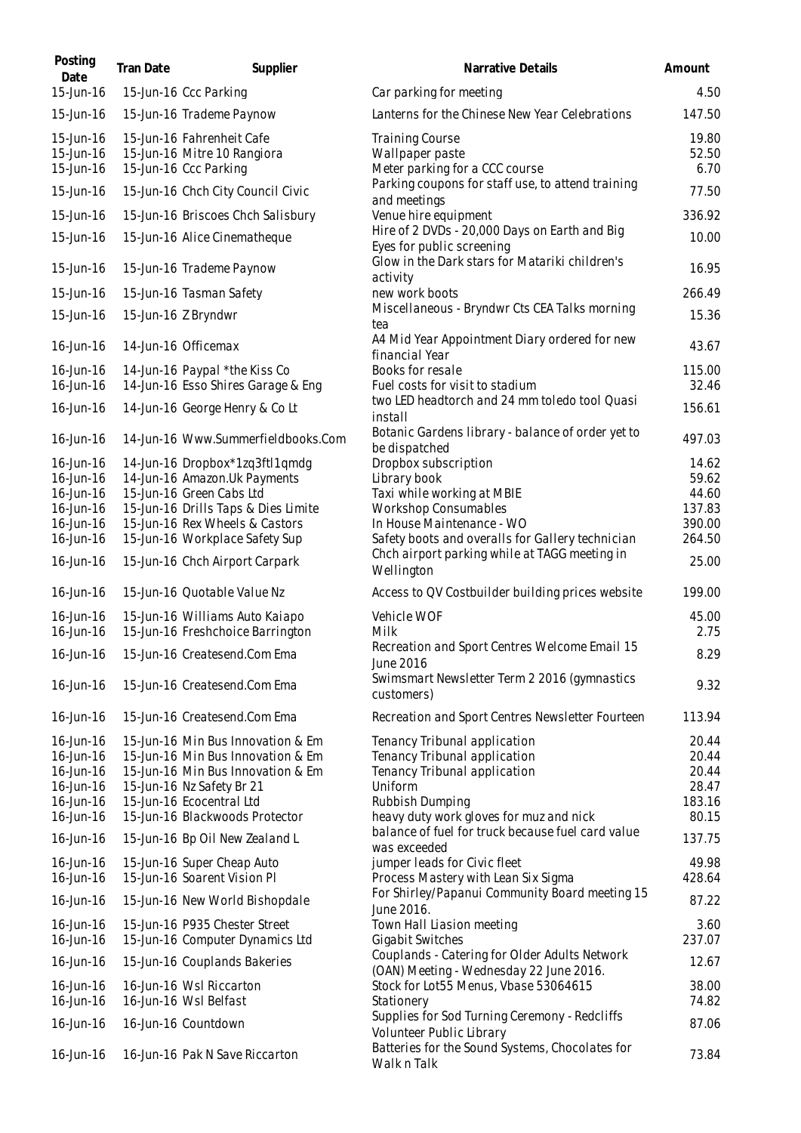| Posting<br>Date                     | <b>Tran Date</b> | Supplier                                                                          | Narrative Details                                                                        | Amount                 |
|-------------------------------------|------------------|-----------------------------------------------------------------------------------|------------------------------------------------------------------------------------------|------------------------|
| 15-Jun-16                           |                  | 15-Jun-16 Ccc Parking                                                             | Car parking for meeting                                                                  | 4.50                   |
| 15-Jun-16                           |                  | 15-Jun-16 Trademe Paynow                                                          | Lanterns for the Chinese New Year Celebrations                                           | 147.50                 |
| 15-Jun-16<br>15-Jun-16<br>15-Jun-16 |                  | 15-Jun-16 Fahrenheit Cafe<br>15-Jun-16 Mitre 10 Rangiora<br>15-Jun-16 Ccc Parking | <b>Training Course</b><br>Wallpaper paste<br>Meter parking for a CCC course              | 19.80<br>52.50<br>6.70 |
| 15-Jun-16                           |                  | 15-Jun-16 Chch City Council Civic                                                 | Parking coupons for staff use, to attend training                                        | 77.50                  |
| 15-Jun-16                           |                  | 15-Jun-16 Briscoes Chch Salisbury                                                 | and meetings<br>Venue hire equipment                                                     | 336.92                 |
| 15-Jun-16                           |                  | 15-Jun-16 Alice Cinematheque                                                      | Hire of 2 DVDs - 20,000 Days on Earth and Big<br>Eyes for public screening               | 10.00                  |
| 15-Jun-16                           |                  | 15-Jun-16 Trademe Paynow                                                          | Glow in the Dark stars for Matariki children's<br>activity                               | 16.95                  |
| 15-Jun-16                           |                  | 15-Jun-16 Tasman Safety                                                           | new work boots                                                                           | 266.49                 |
| 15-Jun-16                           |                  | 15-Jun-16 Z Bryndwr                                                               | Miscellaneous - Bryndwr Cts CEA Talks morning<br>tea                                     | 15.36                  |
| 16-Jun-16                           |                  | 14-Jun-16 Officemax                                                               | A4 Mid Year Appointment Diary ordered for new<br>financial Year                          | 43.67                  |
| 16-Jun-16                           |                  | 14-Jun-16 Paypal *the Kiss Co                                                     | Books for resale                                                                         | 115.00                 |
| 16-Jun-16<br>16-Jun-16              |                  | 14-Jun-16 Esso Shires Garage & Eng<br>14-Jun-16 George Henry & Co Lt              | Fuel costs for visit to stadium<br>two LED headtorch and 24 mm toledo tool Quasi         | 32.46<br>156.61        |
|                                     |                  |                                                                                   | install<br>Botanic Gardens library - balance of order yet to                             |                        |
| 16-Jun-16                           |                  | 14-Jun-16 Www.Summerfieldbooks.Com                                                | be dispatched                                                                            | 497.03                 |
| 16-Jun-16                           |                  | 14-Jun-16 Dropbox*1zq3ftl1qmdg                                                    | Dropbox subscription                                                                     | 14.62<br>59.62         |
| 16-Jun-16<br>16-Jun-16              |                  | 14-Jun-16 Amazon.Uk Payments<br>15-Jun-16 Green Cabs Ltd                          | Library book<br>Taxi while working at MBIE                                               | 44.60                  |
| 16-Jun-16                           |                  | 15-Jun-16 Drills Taps & Dies Limite                                               | <b>Workshop Consumables</b>                                                              | 137.83                 |
| 16-Jun-16                           |                  | 15-Jun-16 Rex Wheels & Castors                                                    | In House Maintenance - WO                                                                | 390.00                 |
| 16-Jun-16                           |                  | 15-Jun-16 Workplace Safety Sup                                                    | Safety boots and overalls for Gallery technician                                         | 264.50                 |
| 16-Jun-16                           |                  | 15-Jun-16 Chch Airport Carpark                                                    | Chch airport parking while at TAGG meeting in<br>Wellington                              | 25.00                  |
| 16-Jun-16                           |                  | 15-Jun-16 Quotable Value Nz                                                       | Access to QV Costbuilder building prices website                                         | 199.00                 |
| 16-Jun-16<br>16-Jun-16              |                  | 15-Jun-16 Williams Auto Kaiapo<br>15-Jun-16 Freshchoice Barrington                | Vehicle WOF<br>Milk                                                                      | 45.00<br>2.75          |
| 16-Jun-16                           |                  | 15-Jun-16 Createsend.Com Ema                                                      | Recreation and Sport Centres Welcome Email 15<br>June 2016                               | 8.29                   |
| 16-Jun-16                           |                  | 15-Jun-16 Createsend.Com Ema                                                      | Swimsmart Newsletter Term 2 2016 (gymnastics<br>customers)                               | 9.32                   |
| 16-Jun-16                           |                  | 15-Jun-16 Createsend.Com Ema                                                      | Recreation and Sport Centres Newsletter Fourteen                                         | 113.94                 |
| 16-Jun-16<br>16-Jun-16              |                  | 15-Jun-16 Min Bus Innovation & Em<br>15-Jun-16 Min Bus Innovation & Em            | Tenancy Tribunal application<br>Tenancy Tribunal application                             | 20.44<br>20.44         |
| 16-Jun-16                           |                  | 15-Jun-16 Min Bus Innovation & Em                                                 | Tenancy Tribunal application                                                             | 20.44                  |
| 16-Jun-16                           |                  | 15-Jun-16 Nz Safety Br 21                                                         | Uniform                                                                                  | 28.47                  |
| 16-Jun-16                           |                  | 15-Jun-16 Ecocentral Ltd                                                          | Rubbish Dumping                                                                          | 183.16                 |
| 16-Jun-16                           |                  | 15-Jun-16 Blackwoods Protector                                                    | heavy duty work gloves for muz and nick                                                  | 80.15                  |
| 16-Jun-16                           |                  | 15-Jun-16 Bp Oil New Zealand L                                                    | balance of fuel for truck because fuel card value<br>was exceeded                        | 137.75                 |
| 16-Jun-16<br>16-Jun-16              |                  | 15-Jun-16 Super Cheap Auto<br>15-Jun-16 Soarent Vision Pl                         | jumper leads for Civic fleet<br>Process Mastery with Lean Six Sigma                      | 49.98<br>428.64        |
| 16-Jun-16                           |                  | 15-Jun-16 New World Bishopdale                                                    | For Shirley/Papanui Community Board meeting 15<br>June 2016.                             | 87.22                  |
| 16-Jun-16<br>16-Jun-16              |                  | 15-Jun-16 P935 Chester Street<br>15-Jun-16 Computer Dynamics Ltd                  | Town Hall Liasion meeting<br>Gigabit Switches                                            | 3.60<br>237.07         |
| 16-Jun-16                           |                  | 15-Jun-16 Couplands Bakeries                                                      | Couplands - Catering for Older Adults Network<br>(OAN) Meeting - Wednesday 22 June 2016. | 12.67                  |
| 16-Jun-16                           |                  | 16-Jun-16 Wsl Riccarton                                                           | Stock for Lot55 Menus, Vbase 53064615                                                    | 38.00                  |
| 16-Jun-16                           |                  | 16-Jun-16 Wsl Belfast                                                             | Stationery                                                                               | 74.82                  |
| 16-Jun-16                           |                  | 16-Jun-16 Countdown                                                               | Supplies for Sod Turning Ceremony - Redcliffs<br>Volunteer Public Library                | 87.06                  |
| 16-Jun-16                           |                  | 16-Jun-16 Pak N Save Riccarton                                                    | Batteries for the Sound Systems, Chocolates for<br>Walk n Talk                           | 73.84                  |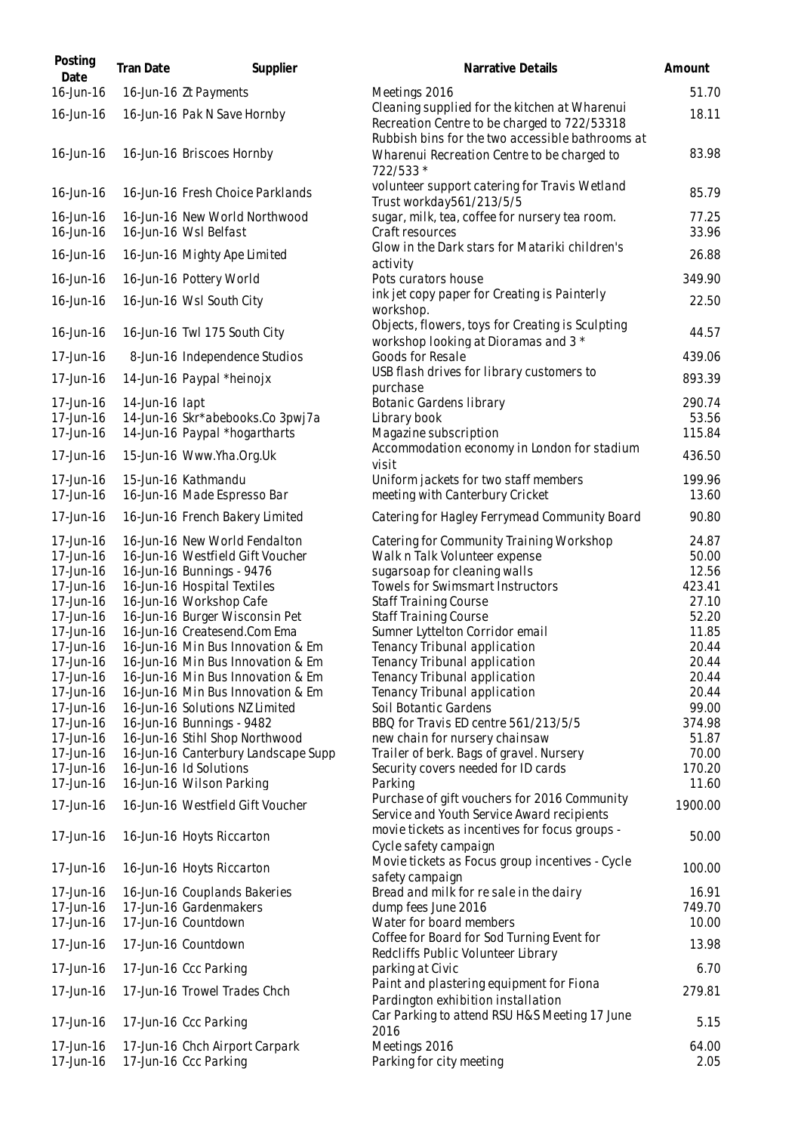| Posting<br>Date        | <b>Tran Date</b> | Supplier                                                               | Narrative Details                                                                                                                                 | Amount          |
|------------------------|------------------|------------------------------------------------------------------------|---------------------------------------------------------------------------------------------------------------------------------------------------|-----------------|
| 16-Jun-16              |                  | 16-Jun-16 Zt Payments                                                  | Meetings 2016                                                                                                                                     | 51.70           |
| 16-Jun-16              |                  | 16-Jun-16 Pak N Save Hornby                                            | Cleaning supplied for the kitchen at Wharenui<br>Recreation Centre to be charged to 722/53318<br>Rubbish bins for the two accessible bathrooms at | 18.11           |
| 16-Jun-16              |                  | 16-Jun-16 Briscoes Hornby                                              | Wharenui Recreation Centre to be charged to<br>722/533 *                                                                                          | 83.98           |
| 16-Jun-16              |                  | 16-Jun-16 Fresh Choice Parklands                                       | volunteer support catering for Travis Wetland<br>Trust workday561/213/5/5                                                                         | 85.79           |
| 16-Jun-16              |                  | 16-Jun-16 New World Northwood                                          | sugar, milk, tea, coffee for nursery tea room.                                                                                                    | 77.25           |
| 16-Jun-16              |                  | 16-Jun-16 Wsl Belfast                                                  | Craft resources<br>Glow in the Dark stars for Matariki children's                                                                                 | 33.96           |
| 16-Jun-16              |                  | 16-Jun-16 Mighty Ape Limited                                           | activity                                                                                                                                          | 26.88           |
| 16-Jun-16              |                  | 16-Jun-16 Pottery World                                                | Pots curators house                                                                                                                               | 349.90          |
| 16-Jun-16              |                  | 16-Jun-16 Wsl South City                                               | ink jet copy paper for Creating is Painterly<br>workshop.                                                                                         | 22.50           |
| 16-Jun-16              |                  | 16-Jun-16 Twl 175 South City                                           | Objects, flowers, toys for Creating is Sculpting<br>workshop looking at Dioramas and 3 *                                                          | 44.57           |
| 17-Jun-16              |                  | 8-Jun-16 Independence Studios                                          | Goods for Resale                                                                                                                                  | 439.06          |
| 17-Jun-16              |                  | 14-Jun-16 Paypal *heinojx                                              | USB flash drives for library customers to<br>purchase                                                                                             | 893.39          |
| 17-Jun-16              | 14-Jun-16 lapt   |                                                                        | Botanic Gardens library                                                                                                                           | 290.74          |
| 17-Jun-16              |                  | 14-Jun-16 Skr*abebooks.Co 3pwj7a                                       | Library book                                                                                                                                      | 53.56           |
| 17-Jun-16              |                  | 14-Jun-16 Paypal *hogartharts                                          | Magazine subscription<br>Accommodation economy in London for stadium                                                                              | 115.84          |
| 17-Jun-16              |                  | 15-Jun-16 Www.Yha.Org.Uk                                               | visit                                                                                                                                             | 436.50          |
| 17-Jun-16<br>17-Jun-16 |                  | 15-Jun-16 Kathmandu<br>16-Jun-16 Made Espresso Bar                     | Uniform jackets for two staff members<br>meeting with Canterbury Cricket                                                                          | 199.96<br>13.60 |
| 17-Jun-16              |                  | 16-Jun-16 French Bakery Limited                                        | Catering for Hagley Ferrymead Community Board                                                                                                     | 90.80           |
| 17-Jun-16              |                  | 16-Jun-16 New World Fendalton                                          | Catering for Community Training Workshop                                                                                                          | 24.87           |
| 17-Jun-16<br>17-Jun-16 |                  | 16-Jun-16 Westfield Gift Voucher<br>16-Jun-16 Bunnings - 9476          | Walk n Talk Volunteer expense<br>sugarsoap for cleaning walls                                                                                     | 50.00<br>12.56  |
| 17-Jun-16              |                  | 16-Jun-16 Hospital Textiles                                            | Towels for Swimsmart Instructors                                                                                                                  | 423.41          |
| 17-Jun-16              |                  | 16-Jun-16 Workshop Cafe                                                | <b>Staff Training Course</b>                                                                                                                      | 27.10           |
| 17-Jun-16              |                  | 16-Jun-16 Burger Wisconsin Pet                                         | <b>Staff Training Course</b>                                                                                                                      | 52.20           |
| 17-Jun-16              |                  | 16-Jun-16 Createsend.Com Ema                                           | Sumner Lyttelton Corridor email                                                                                                                   | 11.85<br>20.44  |
| 17-Jun-16<br>17-Jun-16 |                  | 16-Jun-16 Min Bus Innovation & Em<br>16-Jun-16 Min Bus Innovation & Em | Tenancy Tribunal application<br>Tenancy Tribunal application                                                                                      | 20.44           |
| 17-Jun-16              |                  | 16-Jun-16 Min Bus Innovation & Em                                      | Tenancy Tribunal application                                                                                                                      | 20.44           |
| 17-Jun-16              |                  | 16-Jun-16 Min Bus Innovation & Em                                      | Tenancy Tribunal application                                                                                                                      | 20.44           |
| 17-Jun-16              |                  | 16-Jun-16 Solutions NZ Limited                                         | Soil Botantic Gardens                                                                                                                             | 99.00           |
| 17-Jun-16              |                  | 16-Jun-16 Bunnings - 9482                                              | BBQ for Travis ED centre 561/213/5/5                                                                                                              | 374.98          |
| 17-Jun-16              |                  | 16-Jun-16 Stihl Shop Northwood                                         | new chain for nursery chainsaw                                                                                                                    | 51.87           |
| 17-Jun-16              |                  | 16-Jun-16 Canterbury Landscape Supp                                    | Trailer of berk. Bags of gravel. Nursery                                                                                                          | 70.00           |
| 17-Jun-16              |                  | 16-Jun-16 Id Solutions                                                 | Security covers needed for ID cards                                                                                                               | 170.20          |
| 17-Jun-16              |                  | 16-Jun-16 Wilson Parking                                               | Parking                                                                                                                                           | 11.60           |
| 17-Jun-16              |                  | 16-Jun-16 Westfield Gift Voucher                                       | Purchase of gift vouchers for 2016 Community<br>Service and Youth Service Award recipients                                                        | 1900.00         |
| 17-Jun-16              |                  | 16-Jun-16 Hoyts Riccarton                                              | movie tickets as incentives for focus groups -<br>Cycle safety campaign                                                                           | 50.00           |
| 17-Jun-16              |                  | 16-Jun-16 Hoyts Riccarton                                              | Movie tickets as Focus group incentives - Cycle<br>safety campaign                                                                                | 100.00          |
| 17-Jun-16              |                  | 16-Jun-16 Couplands Bakeries                                           | Bread and milk for re sale in the dairy                                                                                                           | 16.91           |
| 17-Jun-16              |                  | 17-Jun-16 Gardenmakers                                                 | dump fees June 2016                                                                                                                               | 749.70          |
| 17-Jun-16              |                  | 17-Jun-16 Countdown                                                    | Water for board members                                                                                                                           | 10.00           |
| 17-Jun-16              |                  | 17-Jun-16 Countdown                                                    | Coffee for Board for Sod Turning Event for<br>Redcliffs Public Volunteer Library                                                                  | 13.98           |
| 17-Jun-16              |                  | 17-Jun-16 Ccc Parking                                                  | parking at Civic                                                                                                                                  | 6.70            |
| 17-Jun-16              |                  | 17-Jun-16 Trowel Trades Chch                                           | Paint and plastering equipment for Fiona<br>Pardington exhibition installation                                                                    | 279.81          |
| 17-Jun-16              |                  | 17-Jun-16 Ccc Parking                                                  | Car Parking to attend RSU H&S Meeting 17 June<br>2016                                                                                             | 5.15            |
| 17-Jun-16              |                  | 17-Jun-16 Chch Airport Carpark                                         | Meetings 2016                                                                                                                                     | 64.00           |
| 17-Jun-16              |                  | 17-Jun-16 Ccc Parking                                                  | Parking for city meeting                                                                                                                          | 2.05            |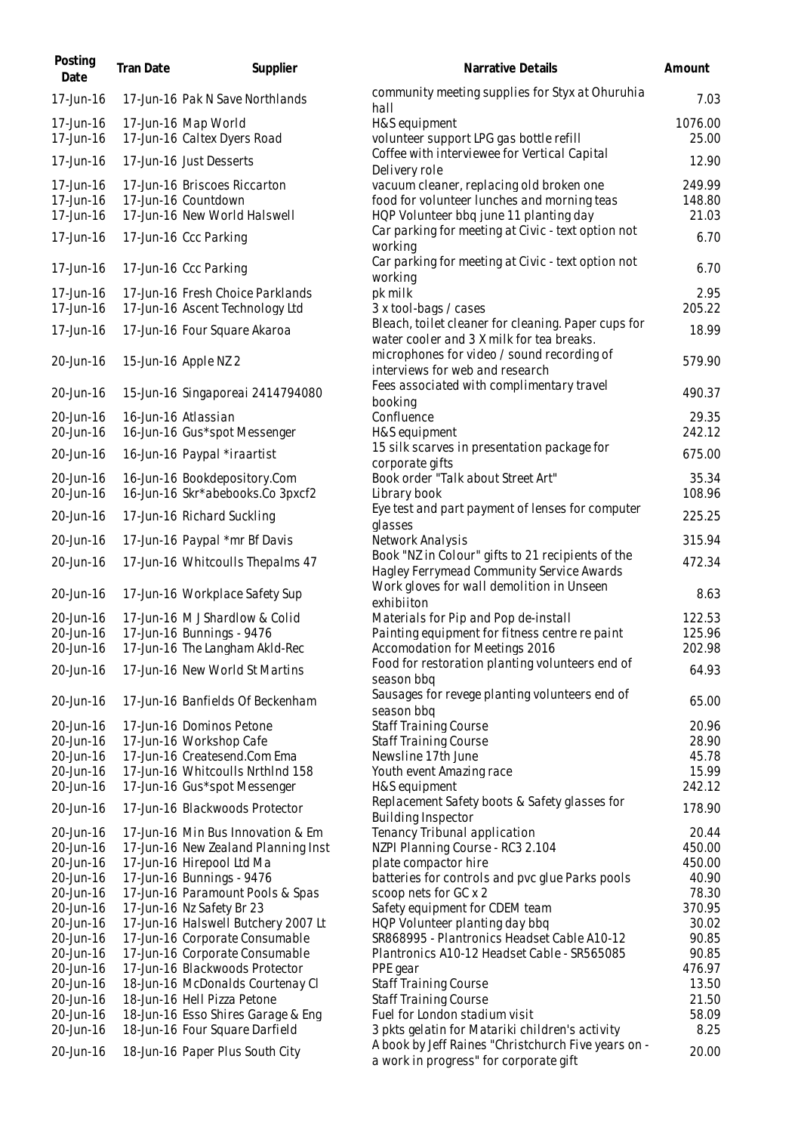| Posting<br>Date                                                                                                                                                                    | <b>Tran Date</b>    | Supplier                                                                                                                                                                                                                                                                                                                                                                                                                                                                                    | Narrative Details                                                                                                                                                                                                                                                                                                                                                                                                                                                                                      | Amount                                                                                                                        |
|------------------------------------------------------------------------------------------------------------------------------------------------------------------------------------|---------------------|---------------------------------------------------------------------------------------------------------------------------------------------------------------------------------------------------------------------------------------------------------------------------------------------------------------------------------------------------------------------------------------------------------------------------------------------------------------------------------------------|--------------------------------------------------------------------------------------------------------------------------------------------------------------------------------------------------------------------------------------------------------------------------------------------------------------------------------------------------------------------------------------------------------------------------------------------------------------------------------------------------------|-------------------------------------------------------------------------------------------------------------------------------|
| 17-Jun-16                                                                                                                                                                          |                     | 17-Jun-16 Pak N Save Northlands                                                                                                                                                                                                                                                                                                                                                                                                                                                             | community meeting supplies for Styx at Ohuruhia<br>hall                                                                                                                                                                                                                                                                                                                                                                                                                                                | 7.03                                                                                                                          |
| 17-Jun-16<br>17-Jun-16                                                                                                                                                             |                     | 17-Jun-16 Map World<br>17-Jun-16 Caltex Dyers Road                                                                                                                                                                                                                                                                                                                                                                                                                                          | H&S equipment<br>volunteer support LPG gas bottle refill                                                                                                                                                                                                                                                                                                                                                                                                                                               | 1076.00<br>25.00                                                                                                              |
| 17-Jun-16                                                                                                                                                                          |                     | 17-Jun-16 Just Desserts                                                                                                                                                                                                                                                                                                                                                                                                                                                                     | Coffee with interviewee for Vertical Capital<br>Delivery role                                                                                                                                                                                                                                                                                                                                                                                                                                          | 12.90                                                                                                                         |
| 17-Jun-16<br>17-Jun-16<br>17-Jun-16                                                                                                                                                |                     | 17-Jun-16 Briscoes Riccarton<br>17-Jun-16 Countdown<br>17-Jun-16 New World Halswell                                                                                                                                                                                                                                                                                                                                                                                                         | vacuum cleaner, replacing old broken one<br>food for volunteer lunches and morning teas<br>HQP Volunteer bbq june 11 planting day                                                                                                                                                                                                                                                                                                                                                                      | 249.99<br>148.80<br>21.03                                                                                                     |
| 17-Jun-16                                                                                                                                                                          |                     | 17-Jun-16 Ccc Parking                                                                                                                                                                                                                                                                                                                                                                                                                                                                       | Car parking for meeting at Civic - text option not<br>working                                                                                                                                                                                                                                                                                                                                                                                                                                          | 6.70                                                                                                                          |
| 17-Jun-16                                                                                                                                                                          |                     | 17-Jun-16 Ccc Parking                                                                                                                                                                                                                                                                                                                                                                                                                                                                       | Car parking for meeting at Civic - text option not<br>working                                                                                                                                                                                                                                                                                                                                                                                                                                          | 6.70                                                                                                                          |
| 17-Jun-16<br>17-Jun-16                                                                                                                                                             |                     | 17-Jun-16 Fresh Choice Parklands<br>17-Jun-16 Ascent Technology Ltd                                                                                                                                                                                                                                                                                                                                                                                                                         | pk milk<br>3 x tool-bags / cases                                                                                                                                                                                                                                                                                                                                                                                                                                                                       | 2.95<br>205.22                                                                                                                |
| 17-Jun-16                                                                                                                                                                          |                     | 17-Jun-16 Four Square Akaroa                                                                                                                                                                                                                                                                                                                                                                                                                                                                | Bleach, toilet cleaner for cleaning. Paper cups for<br>water cooler and 3 X milk for tea breaks.                                                                                                                                                                                                                                                                                                                                                                                                       | 18.99                                                                                                                         |
| 20-Jun-16                                                                                                                                                                          |                     | 15-Jun-16 Apple NZ 2                                                                                                                                                                                                                                                                                                                                                                                                                                                                        | microphones for video / sound recording of<br>interviews for web and research                                                                                                                                                                                                                                                                                                                                                                                                                          | 579.90                                                                                                                        |
| 20-Jun-16                                                                                                                                                                          |                     | 15-Jun-16 Singaporeai 2414794080                                                                                                                                                                                                                                                                                                                                                                                                                                                            | Fees associated with complimentary travel<br>booking                                                                                                                                                                                                                                                                                                                                                                                                                                                   | 490.37                                                                                                                        |
| 20-Jun-16<br>20-Jun-16                                                                                                                                                             | 16-Jun-16 Atlassian | 16-Jun-16 Gus*spot Messenger                                                                                                                                                                                                                                                                                                                                                                                                                                                                | Confluence<br>H&S equipment                                                                                                                                                                                                                                                                                                                                                                                                                                                                            | 29.35<br>242.12                                                                                                               |
| 20-Jun-16                                                                                                                                                                          |                     | 16-Jun-16 Paypal *iraartist                                                                                                                                                                                                                                                                                                                                                                                                                                                                 | 15 silk scarves in presentation package for<br>corporate gifts                                                                                                                                                                                                                                                                                                                                                                                                                                         | 675.00                                                                                                                        |
| 20-Jun-16<br>20-Jun-16                                                                                                                                                             |                     | 16-Jun-16 Bookdepository.Com<br>16-Jun-16 Skr*abebooks.Co 3pxcf2                                                                                                                                                                                                                                                                                                                                                                                                                            | Book order "Talk about Street Art"<br>Library book                                                                                                                                                                                                                                                                                                                                                                                                                                                     | 35.34<br>108.96                                                                                                               |
| 20-Jun-16                                                                                                                                                                          |                     | 17-Jun-16 Richard Suckling                                                                                                                                                                                                                                                                                                                                                                                                                                                                  | Eye test and part payment of lenses for computer<br>glasses                                                                                                                                                                                                                                                                                                                                                                                                                                            | 225.25                                                                                                                        |
| 20-Jun-16                                                                                                                                                                          |                     | 17-Jun-16 Paypal *mr Bf Davis                                                                                                                                                                                                                                                                                                                                                                                                                                                               | Network Analysis<br>Book "NZ in Colour" gifts to 21 recipients of the                                                                                                                                                                                                                                                                                                                                                                                                                                  | 315.94                                                                                                                        |
| 20-Jun-16                                                                                                                                                                          |                     | 17-Jun-16 Whitcoulls Thepalms 47                                                                                                                                                                                                                                                                                                                                                                                                                                                            | Hagley Ferrymead Community Service Awards<br>Work gloves for wall demolition in Unseen                                                                                                                                                                                                                                                                                                                                                                                                                 | 472.34                                                                                                                        |
| 20-Jun-16                                                                                                                                                                          |                     | 17-Jun-16 Workplace Safety Sup                                                                                                                                                                                                                                                                                                                                                                                                                                                              | exhibiiton                                                                                                                                                                                                                                                                                                                                                                                                                                                                                             | 8.63                                                                                                                          |
| 20-Jun-16<br>20-Jun-16<br>20-Jun-16                                                                                                                                                |                     | 17-Jun-16 M J Shardlow & Colid<br>17-Jun-16 Bunnings - 9476<br>17-Jun-16 The Langham AkId-Rec                                                                                                                                                                                                                                                                                                                                                                                               | Materials for Pip and Pop de-install<br>Painting equipment for fitness centre re paint<br>Accomodation for Meetings 2016                                                                                                                                                                                                                                                                                                                                                                               | 122.53<br>125.96<br>202.98                                                                                                    |
| 20-Jun-16                                                                                                                                                                          |                     | 17-Jun-16 New World St Martins                                                                                                                                                                                                                                                                                                                                                                                                                                                              | Food for restoration planting volunteers end of<br>season bbq                                                                                                                                                                                                                                                                                                                                                                                                                                          | 64.93                                                                                                                         |
| 20-Jun-16                                                                                                                                                                          |                     | 17-Jun-16 Banfields Of Beckenham                                                                                                                                                                                                                                                                                                                                                                                                                                                            | Sausages for revege planting volunteers end of<br>season bbq                                                                                                                                                                                                                                                                                                                                                                                                                                           | 65.00                                                                                                                         |
| 20-Jun-16<br>20-Jun-16<br>20-Jun-16<br>20-Jun-16<br>20-Jun-16                                                                                                                      |                     | 17-Jun-16 Dominos Petone<br>17-Jun-16 Workshop Cafe<br>17-Jun-16 Createsend.Com Ema<br>17-Jun-16 Whitcoulls NrthInd 158<br>17-Jun-16 Gus*spot Messenger                                                                                                                                                                                                                                                                                                                                     | <b>Staff Training Course</b><br><b>Staff Training Course</b><br>Newsline 17th June<br>Youth event Amazing race<br>H&S equipment                                                                                                                                                                                                                                                                                                                                                                        | 20.96<br>28.90<br>45.78<br>15.99<br>242.12                                                                                    |
| 20-Jun-16                                                                                                                                                                          |                     | 17-Jun-16 Blackwoods Protector                                                                                                                                                                                                                                                                                                                                                                                                                                                              | Replacement Safety boots & Safety glasses for<br><b>Building Inspector</b>                                                                                                                                                                                                                                                                                                                                                                                                                             | 178.90                                                                                                                        |
| 20-Jun-16<br>20-Jun-16<br>20-Jun-16<br>20-Jun-16<br>20-Jun-16<br>20-Jun-16<br>20-Jun-16<br>20-Jun-16<br>20-Jun-16<br>20-Jun-16<br>20-Jun-16<br>20-Jun-16<br>20-Jun-16<br>20-Jun-16 |                     | 17-Jun-16 Min Bus Innovation & Em<br>17-Jun-16 New Zealand Planning Inst<br>17-Jun-16 Hirepool Ltd Ma<br>17-Jun-16 Bunnings - 9476<br>17-Jun-16 Paramount Pools & Spas<br>17-Jun-16 Nz Safety Br 23<br>17-Jun-16 Halswell Butchery 2007 Lt<br>17-Jun-16 Corporate Consumable<br>17-Jun-16 Corporate Consumable<br>17-Jun-16 Blackwoods Protector<br>18-Jun-16 McDonalds Courtenay CI<br>18-Jun-16 Hell Pizza Petone<br>18-Jun-16 Esso Shires Garage & Eng<br>18-Jun-16 Four Square Darfield | Tenancy Tribunal application<br>NZPI Planning Course - RC3 2.104<br>plate compactor hire<br>batteries for controls and pvc glue Parks pools<br>scoop nets for GC x 2<br>Safety equipment for CDEM team<br>HQP Volunteer planting day bbq<br>SR868995 - Plantronics Headset Cable A10-12<br>Plantronics A10-12 Headset Cable - SR565085<br>PPE gear<br><b>Staff Training Course</b><br><b>Staff Training Course</b><br>Fuel for London stadium visit<br>3 pkts gelatin for Matariki children's activity | 20.44<br>450.00<br>450.00<br>40.90<br>78.30<br>370.95<br>30.02<br>90.85<br>90.85<br>476.97<br>13.50<br>21.50<br>58.09<br>8.25 |
| 20-Jun-16                                                                                                                                                                          |                     | 18-Jun-16 Paper Plus South City                                                                                                                                                                                                                                                                                                                                                                                                                                                             | A book by Jeff Raines "Christchurch Five years on -<br>a work in progress" for corporate gift                                                                                                                                                                                                                                                                                                                                                                                                          | 20.00                                                                                                                         |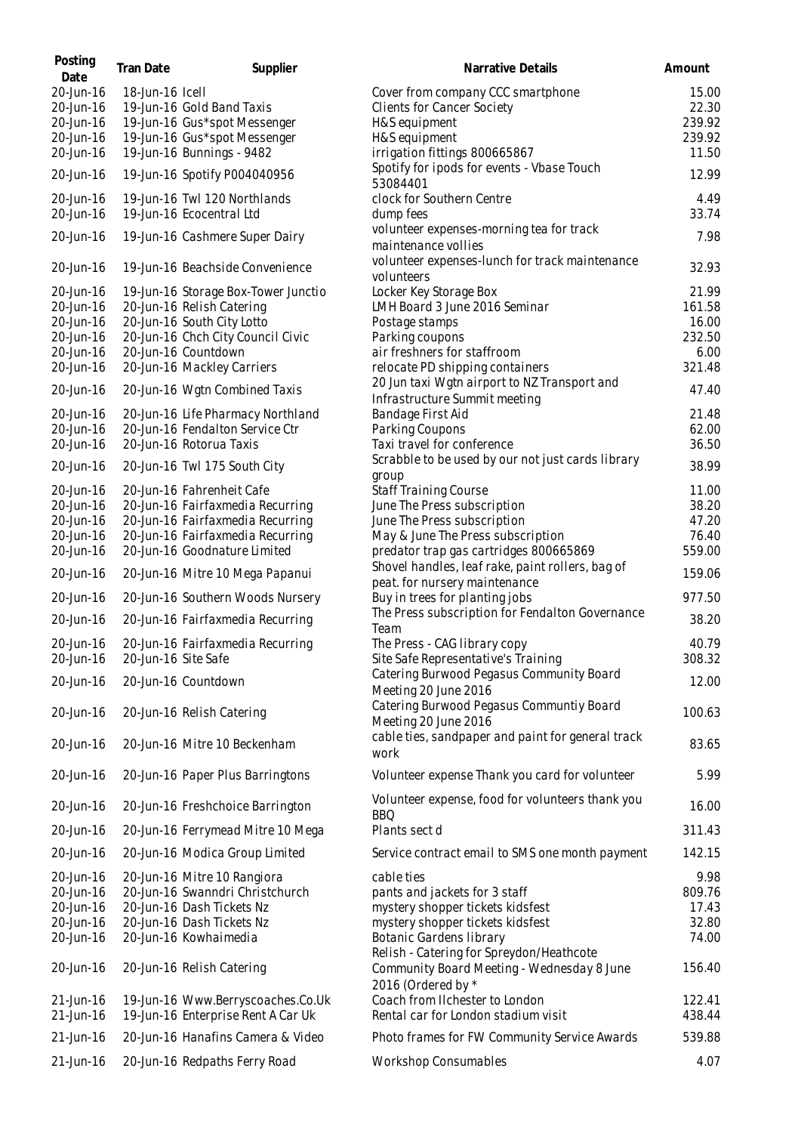| Posting<br>Date | <b>Tran Date</b>    | Supplier                            | Narrative Details                                                | Amount |
|-----------------|---------------------|-------------------------------------|------------------------------------------------------------------|--------|
| 20-Jun-16       | 18-Jun-16 Icell     |                                     | Cover from company CCC smartphone                                | 15.00  |
| 20-Jun-16       |                     | 19-Jun-16 Gold Band Taxis           | <b>Clients for Cancer Society</b>                                | 22.30  |
| 20-Jun-16       |                     | 19-Jun-16 Gus*spot Messenger        | H&S equipment                                                    | 239.92 |
| 20-Jun-16       |                     | 19-Jun-16 Gus*spot Messenger        | H&S equipment                                                    | 239.92 |
| 20-Jun-16       |                     | 19-Jun-16 Bunnings - 9482           | irrigation fittings 800665867                                    | 11.50  |
|                 |                     |                                     | Spotify for ipods for events - Vbase Touch                       |        |
| 20-Jun-16       |                     | 19-Jun-16 Spotify P004040956        | 53084401                                                         | 12.99  |
| 20-Jun-16       |                     | 19-Jun-16 Twl 120 Northlands        | clock for Southern Centre                                        | 4.49   |
|                 |                     | 19-Jun-16 Ecocentral Ltd            |                                                                  |        |
| 20-Jun-16       |                     |                                     | dump fees                                                        | 33.74  |
| 20-Jun-16       |                     | 19-Jun-16 Cashmere Super Dairy      | volunteer expenses-morning tea for track<br>maintenance vollies  | 7.98   |
| 20-Jun-16       |                     | 19-Jun-16 Beachside Convenience     | volunteer expenses-lunch for track maintenance                   | 32.93  |
|                 |                     |                                     | volunteers                                                       | 21.99  |
| 20-Jun-16       |                     | 19-Jun-16 Storage Box-Tower Junctio | Locker Key Storage Box                                           |        |
| 20-Jun-16       |                     | 20-Jun-16 Relish Catering           | LMH Board 3 June 2016 Seminar                                    | 161.58 |
| 20-Jun-16       |                     | 20-Jun-16 South City Lotto          | Postage stamps                                                   | 16.00  |
| 20-Jun-16       |                     | 20-Jun-16 Chch City Council Civic   | Parking coupons                                                  | 232.50 |
| 20-Jun-16       |                     | 20-Jun-16 Countdown                 | air freshners for staffroom                                      | 6.00   |
| 20-Jun-16       |                     | 20-Jun-16 Mackley Carriers          | relocate PD shipping containers                                  | 321.48 |
| 20-Jun-16       |                     | 20-Jun-16 Wgtn Combined Taxis       | 20 Jun taxi Wgtn airport to NZ Transport and                     | 47.40  |
|                 |                     |                                     | Infrastructure Summit meeting                                    |        |
| 20-Jun-16       |                     | 20-Jun-16 Life Pharmacy Northland   | Bandage First Aid                                                | 21.48  |
| 20-Jun-16       |                     | 20-Jun-16 Fendalton Service Ctr     | Parking Coupons                                                  | 62.00  |
| 20-Jun-16       |                     | 20-Jun-16 Rotorua Taxis             | Taxi travel for conference                                       | 36.50  |
|                 |                     |                                     | Scrabble to be used by our not just cards library                |        |
| 20-Jun-16       |                     | 20-Jun-16 Twl 175 South City        | group                                                            | 38.99  |
| 20-Jun-16       |                     | 20-Jun-16 Fahrenheit Cafe           | <b>Staff Training Course</b>                                     | 11.00  |
| 20-Jun-16       |                     | 20-Jun-16 Fairfaxmedia Recurring    | June The Press subscription                                      | 38.20  |
| 20-Jun-16       |                     | 20-Jun-16 Fairfaxmedia Recurring    | June The Press subscription                                      | 47.20  |
| 20-Jun-16       |                     | 20-Jun-16 Fairfaxmedia Recurring    | May & June The Press subscription                                | 76.40  |
| 20-Jun-16       |                     | 20-Jun-16 Goodnature Limited        | predator trap gas cartridges 800665869                           | 559.00 |
|                 |                     |                                     | Shovel handles, leaf rake, paint rollers, bag of                 |        |
| 20-Jun-16       |                     | 20-Jun-16 Mitre 10 Mega Papanui     | peat. for nursery maintenance                                    | 159.06 |
| 20-Jun-16       |                     | 20-Jun-16 Southern Woods Nursery    | Buy in trees for planting jobs                                   | 977.50 |
|                 |                     |                                     | The Press subscription for Fendalton Governance                  |        |
| 20-Jun-16       |                     | 20-Jun-16 Fairfaxmedia Recurring    | Team                                                             | 38.20  |
| 20-Jun-16       |                     | 20-Jun-16 Fairfaxmedia Recurring    | The Press - CAG library copy                                     | 40.79  |
| 20-Jun-16       | 20-Jun-16 Site Safe |                                     | Site Safe Representative's Training                              | 308.32 |
| 20-Jun-16       |                     | 20-Jun-16 Countdown                 | Catering Burwood Pegasus Community Board                         | 12.00  |
|                 |                     |                                     | Meeting 20 June 2016                                             |        |
| 20-Jun-16       |                     | 20-Jun-16 Relish Catering           | Catering Burwood Pegasus Communtiy Board<br>Meeting 20 June 2016 | 100.63 |
|                 |                     |                                     | cable ties, sandpaper and paint for general track                |        |
| 20-Jun-16       |                     | 20-Jun-16 Mitre 10 Beckenham        | work                                                             | 83.65  |
| 20-Jun-16       |                     | 20-Jun-16 Paper Plus Barringtons    | Volunteer expense Thank you card for volunteer                   | 5.99   |
|                 |                     |                                     |                                                                  |        |
| 20-Jun-16       |                     | 20-Jun-16 Freshchoice Barrington    | Volunteer expense, food for volunteers thank you<br><b>BBQ</b>   | 16.00  |
| 20-Jun-16       |                     | 20-Jun-16 Ferrymead Mitre 10 Mega   | Plants sect d                                                    | 311.43 |
| 20-Jun-16       |                     | 20-Jun-16 Modica Group Limited      | Service contract email to SMS one month payment                  | 142.15 |
|                 |                     |                                     |                                                                  |        |
| 20-Jun-16       |                     | 20-Jun-16 Mitre 10 Rangiora         | cable ties                                                       | 9.98   |
| 20-Jun-16       |                     | 20-Jun-16 Swanndri Christchurch     | pants and jackets for 3 staff                                    | 809.76 |
| 20-Jun-16       |                     | 20-Jun-16 Dash Tickets Nz           | mystery shopper tickets kidsfest                                 | 17.43  |
| 20-Jun-16       |                     | 20-Jun-16 Dash Tickets Nz           | mystery shopper tickets kidsfest                                 | 32.80  |
| 20-Jun-16       |                     | 20-Jun-16 Kowhaimedia               | Botanic Gardens library                                          | 74.00  |
|                 |                     |                                     | Relish - Catering for Spreydon/Heathcote                         |        |
| 20-Jun-16       |                     | 20-Jun-16 Relish Catering           | Community Board Meeting - Wednesday 8 June<br>2016 (Ordered by * | 156.40 |
| 21-Jun-16       |                     | 19-Jun-16 Www.Berryscoaches.Co.Uk   | Coach from IIchester to London                                   | 122.41 |
| 21-Jun-16       |                     | 19-Jun-16 Enterprise Rent A Car Uk  | Rental car for London stadium visit                              | 438.44 |
|                 |                     |                                     |                                                                  |        |
| 21-Jun-16       |                     | 20-Jun-16 Hanafins Camera & Video   | Photo frames for FW Community Service Awards                     | 539.88 |
| 21-Jun-16       |                     | 20-Jun-16 Redpaths Ferry Road       | <b>Workshop Consumables</b>                                      | 4.07   |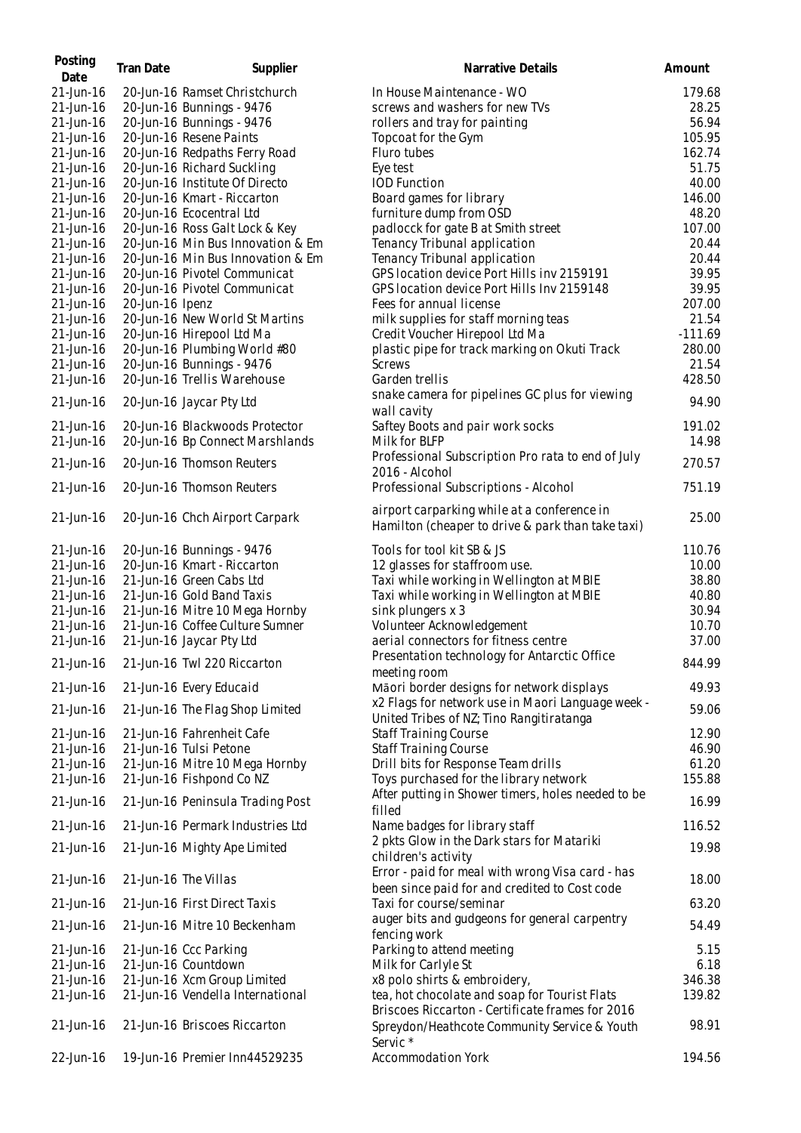| Posting<br>Date | <b>Tran Date</b> | Supplier                          | Narrative Details                                                                                 | Amount    |
|-----------------|------------------|-----------------------------------|---------------------------------------------------------------------------------------------------|-----------|
| 21-Jun-16       |                  | 20-Jun-16 Ramset Christchurch     | In House Maintenance - WO                                                                         | 179.68    |
| 21-Jun-16       |                  | 20-Jun-16 Bunnings - 9476         | screws and washers for new TVs                                                                    | 28.25     |
| 21-Jun-16       |                  | 20-Jun-16 Bunnings - 9476         | rollers and tray for painting                                                                     | 56.94     |
| 21-Jun-16       |                  | 20-Jun-16 Resene Paints           | Topcoat for the Gym                                                                               | 105.95    |
| 21-Jun-16       |                  | 20-Jun-16 Redpaths Ferry Road     | Fluro tubes                                                                                       | 162.74    |
| 21-Jun-16       |                  | 20-Jun-16 Richard Suckling        | Eye test                                                                                          | 51.75     |
| 21-Jun-16       |                  | 20-Jun-16 Institute Of Directo    | <b>IOD Function</b>                                                                               | 40.00     |
| 21-Jun-16       |                  | 20-Jun-16 Kmart - Riccarton       | Board games for library                                                                           | 146.00    |
| 21-Jun-16       |                  | 20-Jun-16 Ecocentral Ltd          | furniture dump from OSD                                                                           | 48.20     |
| 21-Jun-16       |                  | 20-Jun-16 Ross Galt Lock & Key    | padlocck for gate B at Smith street                                                               | 107.00    |
| 21-Jun-16       |                  | 20-Jun-16 Min Bus Innovation & Em | Tenancy Tribunal application                                                                      | 20.44     |
|                 |                  | 20-Jun-16 Min Bus Innovation & Em |                                                                                                   | 20.44     |
| 21-Jun-16       |                  |                                   | Tenancy Tribunal application<br>GPS location device Port Hills inv 2159191                        | 39.95     |
| 21-Jun-16       |                  | 20-Jun-16 Pivotel Communicat      |                                                                                                   |           |
| 21-Jun-16       |                  | 20-Jun-16 Pivotel Communicat      | GPS location device Port Hills Inv 2159148                                                        | 39.95     |
| 21-Jun-16       | 20-Jun-16 Ipenz  |                                   | Fees for annual license                                                                           | 207.00    |
| 21-Jun-16       |                  | 20-Jun-16 New World St Martins    | milk supplies for staff morning teas                                                              | 21.54     |
| 21-Jun-16       |                  | 20-Jun-16 Hirepool Ltd Ma         | Credit Voucher Hirepool Ltd Ma                                                                    | $-111.69$ |
| 21-Jun-16       |                  | 20-Jun-16 Plumbing World #80      | plastic pipe for track marking on Okuti Track                                                     | 280.00    |
| 21-Jun-16       |                  | 20-Jun-16 Bunnings - 9476         | <b>Screws</b>                                                                                     | 21.54     |
| 21-Jun-16       |                  | 20-Jun-16 Trellis Warehouse       | Garden trellis                                                                                    | 428.50    |
| 21-Jun-16       |                  | 20-Jun-16 Jaycar Pty Ltd          | snake camera for pipelines GC plus for viewing<br>wall cavity                                     | 94.90     |
| 21-Jun-16       |                  | 20-Jun-16 Blackwoods Protector    | Saftey Boots and pair work socks                                                                  | 191.02    |
| 21-Jun-16       |                  | 20-Jun-16 Bp Connect Marshlands   | Milk for BLFP                                                                                     | 14.98     |
| 21-Jun-16       |                  | 20-Jun-16 Thomson Reuters         | Professional Subscription Pro rata to end of July<br>2016 - Alcohol                               | 270.57    |
| 21-Jun-16       |                  | 20-Jun-16 Thomson Reuters         | Professional Subscriptions - Alcohol                                                              | 751.19    |
| 21-Jun-16       |                  | 20-Jun-16 Chch Airport Carpark    | airport carparking while at a conference in<br>Hamilton (cheaper to drive & park than take taxi)  | 25.00     |
| 21-Jun-16       |                  | 20-Jun-16 Bunnings - 9476         | Tools for tool kit SB & JS                                                                        | 110.76    |
| 21-Jun-16       |                  | 20-Jun-16 Kmart - Riccarton       | 12 glasses for staffroom use.                                                                     | 10.00     |
| 21-Jun-16       |                  | 21-Jun-16 Green Cabs Ltd          | Taxi while working in Wellington at MBIE                                                          | 38.80     |
| 21-Jun-16       |                  | 21-Jun-16 Gold Band Taxis         | Taxi while working in Wellington at MBIE                                                          | 40.80     |
| 21-Jun-16       |                  | 21-Jun-16 Mitre 10 Mega Hornby    | sink plungers x 3                                                                                 | 30.94     |
| 21-Jun-16       |                  | 21-Jun-16 Coffee Culture Sumner   | Volunteer Acknowledgement                                                                         | 10.70     |
| 21-Jun-16       |                  | 21-Jun-16 Jaycar Pty Ltd          | aerial connectors for fitness centre                                                              | 37.00     |
| 21-Jun-16       |                  | 21-Jun-16 Twl 220 Riccarton       | Presentation technology for Antarctic Office<br>meeting room                                      | 844.99    |
| 21-Jun-16       |                  | 21-Jun-16 Every Educaid           | Māori border designs for network displays                                                         | 49.93     |
| 21-Jun-16       |                  | 21-Jun-16 The Flag Shop Limited   | x2 Flags for network use in Maori Language week -<br>United Tribes of NZ; Tino Rangitiratanga     | 59.06     |
| 21-Jun-16       |                  | 21-Jun-16 Fahrenheit Cafe         | <b>Staff Training Course</b>                                                                      | 12.90     |
| 21-Jun-16       |                  | 21-Jun-16 Tulsi Petone            | <b>Staff Training Course</b>                                                                      | 46.90     |
| 21-Jun-16       |                  | 21-Jun-16 Mitre 10 Mega Hornby    | Drill bits for Response Team drills                                                               | 61.20     |
| 21-Jun-16       |                  | 21-Jun-16 Fishpond Co NZ          | Toys purchased for the library network                                                            | 155.88    |
| 21-Jun-16       |                  | 21-Jun-16 Peninsula Trading Post  | After putting in Shower timers, holes needed to be                                                | 16.99     |
| 21-Jun-16       |                  | 21-Jun-16 Permark Industries Ltd  | filled<br>Name badges for library staff                                                           | 116.52    |
| 21-Jun-16       |                  | 21-Jun-16 Mighty Ape Limited      | 2 pkts Glow in the Dark stars for Matariki<br>children's activity                                 | 19.98     |
| 21-Jun-16       |                  | 21-Jun-16 The Villas              | Error - paid for meal with wrong Visa card - has<br>been since paid for and credited to Cost code | 18.00     |
| 21-Jun-16       |                  | 21-Jun-16 First Direct Taxis      | Taxi for course/seminar                                                                           | 63.20     |
| 21-Jun-16       |                  | 21-Jun-16 Mitre 10 Beckenham      | auger bits and gudgeons for general carpentry<br>fencing work                                     | 54.49     |
| 21-Jun-16       |                  | 21-Jun-16 Ccc Parking             | Parking to attend meeting                                                                         | 5.15      |
| 21-Jun-16       |                  | 21-Jun-16 Countdown               | Milk for Carlyle St                                                                               | 6.18      |
| 21-Jun-16       |                  | 21-Jun-16 Xcm Group Limited       | x8 polo shirts & embroidery,                                                                      | 346.38    |
| 21-Jun-16       |                  | 21-Jun-16 Vendella International  | tea, hot chocolate and soap for Tourist Flats<br>Briscoes Riccarton - Certificate frames for 2016 | 139.82    |
| 21-Jun-16       |                  | 21-Jun-16 Briscoes Riccarton      | Spreydon/Heathcote Community Service & Youth<br>Servic *                                          | 98.91     |
| 22-Jun-16       |                  | 19-Jun-16 Premier Inn44529235     | Accommodation York                                                                                | 194.56    |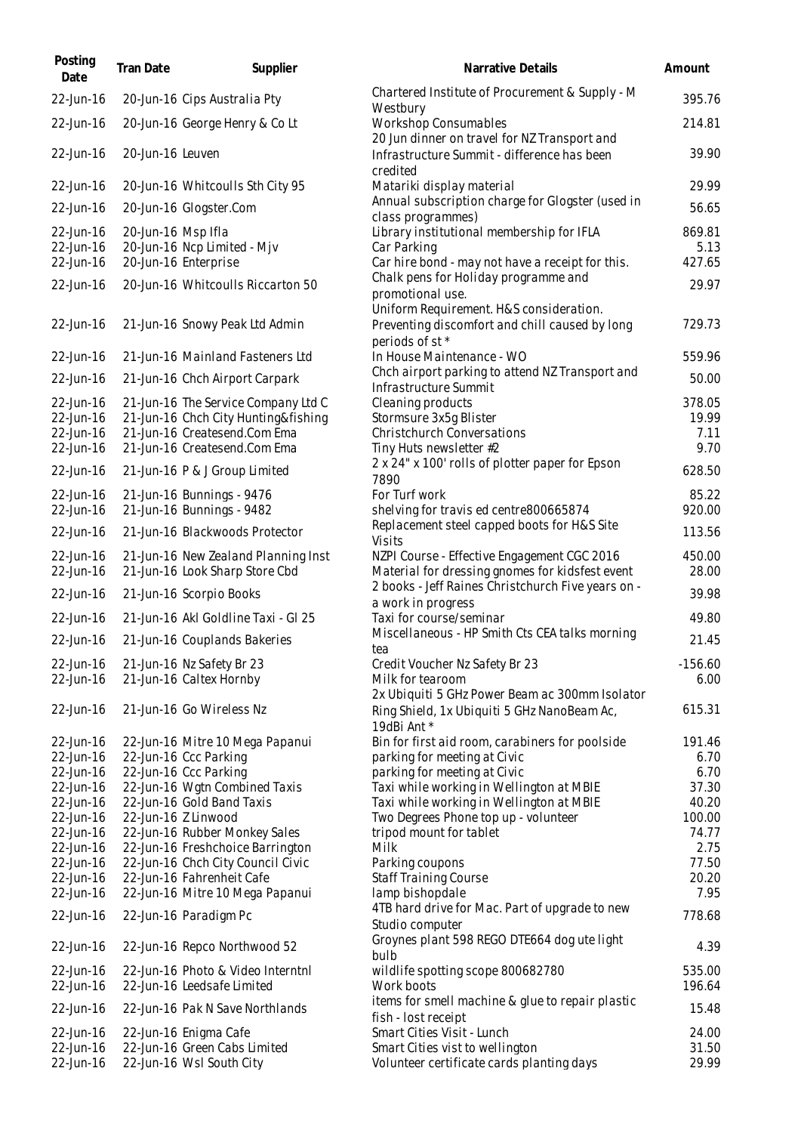| Posting<br>Date                     | <b>Tran Date</b>   | Supplier                                                              | Narrative Details                                                                                                       | Amount                   |
|-------------------------------------|--------------------|-----------------------------------------------------------------------|-------------------------------------------------------------------------------------------------------------------------|--------------------------|
| 22-Jun-16                           |                    | 20-Jun-16 Cips Australia Pty                                          | Chartered Institute of Procurement & Supply - M<br>Westbury                                                             | 395.76                   |
| 22-Jun-16                           |                    | 20-Jun-16 George Henry & Co Lt                                        | <b>Workshop Consumables</b><br>20 Jun dinner on travel for NZ Transport and                                             | 214.81                   |
| 22-Jun-16                           | 20-Jun-16 Leuven   |                                                                       | Infrastructure Summit - difference has been<br>credited                                                                 | 39.90                    |
| 22-Jun-16                           |                    | 20-Jun-16 Whitcoulls Sth City 95                                      | Matariki display material                                                                                               | 29.99                    |
| 22-Jun-16                           |                    | 20-Jun-16 Glogster.Com                                                | Annual subscription charge for Glogster (used in<br>class programmes)                                                   | 56.65                    |
| 22-Jun-16<br>22-Jun-16<br>22-Jun-16 | 20-Jun-16 Msp Ifla | 20-Jun-16 Ncp Limited - Mjv<br>20-Jun-16 Enterprise                   | Library institutional membership for IFLA<br>Car Parking<br>Car hire bond - may not have a receipt for this.            | 869.81<br>5.13<br>427.65 |
| 22-Jun-16                           |                    | 20-Jun-16 Whitcoulls Riccarton 50                                     | Chalk pens for Holiday programme and<br>promotional use.                                                                | 29.97                    |
| 22-Jun-16                           |                    | 21-Jun-16 Snowy Peak Ltd Admin                                        | Uniform Requirement. H&S consideration.<br>Preventing discomfort and chill caused by long<br>periods of st <sup>*</sup> | 729.73                   |
| 22-Jun-16                           |                    | 21-Jun-16 Mainland Fasteners Ltd                                      | In House Maintenance - WO                                                                                               | 559.96                   |
| 22-Jun-16                           |                    | 21-Jun-16 Chch Airport Carpark                                        | Chch airport parking to attend NZ Transport and<br>Infrastructure Summit                                                | 50.00                    |
| 22-Jun-16                           |                    | 21-Jun-16 The Service Company Ltd C                                   | Cleaning products                                                                                                       | 378.05                   |
| 22-Jun-16                           |                    | 21-Jun-16 Chch City Hunting&fishing                                   | Stormsure 3x5g Blister                                                                                                  | 19.99                    |
| 22-Jun-16                           |                    | 21-Jun-16 Createsend.Com Ema                                          | <b>Christchurch Conversations</b>                                                                                       | 7.11                     |
| 22-Jun-16                           |                    | 21-Jun-16 Createsend.Com Ema                                          | Tiny Huts newsletter #2                                                                                                 | 9.70                     |
| 22-Jun-16                           |                    | 21-Jun-16 P & J Group Limited                                         | 2 x 24" x 100' rolls of plotter paper for Epson<br>7890                                                                 | 628.50                   |
| 22-Jun-16                           |                    | 21-Jun-16 Bunnings - 9476                                             | For Turf work                                                                                                           | 85.22                    |
| 22-Jun-16                           |                    | 21-Jun-16 Bunnings - 9482                                             | shelving for travis ed centre800665874                                                                                  | 920.00                   |
| 22-Jun-16                           |                    | 21-Jun-16 Blackwoods Protector                                        | Replacement steel capped boots for H&S Site<br>Visits                                                                   | 113.56                   |
| 22-Jun-16<br>22-Jun-16              |                    | 21-Jun-16 New Zealand Planning Inst<br>21-Jun-16 Look Sharp Store Cbd | NZPI Course - Effective Engagement CGC 2016<br>Material for dressing gnomes for kidsfest event                          | 450.00<br>28.00          |
| 22-Jun-16                           |                    | 21-Jun-16 Scorpio Books                                               | 2 books - Jeff Raines Christchurch Five years on -<br>a work in progress                                                | 39.98                    |
| 22-Jun-16                           |                    | 21-Jun-16 Akl Goldline Taxi - Gl 25                                   | Taxi for course/seminar                                                                                                 | 49.80                    |
| 22-Jun-16                           |                    | 21-Jun-16 Couplands Bakeries                                          | Miscellaneous - HP Smith Cts CEA talks morning<br>tea                                                                   | 21.45                    |
| 22-Jun-16                           |                    | 21-Jun-16 Nz Safety Br 23                                             | Credit Voucher Nz Safety Br 23                                                                                          | $-156.60$                |
| 22-Jun-16                           |                    | 21-Jun-16 Caltex Hornby                                               | Milk for tearoom                                                                                                        | 6.00                     |
| 22-Jun-16                           |                    | 21-Jun-16 Go Wireless Nz                                              | 2x Ubiquiti 5 GHz Power Beam ac 300mm Isolator<br>Ring Shield, 1x Ubiquiti 5 GHz NanoBeam Ac,<br>19dBi Ant *            | 615.31                   |
| 22-Jun-16                           |                    | 22-Jun-16 Mitre 10 Mega Papanui                                       | Bin for first aid room, carabiners for poolside                                                                         | 191.46                   |
| 22-Jun-16                           |                    | 22-Jun-16 Ccc Parking                                                 | parking for meeting at Civic                                                                                            | 6.70                     |
| 22-Jun-16                           |                    | 22-Jun-16 Ccc Parking                                                 | parking for meeting at Civic                                                                                            | 6.70                     |
| 22-Jun-16                           |                    | 22-Jun-16 Wgtn Combined Taxis                                         | Taxi while working in Wellington at MBIE                                                                                | 37.30                    |
| 22-Jun-16                           |                    | 22-Jun-16 Gold Band Taxis                                             | Taxi while working in Wellington at MBIE                                                                                | 40.20                    |
| 22-Jun-16                           |                    | 22-Jun-16 Z Linwood                                                   | Two Degrees Phone top up - volunteer                                                                                    | 100.00                   |
| 22-Jun-16                           |                    | 22-Jun-16 Rubber Monkey Sales                                         | tripod mount for tablet                                                                                                 | 74.77                    |
| 22-Jun-16<br>22-Jun-16              |                    | 22-Jun-16 Freshchoice Barrington                                      | Milk                                                                                                                    | 2.75<br>77.50            |
| 22-Jun-16                           |                    | 22-Jun-16 Chch City Council Civic<br>22-Jun-16 Fahrenheit Cafe        | Parking coupons<br><b>Staff Training Course</b>                                                                         | 20.20                    |
| 22-Jun-16                           |                    | 22-Jun-16 Mitre 10 Mega Papanui                                       | lamp bishopdale                                                                                                         | 7.95                     |
| 22-Jun-16                           |                    | 22-Jun-16 Paradigm Pc                                                 | 4TB hard drive for Mac. Part of upgrade to new<br>Studio computer                                                       | 778.68                   |
| 22-Jun-16                           |                    | 22-Jun-16 Repco Northwood 52                                          | Groynes plant 598 REGO DTE664 dog ute light<br>bulb                                                                     | 4.39                     |
| 22-Jun-16                           |                    | 22-Jun-16 Photo & Video Interntnl                                     | wildlife spotting scope 800682780                                                                                       | 535.00                   |
| 22-Jun-16                           |                    | 22-Jun-16 Leedsafe Limited                                            | Work boots                                                                                                              | 196.64                   |
| 22-Jun-16                           |                    | 22-Jun-16 Pak N Save Northlands                                       | items for smell machine & glue to repair plastic<br>fish - lost receipt                                                 | 15.48                    |
| 22-Jun-16                           |                    | 22-Jun-16 Enigma Cafe                                                 | Smart Cities Visit - Lunch                                                                                              | 24.00                    |
| 22-Jun-16                           |                    | 22-Jun-16 Green Cabs Limited                                          | Smart Cities vist to wellington                                                                                         | 31.50                    |
| 22-Jun-16                           |                    | 22-Jun-16 Wsl South City                                              | Volunteer certificate cards planting days                                                                               | 29.99                    |